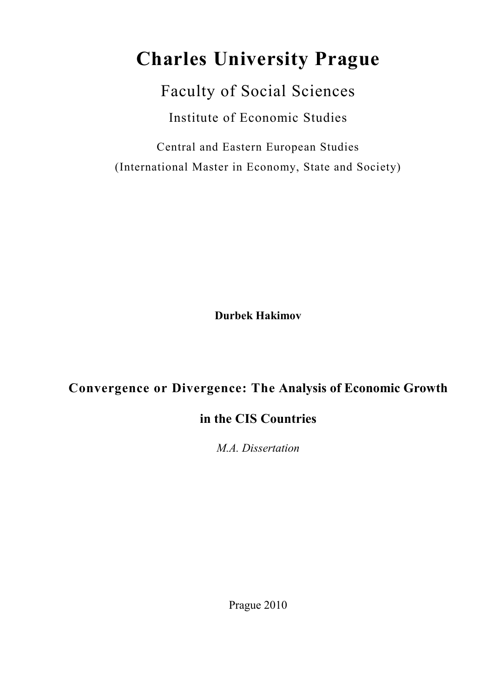# **Charles University Prague**

Faculty of Social Sciences Institute of Economic Studies

Central and Eastern European Studies (International Master in Economy, State and Society)

**Durbek Hakimov** 

# **Convergence or Divergence: The Analysis of Economic Growth**

# **in the CIS Countries**

*M.A. Dissertation* 

Prague 2010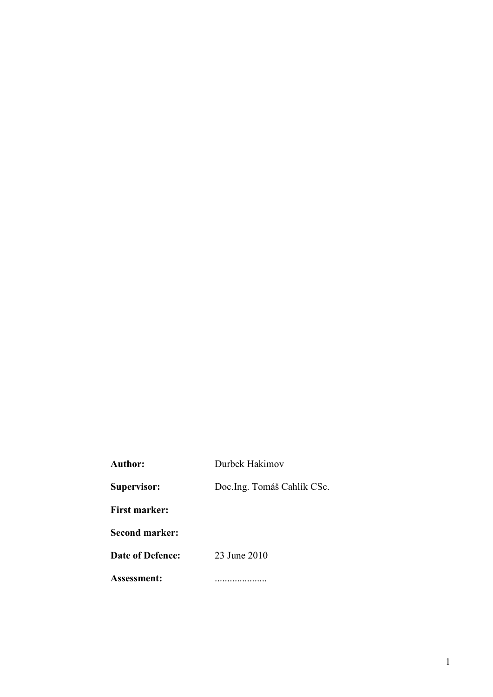| <b>Author:</b>        | Durbek Hakimov              |
|-----------------------|-----------------------------|
| Supervisor:           | Doc. Ing. Tomáš Cahlík CSc. |
| <b>First marker:</b>  |                             |
| <b>Second marker:</b> |                             |
| Date of Defence:      | 23 June 2010                |
| Assessment:           |                             |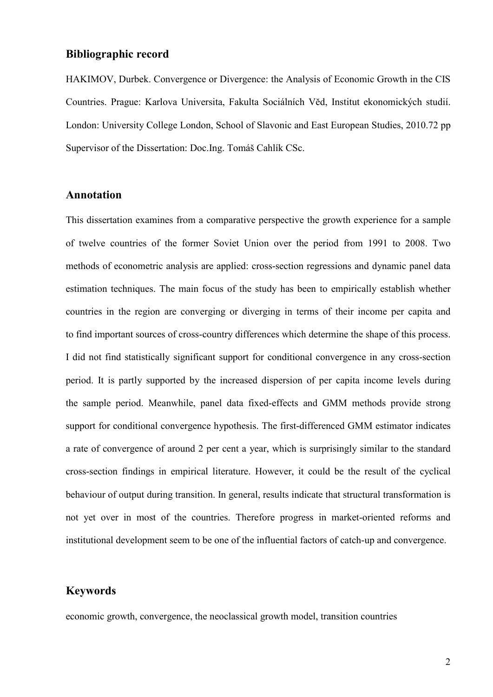#### **Bibliographic record**

HAKIMOV, Durbek. Convergence or Divergence: the Analysis of Economic Growth in the CIS Countries. Prague: Karlova Universita, Fakulta Sociálních Vĕd, Institut ekonomických studií. London: University College London, School of Slavonic and East European Studies, 2010.72 pp Supervisor of the Dissertation: Doc.Ing. Tomáš Cahlík CSc.

### **Annotation**

This dissertation examines from a comparative perspective the growth experience for a sample of twelve countries of the former Soviet Union over the period from 1991 to 2008. Two methods of econometric analysis are applied: cross-section regressions and dynamic panel data estimation techniques. The main focus of the study has been to empirically establish whether countries in the region are converging or diverging in terms of their income per capita and to find important sources of cross-country differences which determine the shape of this process. I did not find statistically significant support for conditional convergence in any cross-section period. It is partly supported by the increased dispersion of per capita income levels during the sample period. Meanwhile, panel data fixed-effects and GMM methods provide strong support for conditional convergence hypothesis. The first-differenced GMM estimator indicates a rate of convergence of around 2 per cent a year, which is surprisingly similar to the standard cross-section findings in empirical literature. However, it could be the result of the cyclical behaviour of output during transition. In general, results indicate that structural transformation is not yet over in most of the countries. Therefore progress in market-oriented reforms and institutional development seem to be one of the influential factors of catch-up and convergence.

### **Keywords**

economic growth, convergence, the neoclassical growth model, transition countries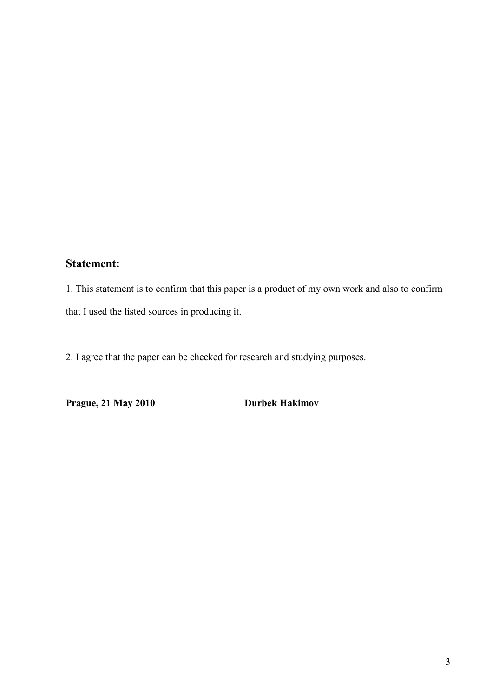## **Statement:**

1. This statement is to confirm that this paper is a product of my own work and also to confirm that I used the listed sources in producing it.

2. I agree that the paper can be checked for research and studying purposes.

**Prague, 21 May 2010 Durbek Hakimov**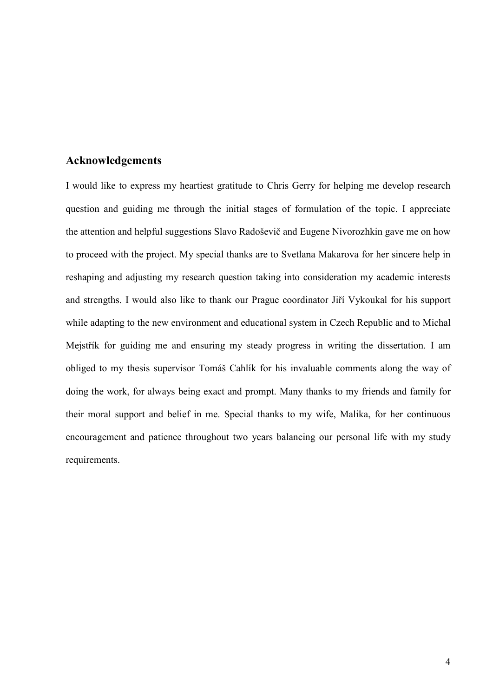### **Acknowledgements**

I would like to express my heartiest gratitude to Chris Gerry for helping me develop research question and guiding me through the initial stages of formulation of the topic. I appreciate the attention and helpful suggestions Slavo Radoševič and Eugene Nivorozhkin gave me on how to proceed with the project. My special thanks are to Svetlana Makarova for her sincere help in reshaping and adjusting my research question taking into consideration my academic interests and strengths. I would also like to thank our Prague coordinator Jiří Vykoukal for his support while adapting to the new environment and educational system in Czech Republic and to Michal Mejstřík for guiding me and ensuring my steady progress in writing the dissertation. I am obliged to my thesis supervisor Tomáš Cahlík for his invaluable comments along the way of doing the work, for always being exact and prompt. Many thanks to my friends and family for their moral support and belief in me. Special thanks to my wife, Malika, for her continuous encouragement and patience throughout two years balancing our personal life with my study requirements.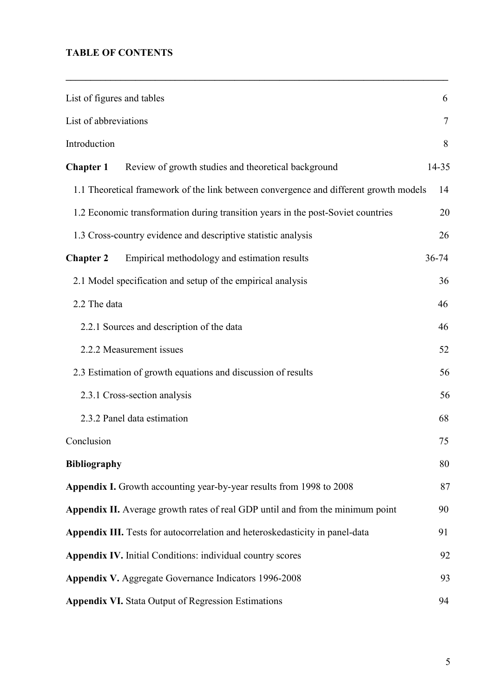## **TABLE OF CONTENTS**

| List of figures and tables |                                                                                       |        |  |  |  |
|----------------------------|---------------------------------------------------------------------------------------|--------|--|--|--|
| List of abbreviations      |                                                                                       | $\tau$ |  |  |  |
| Introduction               |                                                                                       | 8      |  |  |  |
| <b>Chapter 1</b>           | Review of growth studies and theoretical background                                   | 14-35  |  |  |  |
|                            | 1.1 Theoretical framework of the link between convergence and different growth models | 14     |  |  |  |
|                            | 1.2 Economic transformation during transition years in the post-Soviet countries      | 20     |  |  |  |
|                            | 1.3 Cross-country evidence and descriptive statistic analysis                         | 26     |  |  |  |
| <b>Chapter 2</b>           | Empirical methodology and estimation results                                          | 36-74  |  |  |  |
|                            | 2.1 Model specification and setup of the empirical analysis                           | 36     |  |  |  |
| 2.2 The data               |                                                                                       | 46     |  |  |  |
|                            | 2.2.1 Sources and description of the data                                             | 46     |  |  |  |
|                            | 2.2.2 Measurement issues                                                              | 52     |  |  |  |
|                            | 2.3 Estimation of growth equations and discussion of results                          | 56     |  |  |  |
|                            | 2.3.1 Cross-section analysis                                                          | 56     |  |  |  |
|                            | 2.3.2 Panel data estimation                                                           | 68     |  |  |  |
| Conclusion                 |                                                                                       | 75     |  |  |  |
| <b>Bibliography</b>        |                                                                                       | 80     |  |  |  |
|                            | Appendix I. Growth accounting year-by-year results from 1998 to 2008                  | 87     |  |  |  |
|                            | Appendix II. Average growth rates of real GDP until and from the minimum point        | 90     |  |  |  |
|                            | Appendix III. Tests for autocorrelation and heteroskedasticity in panel-data          | 91     |  |  |  |
|                            | Appendix IV. Initial Conditions: individual country scores                            | 92     |  |  |  |
|                            | Appendix V. Aggregate Governance Indicators 1996-2008                                 | 93     |  |  |  |
|                            | <b>Appendix VI.</b> Stata Output of Regression Estimations                            | 94     |  |  |  |

**\_\_\_\_\_\_\_\_\_\_\_\_\_\_\_\_\_\_\_\_\_\_\_\_\_\_\_\_\_\_\_\_\_\_\_\_\_\_\_\_\_\_\_\_\_\_\_\_\_\_\_\_\_\_\_\_\_\_\_\_\_\_\_\_\_\_\_\_\_\_\_\_\_\_\_\_\_**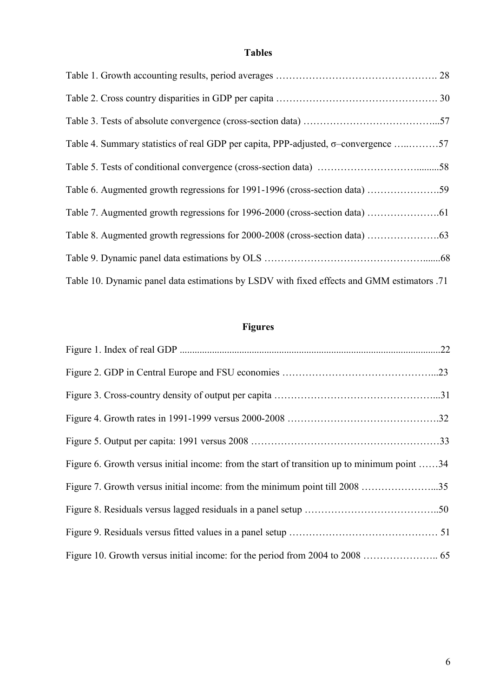## **Tables**

| Table 4. Summary statistics of real GDP per capita, PPP-adjusted, $\sigma$ -convergence 57 |  |
|--------------------------------------------------------------------------------------------|--|
|                                                                                            |  |
|                                                                                            |  |
|                                                                                            |  |
|                                                                                            |  |
|                                                                                            |  |
| Table 10. Dynamic panel data estimations by LSDV with fixed effects and GMM estimators .71 |  |

# **Figures**

| Figure 6. Growth versus initial income: from the start of transition up to minimum point 34 |
|---------------------------------------------------------------------------------------------|
| Figure 7. Growth versus initial income: from the minimum point till 2008 35                 |
|                                                                                             |
|                                                                                             |
|                                                                                             |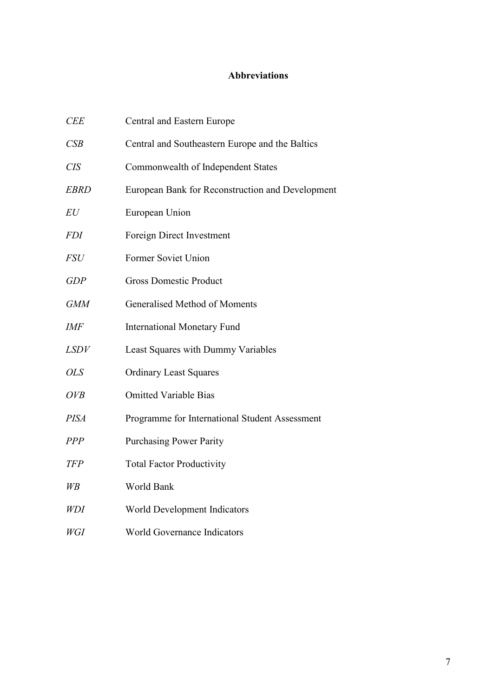## **Abbreviations**

| <b>CEE</b>  | Central and Eastern Europe                       |
|-------------|--------------------------------------------------|
| CSB         | Central and Southeastern Europe and the Baltics  |
| <b>CIS</b>  | Commonwealth of Independent States               |
| <b>EBRD</b> | European Bank for Reconstruction and Development |
| EU          | European Union                                   |
| <i>FDI</i>  | Foreign Direct Investment                        |
| <b>FSU</b>  | Former Soviet Union                              |
| <b>GDP</b>  | <b>Gross Domestic Product</b>                    |
| <b>GMM</b>  | Generalised Method of Moments                    |
| IMF         | <b>International Monetary Fund</b>               |
| <i>LSDV</i> | Least Squares with Dummy Variables               |
| <b>OLS</b>  | <b>Ordinary Least Squares</b>                    |
| OVB         | <b>Omitted Variable Bias</b>                     |
| <b>PISA</b> | Programme for International Student Assessment   |
| <b>PPP</b>  | <b>Purchasing Power Parity</b>                   |
| <b>TFP</b>  | <b>Total Factor Productivity</b>                 |
| $W\!B$      | World Bank                                       |
| WDI         | World Development Indicators                     |
| WGI         | World Governance Indicators                      |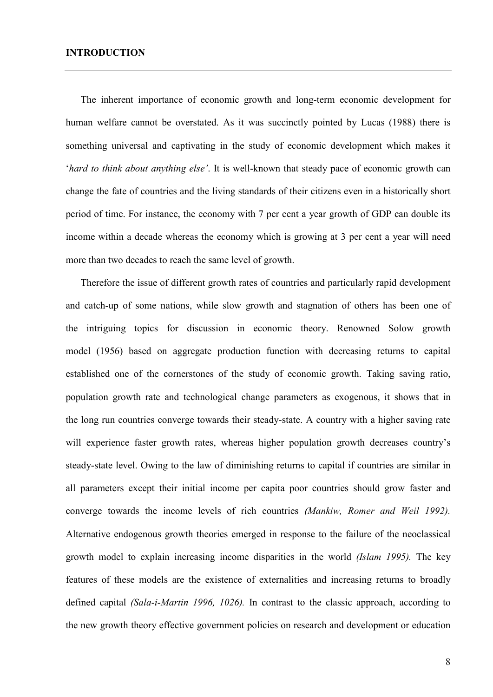The inherent importance of economic growth and long-term economic development for human welfare cannot be overstated. As it was succinctly pointed by Lucas (1988) there is something universal and captivating in the study of economic development which makes it '*hard to think about anything else'*. It is well-known that steady pace of economic growth can change the fate of countries and the living standards of their citizens even in a historically short period of time. For instance, the economy with 7 per cent a year growth of GDP can double its income within a decade whereas the economy which is growing at 3 per cent a year will need more than two decades to reach the same level of growth.

Therefore the issue of different growth rates of countries and particularly rapid development and catch-up of some nations, while slow growth and stagnation of others has been one of the intriguing topics for discussion in economic theory. Renowned Solow growth model (1956) based on aggregate production function with decreasing returns to capital established one of the cornerstones of the study of economic growth. Taking saving ratio, population growth rate and technological change parameters as exogenous, it shows that in the long run countries converge towards their steady-state. A country with a higher saving rate will experience faster growth rates, whereas higher population growth decreases country's steady-state level. Owing to the law of diminishing returns to capital if countries are similar in all parameters except their initial income per capita poor countries should grow faster and converge towards the income levels of rich countries *(Mankiw, Romer and Weil 1992).* Alternative endogenous growth theories emerged in response to the failure of the neoclassical growth model to explain increasing income disparities in the world *(Islam 1995).* The key features of these models are the existence of externalities and increasing returns to broadly defined capital *(Sala-i-Martin 1996, 1026).* In contrast to the classic approach, according to the new growth theory effective government policies on research and development or education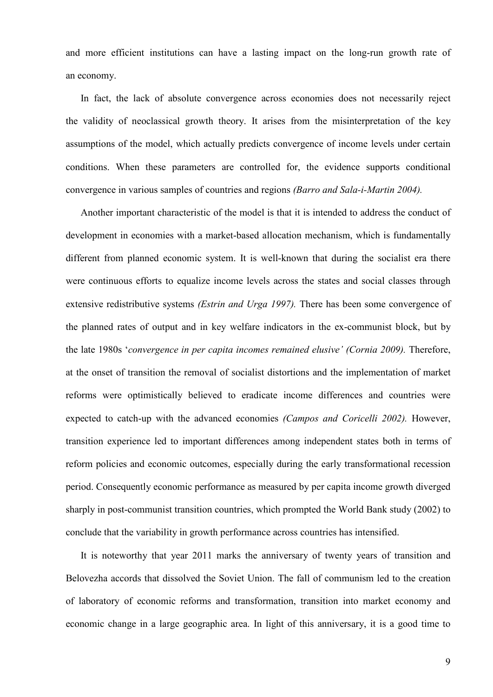and more efficient institutions can have a lasting impact on the long-run growth rate of an economy.

In fact, the lack of absolute convergence across economies does not necessarily reject the validity of neoclassical growth theory. It arises from the misinterpretation of the key assumptions of the model, which actually predicts convergence of income levels under certain conditions. When these parameters are controlled for, the evidence supports conditional convergence in various samples of countries and regions *(Barro and Sala-i-Martin 2004).* 

Another important characteristic of the model is that it is intended to address the conduct of development in economies with a market-based allocation mechanism, which is fundamentally different from planned economic system. It is well-known that during the socialist era there were continuous efforts to equalize income levels across the states and social classes through extensive redistributive systems *(Estrin and Urga 1997).* There has been some convergence of the planned rates of output and in key welfare indicators in the ex-communist block, but by the late 1980s '*convergence in per capita incomes remained elusive' (Cornia 2009).* Therefore, at the onset of transition the removal of socialist distortions and the implementation of market reforms were optimistically believed to eradicate income differences and countries were expected to catch-up with the advanced economies *(Campos and Coricelli 2002).* However, transition experience led to important differences among independent states both in terms of reform policies and economic outcomes, especially during the early transformational recession period. Consequently economic performance as measured by per capita income growth diverged sharply in post-communist transition countries, which prompted the World Bank study (2002) to conclude that the variability in growth performance across countries has intensified.

It is noteworthy that year 2011 marks the anniversary of twenty years of transition and Belovezha accords that dissolved the Soviet Union. The fall of communism led to the creation of laboratory of economic reforms and transformation, transition into market economy and economic change in a large geographic area. In light of this anniversary, it is a good time to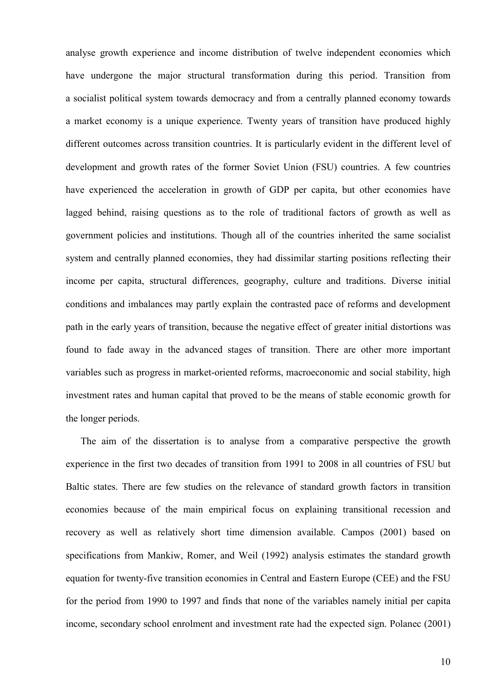analyse growth experience and income distribution of twelve independent economies which have undergone the major structural transformation during this period. Transition from a socialist political system towards democracy and from a centrally planned economy towards a market economy is a unique experience. Twenty years of transition have produced highly different outcomes across transition countries. It is particularly evident in the different level of development and growth rates of the former Soviet Union (FSU) countries. A few countries have experienced the acceleration in growth of GDP per capita, but other economies have lagged behind, raising questions as to the role of traditional factors of growth as well as government policies and institutions. Though all of the countries inherited the same socialist system and centrally planned economies, they had dissimilar starting positions reflecting their income per capita, structural differences, geography, culture and traditions. Diverse initial conditions and imbalances may partly explain the contrasted pace of reforms and development path in the early years of transition, because the negative effect of greater initial distortions was found to fade away in the advanced stages of transition. There are other more important variables such as progress in market-oriented reforms, macroeconomic and social stability, high investment rates and human capital that proved to be the means of stable economic growth for the longer periods.

The aim of the dissertation is to analyse from a comparative perspective the growth experience in the first two decades of transition from 1991 to 2008 in all countries of FSU but Baltic states. There are few studies on the relevance of standard growth factors in transition economies because of the main empirical focus on explaining transitional recession and recovery as well as relatively short time dimension available. Campos (2001) based on specifications from Mankiw, Romer, and Weil (1992) analysis estimates the standard growth equation for twenty-five transition economies in Central and Eastern Europe (CEE) and the FSU for the period from 1990 to 1997 and finds that none of the variables namely initial per capita income, secondary school enrolment and investment rate had the expected sign. Polanec (2001)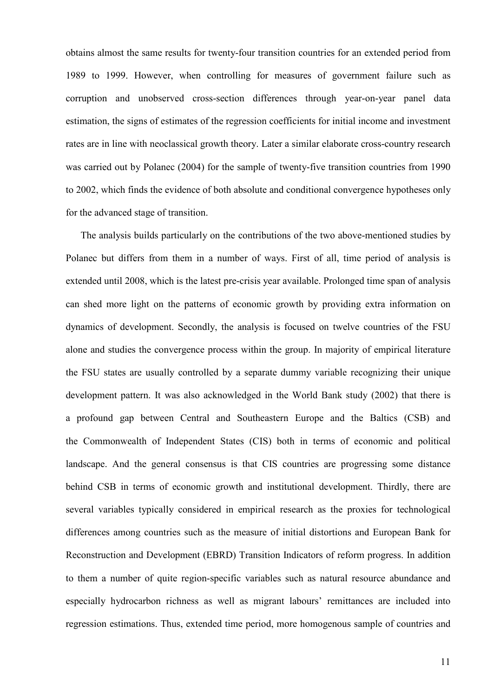obtains almost the same results for twenty-four transition countries for an extended period from 1989 to 1999. However, when controlling for measures of government failure such as corruption and unobserved cross-section differences through year-on-year panel data estimation, the signs of estimates of the regression coefficients for initial income and investment rates are in line with neoclassical growth theory. Later a similar elaborate cross-country research was carried out by Polanec (2004) for the sample of twenty-five transition countries from 1990 to 2002, which finds the evidence of both absolute and conditional convergence hypotheses only for the advanced stage of transition.

The analysis builds particularly on the contributions of the two above-mentioned studies by Polanec but differs from them in a number of ways. First of all, time period of analysis is extended until 2008, which is the latest pre-crisis year available. Prolonged time span of analysis can shed more light on the patterns of economic growth by providing extra information on dynamics of development. Secondly, the analysis is focused on twelve countries of the FSU alone and studies the convergence process within the group. In majority of empirical literature the FSU states are usually controlled by a separate dummy variable recognizing their unique development pattern. It was also acknowledged in the World Bank study (2002) that there is a profound gap between Central and Southeastern Europe and the Baltics (CSB) and the Commonwealth of Independent States (CIS) both in terms of economic and political landscape. And the general consensus is that CIS countries are progressing some distance behind CSB in terms of economic growth and institutional development. Thirdly, there are several variables typically considered in empirical research as the proxies for technological differences among countries such as the measure of initial distortions and European Bank for Reconstruction and Development (EBRD) Transition Indicators of reform progress. In addition to them a number of quite region-specific variables such as natural resource abundance and especially hydrocarbon richness as well as migrant labours' remittances are included into regression estimations. Thus, extended time period, more homogenous sample of countries and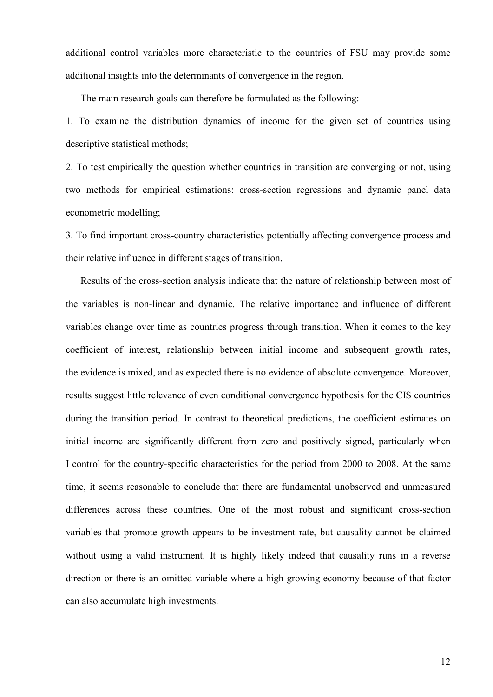additional control variables more characteristic to the countries of FSU may provide some additional insights into the determinants of convergence in the region.

The main research goals can therefore be formulated as the following:

1. To examine the distribution dynamics of income for the given set of countries using descriptive statistical methods;

2. To test empirically the question whether countries in transition are converging or not, using two methods for empirical estimations: cross-section regressions and dynamic panel data econometric modelling;

3. To find important cross-country characteristics potentially affecting convergence process and their relative influence in different stages of transition.

Results of the cross-section analysis indicate that the nature of relationship between most of the variables is non-linear and dynamic. The relative importance and influence of different variables change over time as countries progress through transition. When it comes to the key coefficient of interest, relationship between initial income and subsequent growth rates, the evidence is mixed, and as expected there is no evidence of absolute convergence. Moreover, results suggest little relevance of even conditional convergence hypothesis for the CIS countries during the transition period. In contrast to theoretical predictions, the coefficient estimates on initial income are significantly different from zero and positively signed, particularly when I control for the country-specific characteristics for the period from 2000 to 2008. At the same time, it seems reasonable to conclude that there are fundamental unobserved and unmeasured differences across these countries. One of the most robust and significant cross-section variables that promote growth appears to be investment rate, but causality cannot be claimed without using a valid instrument. It is highly likely indeed that causality runs in a reverse direction or there is an omitted variable where a high growing economy because of that factor can also accumulate high investments.

12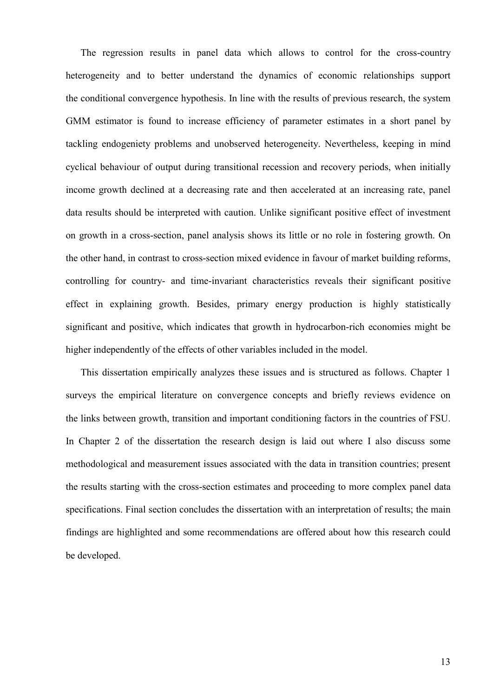The regression results in panel data which allows to control for the cross-country heterogeneity and to better understand the dynamics of economic relationships support the conditional convergence hypothesis. In line with the results of previous research, the system GMM estimator is found to increase efficiency of parameter estimates in a short panel by tackling endogeniety problems and unobserved heterogeneity. Nevertheless, keeping in mind cyclical behaviour of output during transitional recession and recovery periods, when initially income growth declined at a decreasing rate and then accelerated at an increasing rate, panel data results should be interpreted with caution. Unlike significant positive effect of investment on growth in a cross-section, panel analysis shows its little or no role in fostering growth. On the other hand, in contrast to cross-section mixed evidence in favour of market building reforms, controlling for country- and time-invariant characteristics reveals their significant positive effect in explaining growth. Besides, primary energy production is highly statistically significant and positive, which indicates that growth in hydrocarbon-rich economies might be higher independently of the effects of other variables included in the model.

This dissertation empirically analyzes these issues and is structured as follows. Chapter 1 surveys the empirical literature on convergence concepts and briefly reviews evidence on the links between growth, transition and important conditioning factors in the countries of FSU. In Chapter 2 of the dissertation the research design is laid out where I also discuss some methodological and measurement issues associated with the data in transition countries; present the results starting with the cross-section estimates and proceeding to more complex panel data specifications. Final section concludes the dissertation with an interpretation of results; the main findings are highlighted and some recommendations are offered about how this research could be developed.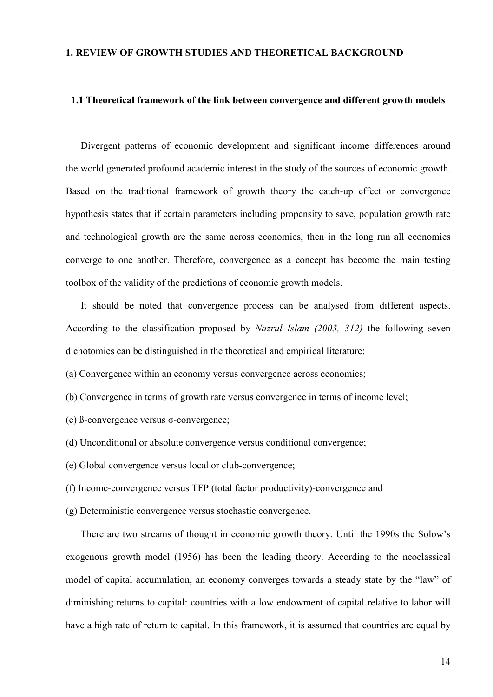#### **1.1 Theoretical framework of the link between convergence and different growth models**

Divergent patterns of economic development and significant income differences around the world generated profound academic interest in the study of the sources of economic growth. Based on the traditional framework of growth theory the catch-up effect or convergence hypothesis states that if certain parameters including propensity to save, population growth rate and technological growth are the same across economies, then in the long run all economies converge to one another. Therefore, convergence as a concept has become the main testing toolbox of the validity of the predictions of economic growth models.

It should be noted that convergence process can be analysed from different aspects. According to the classification proposed by *Nazrul Islam (2003, 312)* the following seven dichotomies can be distinguished in the theoretical and empirical literature:

(a) Convergence within an economy versus convergence across economies;

- (b) Convergence in terms of growth rate versus convergence in terms of income level;
- (c) ß-convergence versus σ-convergence;
- (d) Unconditional or absolute convergence versus conditional convergence;
- (e) Global convergence versus local or club-convergence;
- (f) Income-convergence versus TFP (total factor productivity)-convergence and
- (g) Deterministic convergence versus stochastic convergence.

There are two streams of thought in economic growth theory. Until the 1990s the Solow's exogenous growth model (1956) has been the leading theory. According to the neoclassical model of capital accumulation, an economy converges towards a steady state by the "law" of diminishing returns to capital: countries with a low endowment of capital relative to labor will have a high rate of return to capital. In this framework, it is assumed that countries are equal by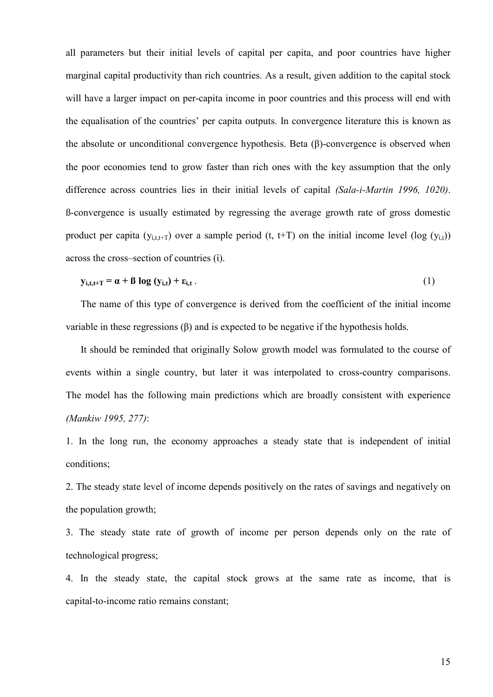all parameters but their initial levels of capital per capita, and poor countries have higher marginal capital productivity than rich countries. As a result, given addition to the capital stock will have a larger impact on per-capita income in poor countries and this process will end with the equalisation of the countries' per capita outputs. In convergence literature this is known as the absolute or unconditional convergence hypothesis. Beta (β)-convergence is observed when the poor economies tend to grow faster than rich ones with the key assumption that the only difference across countries lies in their initial levels of capital *(Sala-i-Martin 1996, 1020)*. ß-convergence is usually estimated by regressing the average growth rate of gross domestic product per capita ( $y_{i,t,t+T}$ ) over a sample period (t, t+T) on the initial income level (log ( $y_{i,t}$ )) across the cross–section of countries (ἰ).

$$
y_{i,t,t+T} = \alpha + \beta \log (y_{i,t}) + \varepsilon_{i,t} \tag{1}
$$

The name of this type of convergence is derived from the coefficient of the initial income variable in these regressions (β) and is expected to be negative if the hypothesis holds.

It should be reminded that originally Solow growth model was formulated to the course of events within a single country, but later it was interpolated to cross-country comparisons. The model has the following main predictions which are broadly consistent with experience *(Mankiw 1995, 277)*:

1. In the long run, the economy approaches a steady state that is independent of initial conditions;

2. The steady state level of income depends positively on the rates of savings and negatively on the population growth;

3. The steady state rate of growth of income per person depends only on the rate of technological progress;

4. In the steady state, the capital stock grows at the same rate as income, that is capital-to-income ratio remains constant;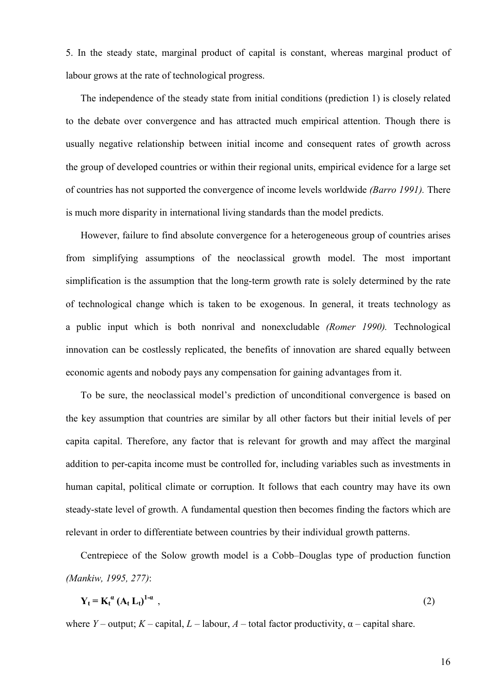5. In the steady state, marginal product of capital is constant, whereas marginal product of labour grows at the rate of technological progress.

The independence of the steady state from initial conditions (prediction 1) is closely related to the debate over convergence and has attracted much empirical attention. Though there is usually negative relationship between initial income and consequent rates of growth across the group of developed countries or within their regional units, empirical evidence for a large set of countries has not supported the convergence of income levels worldwide *(Barro 1991).* There is much more disparity in international living standards than the model predicts.

However, failure to find absolute convergence for a heterogeneous group of countries arises from simplifying assumptions of the neoclassical growth model. The most important simplification is the assumption that the long-term growth rate is solely determined by the rate of technological change which is taken to be exogenous. In general, it treats technology as a public input which is both nonrival and nonexcludable *(Romer 1990).* Technological innovation can be costlessly replicated, the benefits of innovation are shared equally between economic agents and nobody pays any compensation for gaining advantages from it.

To be sure, the neoclassical model's prediction of unconditional convergence is based on the key assumption that countries are similar by all other factors but their initial levels of per capita capital. Therefore, any factor that is relevant for growth and may affect the marginal addition to per-capita income must be controlled for, including variables such as investments in human capital, political climate or corruption. It follows that each country may have its own steady-state level of growth. A fundamental question then becomes finding the factors which are relevant in order to differentiate between countries by their individual growth patterns.

Centrepiece of the Solow growth model is a Cobb–Douglas type of production function *(Mankiw, 1995, 277)*:

$$
Y_t = K_t^a (A_t L_t)^{1-a} , \qquad (2)
$$

where *Y* – output; *K* – capital, *L* – labour, *A* – total factor productivity,  $\alpha$  – capital share.

16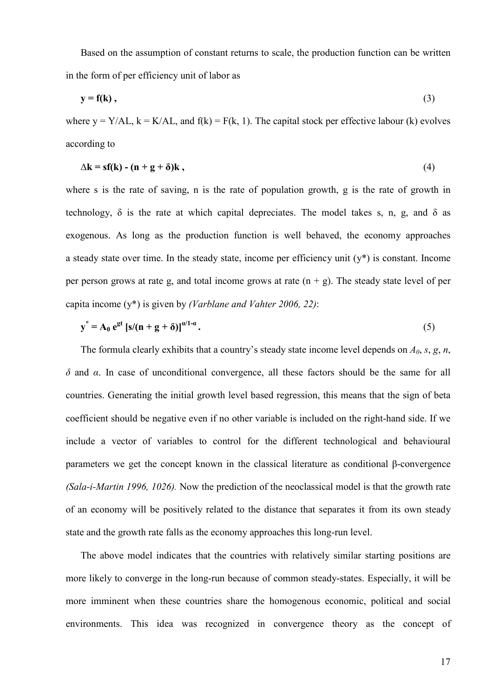Based on the assumption of constant returns to scale, the production function can be written in the form of per efficiency unit of labor as

$$
y = f(k), \tag{3}
$$

where  $y = Y/AL$ ,  $k = K/AL$ , and  $f(k) = F(k, 1)$ . The capital stock per effective labour (k) evolves according to

$$
\Delta k = sf(k) - (n + g + \delta)k, \qquad (4)
$$

where s is the rate of saving, n is the rate of population growth, g is the rate of growth in technology,  $\delta$  is the rate at which capital depreciates. The model takes s, n, g, and  $\delta$  as exogenous. As long as the production function is well behaved, the economy approaches a steady state over time. In the steady state, income per efficiency unit  $(v^*)$  is constant. Income per person grows at rate g, and total income grows at rate  $(n + g)$ . The steady state level of per capita income (y\*) is given by *(Varblane and Vahter 2006, 22)*:

$$
y^* = A_0 e^{gt} [s/(n+g+\delta)]^{\alpha/1-\alpha}.
$$
 (5)

The formula clearly exhibits that a country's steady state income level depends on *A0*, *s*, *g*, *n*, *δ* and *α*. In case of unconditional convergence, all these factors should be the same for all countries. Generating the initial growth level based regression, this means that the sign of beta coefficient should be negative even if no other variable is included on the right-hand side. If we include a vector of variables to control for the different technological and behavioural parameters we get the concept known in the classical literature as conditional β-convergence *(Sala-i-Martin 1996, 1026).* Now the prediction of the neoclassical model is that the growth rate of an economy will be positively related to the distance that separates it from its own steady state and the growth rate falls as the economy approaches this long-run level.

The above model indicates that the countries with relatively similar starting positions are more likely to converge in the long-run because of common steady-states. Especially, it will be more imminent when these countries share the homogenous economic, political and social environments. This idea was recognized in convergence theory as the concept of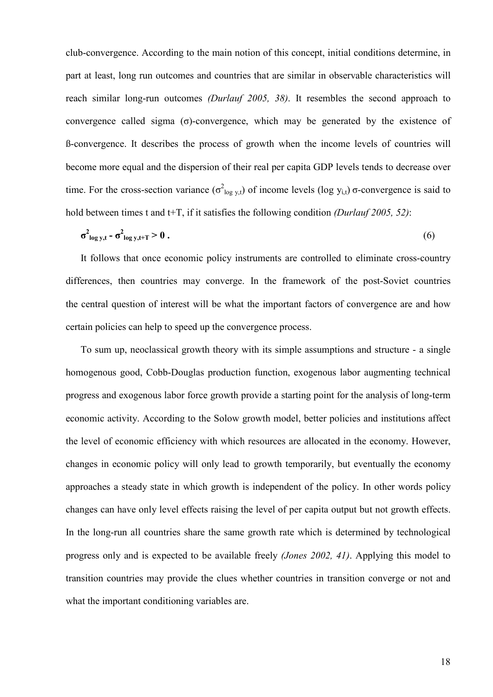club-convergence. According to the main notion of this concept, initial conditions determine, in part at least, long run outcomes and countries that are similar in observable characteristics will reach similar long-run outcomes *(Durlauf 2005, 38)*. It resembles the second approach to convergence called sigma (σ)-convergence, which may be generated by the existence of ß-convergence. It describes the process of growth when the income levels of countries will become more equal and the dispersion of their real per capita GDP levels tends to decrease over time. For the cross-section variance ( $\sigma^2_{log y,t}$ ) of income levels (log y<sub>i,t</sub>)  $\sigma$ -convergence is said to hold between times t and t+T, if it satisfies the following condition *(Durlauf 2005, 52)*:

$$
\sigma_{\log y, t}^2 - \sigma_{\log y, t+T}^2 > 0. \tag{6}
$$

It follows that once economic policy instruments are controlled to eliminate cross-country differences, then countries may converge. In the framework of the post-Soviet countries the central question of interest will be what the important factors of convergence are and how certain policies can help to speed up the convergence process.

To sum up, neoclassical growth theory with its simple assumptions and structure - a single homogenous good, Cobb-Douglas production function, exogenous labor augmenting technical progress and exogenous labor force growth provide a starting point for the analysis of long-term economic activity. According to the Solow growth model, better policies and institutions affect the level of economic efficiency with which resources are allocated in the economy. However, changes in economic policy will only lead to growth temporarily, but eventually the economy approaches a steady state in which growth is independent of the policy. In other words policy changes can have only level effects raising the level of per capita output but not growth effects. In the long-run all countries share the same growth rate which is determined by technological progress only and is expected to be available freely *(Jones 2002, 41)*. Applying this model to transition countries may provide the clues whether countries in transition converge or not and what the important conditioning variables are.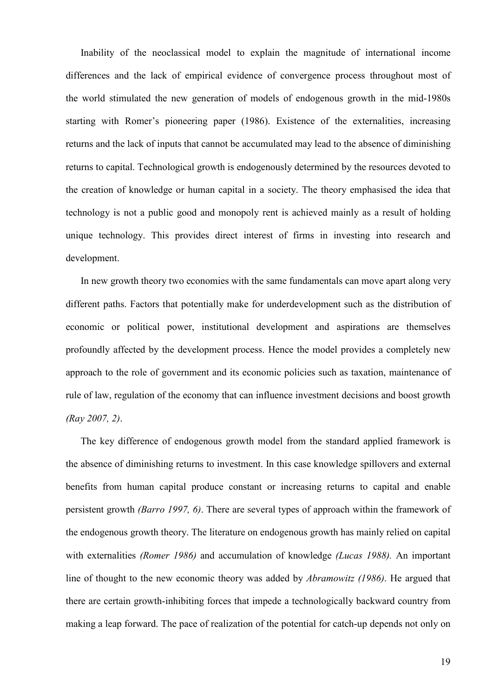Inability of the neoclassical model to explain the magnitude of international income differences and the lack of empirical evidence of convergence process throughout most of the world stimulated the new generation of models of endogenous growth in the mid-1980s starting with Romer's pioneering paper (1986). Existence of the externalities, increasing returns and the lack of inputs that cannot be accumulated may lead to the absence of diminishing returns to capital. Technological growth is endogenously determined by the resources devoted to the creation of knowledge or human capital in a society. The theory emphasised the idea that technology is not a public good and monopoly rent is achieved mainly as a result of holding unique technology. This provides direct interest of firms in investing into research and development.

In new growth theory two economies with the same fundamentals can move apart along very different paths. Factors that potentially make for underdevelopment such as the distribution of economic or political power, institutional development and aspirations are themselves profoundly affected by the development process. Hence the model provides a completely new approach to the role of government and its economic policies such as taxation, maintenance of rule of law, regulation of the economy that can influence investment decisions and boost growth *(Ray 2007, 2)*.

The key difference of endogenous growth model from the standard applied framework is the absence of diminishing returns to investment. In this case knowledge spillovers and external benefits from human capital produce constant or increasing returns to capital and enable persistent growth *(Barro 1997, 6)*. There are several types of approach within the framework of the endogenous growth theory. The literature on endogenous growth has mainly relied on capital with externalities *(Romer 1986)* and accumulation of knowledge *(Lucas 1988).* An important line of thought to the new economic theory was added by *Abramowitz (1986)*. He argued that there are certain growth-inhibiting forces that impede a technologically backward country from making a leap forward. The pace of realization of the potential for catch-up depends not only on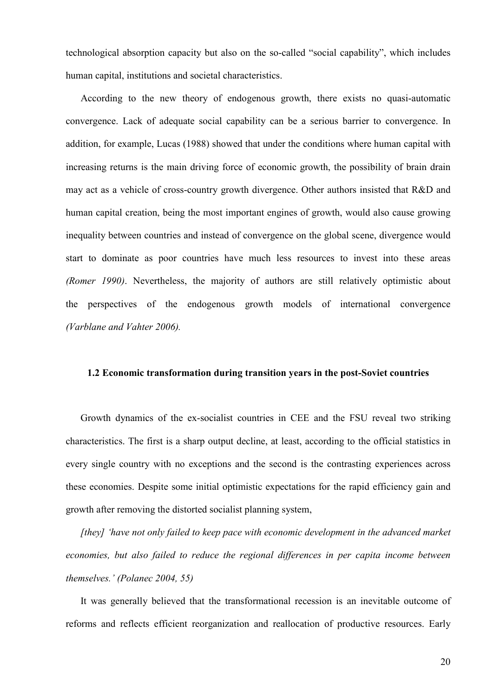technological absorption capacity but also on the so-called "social capability", which includes human capital, institutions and societal characteristics.

According to the new theory of endogenous growth, there exists no quasi-automatic convergence. Lack of adequate social capability can be a serious barrier to convergence. In addition, for example, Lucas (1988) showed that under the conditions where human capital with increasing returns is the main driving force of economic growth, the possibility of brain drain may act as a vehicle of cross-country growth divergence. Other authors insisted that R&D and human capital creation, being the most important engines of growth, would also cause growing inequality between countries and instead of convergence on the global scene, divergence would start to dominate as poor countries have much less resources to invest into these areas *(Romer 1990)*. Nevertheless, the majority of authors are still relatively optimistic about the perspectives of the endogenous growth models of international convergence *(Varblane and Vahter 2006).*

#### **1.2 Economic transformation during transition years in the post-Soviet countries**

Growth dynamics of the ex-socialist countries in CEE and the FSU reveal two striking characteristics. The first is a sharp output decline, at least, according to the official statistics in every single country with no exceptions and the second is the contrasting experiences across these economies. Despite some initial optimistic expectations for the rapid efficiency gain and growth after removing the distorted socialist planning system,

*[they] 'have not only failed to keep pace with economic development in the advanced market economies, but also failed to reduce the regional differences in per capita income between themselves.' (Polanec 2004, 55)* 

It was generally believed that the transformational recession is an inevitable outcome of reforms and reflects efficient reorganization and reallocation of productive resources. Early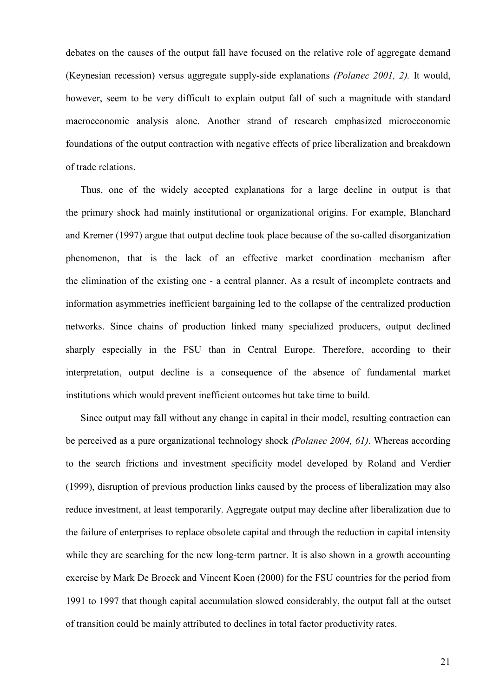debates on the causes of the output fall have focused on the relative role of aggregate demand (Keynesian recession) versus aggregate supply-side explanations *(Polanec 2001, 2).* It would, however, seem to be very difficult to explain output fall of such a magnitude with standard macroeconomic analysis alone. Another strand of research emphasized microeconomic foundations of the output contraction with negative effects of price liberalization and breakdown of trade relations.

Thus, one of the widely accepted explanations for a large decline in output is that the primary shock had mainly institutional or organizational origins. For example, Blanchard and Kremer (1997) argue that output decline took place because of the so-called disorganization phenomenon, that is the lack of an effective market coordination mechanism after the elimination of the existing one - a central planner. As a result of incomplete contracts and information asymmetries inefficient bargaining led to the collapse of the centralized production networks. Since chains of production linked many specialized producers, output declined sharply especially in the FSU than in Central Europe. Therefore, according to their interpretation, output decline is a consequence of the absence of fundamental market institutions which would prevent inefficient outcomes but take time to build.

Since output may fall without any change in capital in their model, resulting contraction can be perceived as a pure organizational technology shock *(Polanec 2004, 61)*. Whereas according to the search frictions and investment specificity model developed by Roland and Verdier (1999), disruption of previous production links caused by the process of liberalization may also reduce investment, at least temporarily. Aggregate output may decline after liberalization due to the failure of enterprises to replace obsolete capital and through the reduction in capital intensity while they are searching for the new long-term partner. It is also shown in a growth accounting exercise by Mark De Broeck and Vincent Koen (2000) for the FSU countries for the period from 1991 to 1997 that though capital accumulation slowed considerably, the output fall at the outset of transition could be mainly attributed to declines in total factor productivity rates.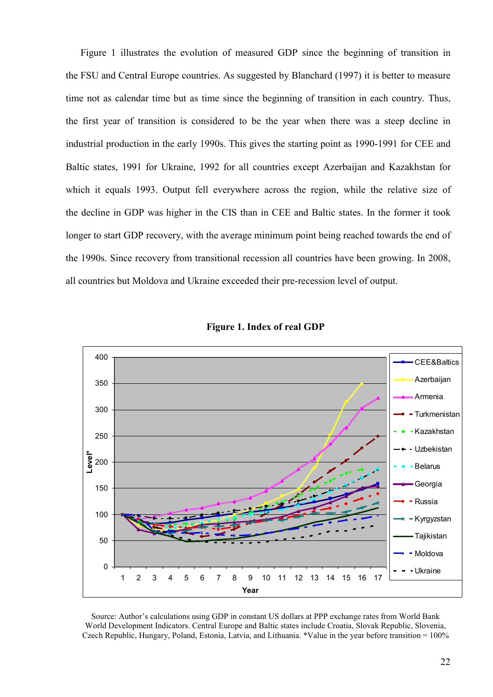Figure 1 illustrates the evolution of measured GDP since the beginning of transition in the FSU and Central Europe countries. As suggested by Blanchard (1997) it is better to measure time not as calendar time but as time since the beginning of transition in each country. Thus, the first year of transition is considered to be the year when there was a steep decline in industrial production in the early 1990s. This gives the starting point as 1990-1991 for CEE and Baltic states, 1991 for Ukraine, 1992 for all countries except Azerbaijan and Kazakhstan for which it equals 1993. Output fell everywhere across the region, while the relative size of the decline in GDP was higher in the CIS than in CEE and Baltic states. In the former it took longer to start GDP recovery, with the average minimum point being reached towards the end of the 1990s. Since recovery from transitional recession all countries have been growing. In 2008, all countries but Moldova and Ukraine exceeded their pre-recession level of output.



**Figure 1. Index of real GDP** 

Source: Author's calculations using GDP in constant US dollars at PPP exchange rates from World Bank World Development Indicators. Central Europe and Baltic states include Croatia, Slovak Republic, Slovenia, Czech Republic, Hungary, Poland, Estonia, Latvia, and Lithuania. \*Value in the year before transition = 100%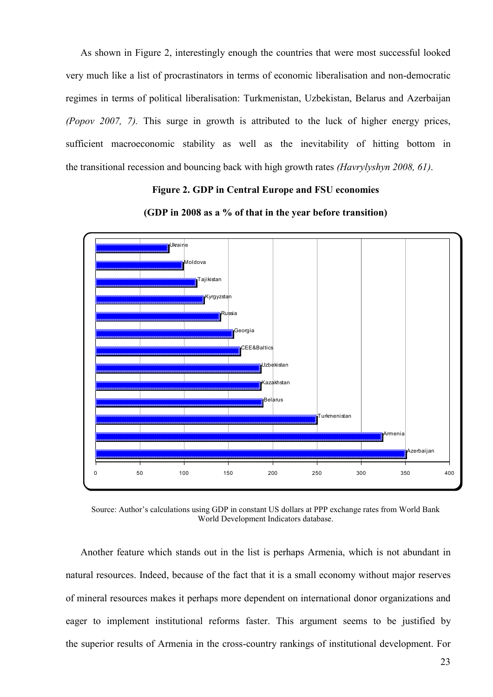As shown in Figure 2, interestingly enough the countries that were most successful looked very much like a list of procrastinators in terms of economic liberalisation and non-democratic regimes in terms of political liberalisation: Turkmenistan, Uzbekistan, Belarus and Azerbaijan *(Popov 2007, 7).* This surge in growth is attributed to the luck of higher energy prices, sufficient macroeconomic stability as well as the inevitability of hitting bottom in the transitional recession and bouncing back with high growth rates *(Havrylyshyn 2008, 61)*.

#### **Figure 2. GDP in Central Europe and FSU economies**



**(GDP in 2008 as a % of that in the year before transition)** 

Source: Author's calculations using GDP in constant US dollars at PPP exchange rates from World Bank World Development Indicators database.

Another feature which stands out in the list is perhaps Armenia, which is not abundant in natural resources. Indeed, because of the fact that it is a small economy without major reserves of mineral resources makes it perhaps more dependent on international donor organizations and eager to implement institutional reforms faster. This argument seems to be justified by the superior results of Armenia in the cross-country rankings of institutional development. For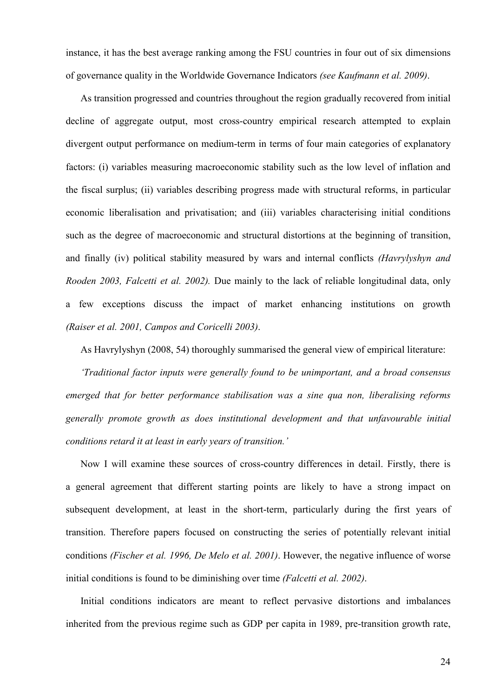instance, it has the best average ranking among the FSU countries in four out of six dimensions of governance quality in the Worldwide Governance Indicators *(see Kaufmann et al. 2009)*.

As transition progressed and countries throughout the region gradually recovered from initial decline of aggregate output, most cross-country empirical research attempted to explain divergent output performance on medium-term in terms of four main categories of explanatory factors: (i) variables measuring macroeconomic stability such as the low level of inflation and the fiscal surplus; (ii) variables describing progress made with structural reforms, in particular economic liberalisation and privatisation; and (iii) variables characterising initial conditions such as the degree of macroeconomic and structural distortions at the beginning of transition, and finally (iv) political stability measured by wars and internal conflicts *(Havrylyshyn and Rooden 2003, Falcetti et al. 2002).* Due mainly to the lack of reliable longitudinal data, only a few exceptions discuss the impact of market enhancing institutions on growth *(Raiser et al. 2001, Campos and Coricelli 2003)*.

As Havrylyshyn (2008, 54) thoroughly summarised the general view of empirical literature:

*'Traditional factor inputs were generally found to be unimportant, and a broad consensus emerged that for better performance stabilisation was a sine qua non, liberalising reforms generally promote growth as does institutional development and that unfavourable initial conditions retard it at least in early years of transition.'* 

Now I will examine these sources of cross-country differences in detail. Firstly, there is a general agreement that different starting points are likely to have a strong impact on subsequent development, at least in the short-term, particularly during the first years of transition. Therefore papers focused on constructing the series of potentially relevant initial conditions *(Fischer et al. 1996, De Melo et al. 2001)*. However, the negative influence of worse initial conditions is found to be diminishing over time *(Falcetti et al. 2002)*.

Initial conditions indicators are meant to reflect pervasive distortions and imbalances inherited from the previous regime such as GDP per capita in 1989, pre-transition growth rate,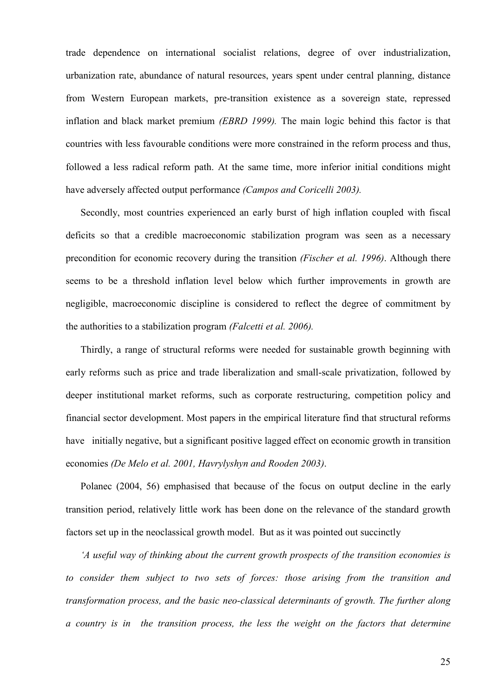trade dependence on international socialist relations, degree of over industrialization, urbanization rate, abundance of natural resources, years spent under central planning, distance from Western European markets, pre-transition existence as a sovereign state, repressed inflation and black market premium *(EBRD 1999).* The main logic behind this factor is that countries with less favourable conditions were more constrained in the reform process and thus, followed a less radical reform path. At the same time, more inferior initial conditions might have adversely affected output performance *(Campos and Coricelli 2003).*

Secondly, most countries experienced an early burst of high inflation coupled with fiscal deficits so that a credible macroeconomic stabilization program was seen as a necessary precondition for economic recovery during the transition *(Fischer et al. 1996)*. Although there seems to be a threshold inflation level below which further improvements in growth are negligible, macroeconomic discipline is considered to reflect the degree of commitment by the authorities to a stabilization program *(Falcetti et al. 2006).*

Thirdly, a range of structural reforms were needed for sustainable growth beginning with early reforms such as price and trade liberalization and small-scale privatization, followed by deeper institutional market reforms, such as corporate restructuring, competition policy and financial sector development. Most papers in the empirical literature find that structural reforms have initially negative, but a significant positive lagged effect on economic growth in transition economies *(De Melo et al. 2001, Havrylyshyn and Rooden 2003)*.

Polanec (2004, 56) emphasised that because of the focus on output decline in the early transition period, relatively little work has been done on the relevance of the standard growth factors set up in the neoclassical growth model. But as it was pointed out succinctly

*'A useful way of thinking about the current growth prospects of the transition economies is to consider them subject to two sets of forces: those arising from the transition and transformation process, and the basic neo-classical determinants of growth. The further along a country is in the transition process, the less the weight on the factors that determine*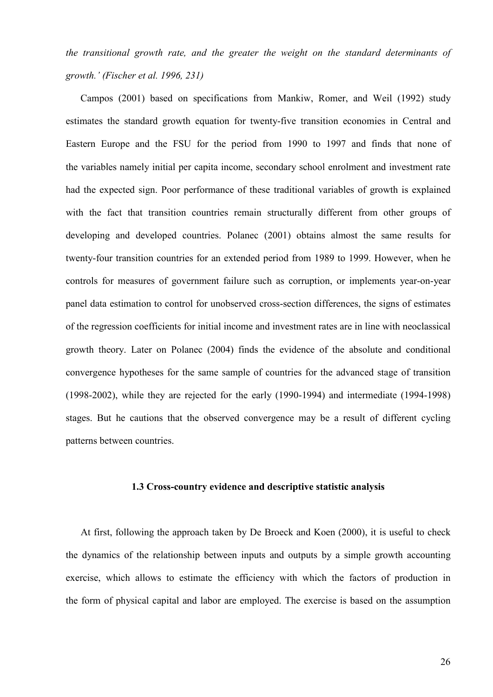*the transitional growth rate, and the greater the weight on the standard determinants of growth.' (Fischer et al. 1996, 231)* 

Campos (2001) based on specifications from Mankiw, Romer, and Weil (1992) study estimates the standard growth equation for twenty-five transition economies in Central and Eastern Europe and the FSU for the period from 1990 to 1997 and finds that none of the variables namely initial per capita income, secondary school enrolment and investment rate had the expected sign. Poor performance of these traditional variables of growth is explained with the fact that transition countries remain structurally different from other groups of developing and developed countries. Polanec (2001) obtains almost the same results for twenty-four transition countries for an extended period from 1989 to 1999. However, when he controls for measures of government failure such as corruption, or implements year-on-year panel data estimation to control for unobserved cross-section differences, the signs of estimates of the regression coefficients for initial income and investment rates are in line with neoclassical growth theory. Later on Polanec (2004) finds the evidence of the absolute and conditional convergence hypotheses for the same sample of countries for the advanced stage of transition (1998-2002), while they are rejected for the early (1990-1994) and intermediate (1994-1998) stages. But he cautions that the observed convergence may be a result of different cycling patterns between countries.

#### **1.3 Cross-country evidence and descriptive statistic analysis**

At first, following the approach taken by De Broeck and Koen (2000), it is useful to check the dynamics of the relationship between inputs and outputs by a simple growth accounting exercise, which allows to estimate the efficiency with which the factors of production in the form of physical capital and labor are employed. The exercise is based on the assumption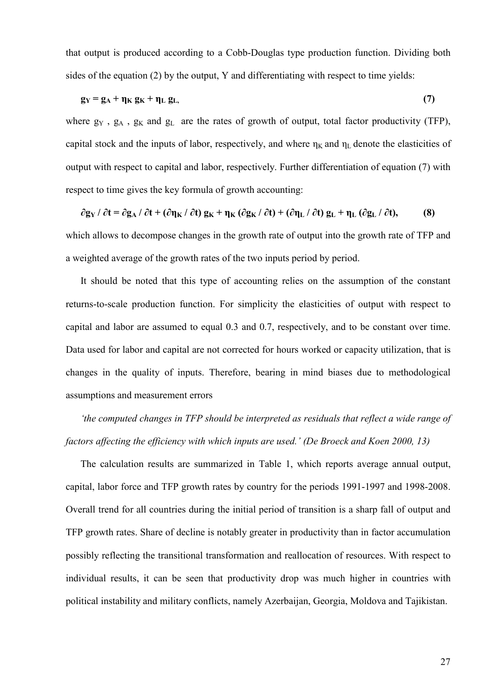that output is produced according to a Cobb-Douglas type production function. Dividing both sides of the equation (2) by the output, Y and differentiating with respect to time yields:

$$
g_Y = g_A + \eta_K g_K + \eta_L g_L, \tag{7}
$$

where  $g_Y$ ,  $g_A$ ,  $g_K$  and  $g_L$  are the rates of growth of output, total factor productivity (TFP), capital stock and the inputs of labor, respectively, and where  $\eta_K$  and  $\eta_L$  denote the elasticities of output with respect to capital and labor, respectively. Further differentiation of equation (7) with respect to time gives the key formula of growth accounting:

 $\partial$ g<sub>Y</sub> /  $\partial$ t =  $\partial$ g<sub>A</sub> /  $\partial$ t + ( $\partial$ n<sub>K</sub> /  $\partial$ t) g<sub>K</sub> + n<sub>K</sub> ( $\partial$ g<sub>K</sub> /  $\partial$ t) + ( $\partial$ n<sub>L</sub> /  $\partial$ t) g<sub>L</sub> + n<sub>L</sub> ( $\partial$ g<sub>L</sub> /  $\partial$ t), (8) which allows to decompose changes in the growth rate of output into the growth rate of TFP and a weighted average of the growth rates of the two inputs period by period.

It should be noted that this type of accounting relies on the assumption of the constant returns-to-scale production function. For simplicity the elasticities of output with respect to capital and labor are assumed to equal 0.3 and 0.7, respectively, and to be constant over time. Data used for labor and capital are not corrected for hours worked or capacity utilization, that is changes in the quality of inputs. Therefore, bearing in mind biases due to methodological assumptions and measurement errors

*'the computed changes in TFP should be interpreted as residuals that reflect a wide range of factors affecting the efficiency with which inputs are used.' (De Broeck and Koen 2000, 13)* 

The calculation results are summarized in Table 1, which reports average annual output, capital, labor force and TFP growth rates by country for the periods 1991-1997 and 1998-2008. Overall trend for all countries during the initial period of transition is a sharp fall of output and TFP growth rates. Share of decline is notably greater in productivity than in factor accumulation possibly reflecting the transitional transformation and reallocation of resources. With respect to individual results, it can be seen that productivity drop was much higher in countries with political instability and military conflicts, namely Azerbaijan, Georgia, Moldova and Tajikistan.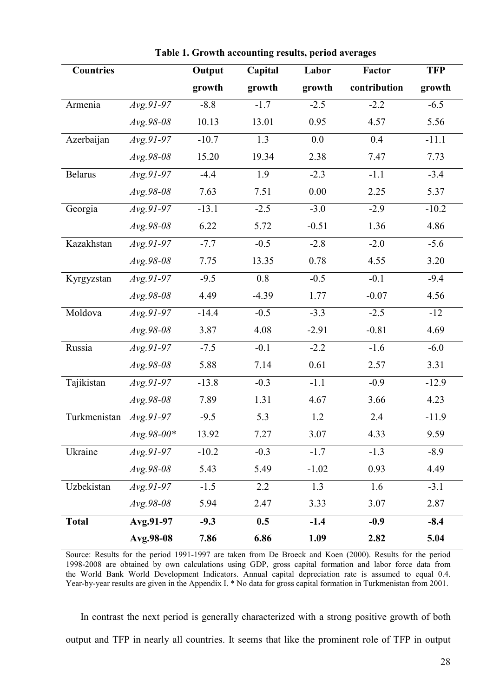| <b>Countries</b> |              | Output  | Capital | Labor    | Factor       | <b>TFP</b> |
|------------------|--------------|---------|---------|----------|--------------|------------|
|                  |              | growth  | growth  | growth   | contribution | growth     |
| Armenia          | $Avg.91-97$  | $-8.8$  | $-1.7$  | $-2.5$   | $-2.2$       | $-6.5$     |
|                  | Avg.98-08    | 10.13   | 13.01   | 0.95     | 4.57         | 5.56       |
| Azerbaijan       | $Avg.91-97$  | $-10.7$ | 1.3     | 0.0      | 0.4          | $-11.1$    |
|                  | Avg.98-08    | 15.20   | 19.34   | 2.38     | 7.47         | 7.73       |
| <b>Belarus</b>   | $Avg.91-97$  | $-4.4$  | 1.9     | $-2.3$   | $-1.1$       | $-3.4$     |
|                  | Avg.98-08    | 7.63    | 7.51    | $0.00\,$ | 2.25         | 5.37       |
| Georgia          | $Avg.91-97$  | $-13.1$ | $-2.5$  | $-3.0$   | $-2.9$       | $-10.2$    |
|                  | Avg.98-08    | 6.22    | 5.72    | $-0.51$  | 1.36         | 4.86       |
| Kazakhstan       | $Avg.91-97$  | $-7.7$  | $-0.5$  | $-2.8$   | $-2.0$       | $-5.6$     |
|                  | Avg.98-08    | 7.75    | 13.35   | 0.78     | 4.55         | 3.20       |
| Kyrgyzstan       | $Avg.91-97$  | $-9.5$  | $0.8\,$ | $-0.5$   | $-0.1$       | $-9.4$     |
|                  | Avg.98-08    | 4.49    | $-4.39$ | 1.77     | $-0.07$      | 4.56       |
| Moldova          | $Avg.91-97$  | $-14.4$ | $-0.5$  | $-3.3$   | $-2.5$       | $-12$      |
|                  | Avg.98-08    | 3.87    | 4.08    | $-2.91$  | $-0.81$      | 4.69       |
| Russia           | $Avg.91-97$  | $-7.5$  | $-0.1$  | $-2.2$   | $-1.6$       | $-6.0$     |
|                  | Avg.98-08    | 5.88    | 7.14    | 0.61     | 2.57         | 3.31       |
| Tajikistan       | $Avg.91-97$  | $-13.8$ | $-0.3$  | $-1.1$   | $-0.9$       | $-12.9$    |
|                  | Avg.98-08    | 7.89    | 1.31    | 4.67     | 3.66         | 4.23       |
| Turkmenistan     | $Avg.91-97$  | $-9.5$  | 5.3     | 1.2      | 2.4          | $-11.9$    |
|                  | $Avg.98-00*$ | 13.92   | 7.27    | 3.07     | 4.33         | 9.59       |
| Ukraine          | $Avg.91-97$  | $-10.2$ | $-0.3$  | $-1.7$   | $-1.3$       | $-8.9$     |
|                  | Avg.98-08    | 5.43    | 5.49    | $-1.02$  | 0.93         | 4.49       |
| Uzbekistan       | $Avg.91-97$  | $-1.5$  | 2.2     | 1.3      | 1.6          | $-3.1$     |
|                  | $Avg.98-08$  | 5.94    | 2.47    | 3.33     | 3.07         | 2.87       |
| <b>Total</b>     | Avg.91-97    | $-9.3$  | 0.5     | $-1.4$   | $-0.9$       | $-8.4$     |
|                  | Avg.98-08    | 7.86    | 6.86    | 1.09     | 2.82         | 5.04       |

**Table 1. Growth accounting results, period averages**

Source: Results for the period 1991-1997 are taken from De Broeck and Koen (2000). Results for the period 1998-2008 are obtained by own calculations using GDP, gross capital formation and labor force data from the World Bank World Development Indicators. Annual capital depreciation rate is assumed to equal 0.4. Year-by-year results are given in the Appendix I. \* No data for gross capital formation in Turkmenistan from 2001.

In contrast the next period is generally characterized with a strong positive growth of both output and TFP in nearly all countries. It seems that like the prominent role of TFP in output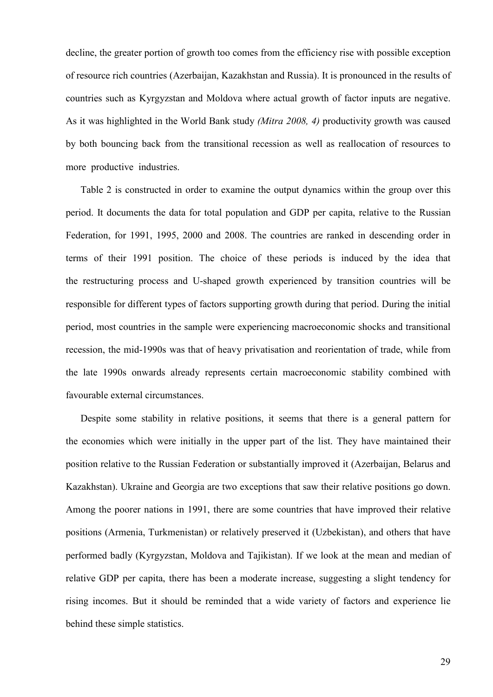decline, the greater portion of growth too comes from the efficiency rise with possible exception of resource rich countries (Azerbaijan, Kazakhstan and Russia). It is pronounced in the results of countries such as Kyrgyzstan and Moldova where actual growth of factor inputs are negative. As it was highlighted in the World Bank study *(Mitra 2008, 4)* productivity growth was caused by both bouncing back from the transitional recession as well as reallocation of resources to more productive industries.

Table 2 is constructed in order to examine the output dynamics within the group over this period. It documents the data for total population and GDP per capita, relative to the Russian Federation, for 1991, 1995, 2000 and 2008. The countries are ranked in descending order in terms of their 1991 position. The choice of these periods is induced by the idea that the restructuring process and U-shaped growth experienced by transition countries will be responsible for different types of factors supporting growth during that period. During the initial period, most countries in the sample were experiencing macroeconomic shocks and transitional recession, the mid-1990s was that of heavy privatisation and reorientation of trade, while from the late 1990s onwards already represents certain macroeconomic stability combined with favourable external circumstances.

Despite some stability in relative positions, it seems that there is a general pattern for the economies which were initially in the upper part of the list. They have maintained their position relative to the Russian Federation or substantially improved it (Azerbaijan, Belarus and Kazakhstan). Ukraine and Georgia are two exceptions that saw their relative positions go down. Among the poorer nations in 1991, there are some countries that have improved their relative positions (Armenia, Turkmenistan) or relatively preserved it (Uzbekistan), and others that have performed badly (Kyrgyzstan, Moldova and Tajikistan). If we look at the mean and median of relative GDP per capita, there has been a moderate increase, suggesting a slight tendency for rising incomes. But it should be reminded that a wide variety of factors and experience lie behind these simple statistics.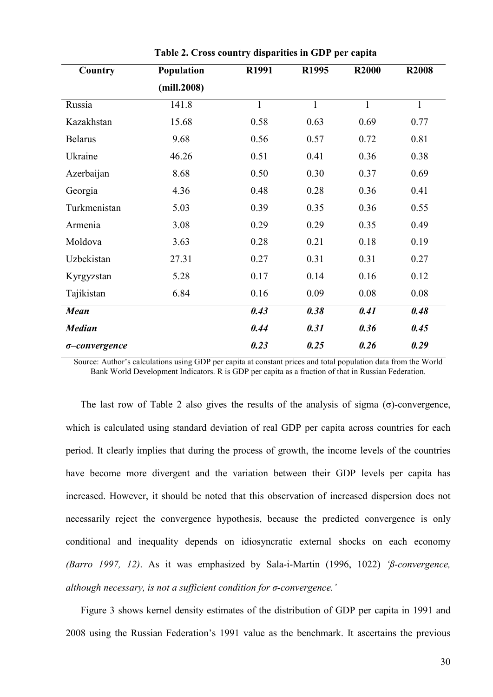| Country        | Population  | R1991        | R1995        | <b>R2000</b> | <b>R2008</b> |
|----------------|-------------|--------------|--------------|--------------|--------------|
|                | (mill.2008) |              |              |              |              |
| Russia         | 141.8       | $\mathbf{1}$ | $\mathbf{1}$ | $\mathbf{1}$ | $\mathbf{1}$ |
| Kazakhstan     | 15.68       | 0.58         | 0.63         | 0.69         | 0.77         |
| <b>Belarus</b> | 9.68        | 0.56         | 0.57         | 0.72         | 0.81         |
| Ukraine        | 46.26       | 0.51         | 0.41         | 0.36         | 0.38         |
| Azerbaijan     | 8.68        | 0.50         | 0.30         | 0.37         | 0.69         |
| Georgia        | 4.36        | 0.48         | 0.28         | 0.36         | 0.41         |
| Turkmenistan   | 5.03        | 0.39         | 0.35         | 0.36         | 0.55         |
| Armenia        | 3.08        | 0.29         | 0.29         | 0.35         | 0.49         |
| Moldova        | 3.63        | 0.28         | 0.21         | 0.18         | 0.19         |
| Uzbekistan     | 27.31       | 0.27         | 0.31         | 0.31         | 0.27         |
| Kyrgyzstan     | 5.28        | 0.17         | 0.14         | 0.16         | 0.12         |
| Tajikistan     | 6.84        | 0.16         | 0.09         | 0.08         | 0.08         |
| <b>Mean</b>    |             | 0.43         | 0.38         | 0.41         | 0.48         |
| <b>Median</b>  |             | 0.44         | 0.31         | 0.36         | 0.45         |
| o-convergence  |             | 0.23         | 0.25         | 0.26         | 0.29         |

**Table 2. Cross country disparities in GDP per capita** 

Source: Author's calculations using GDP per capita at constant prices and total population data from the World Bank World Development Indicators. R is GDP per capita as a fraction of that in Russian Federation.

The last row of Table 2 also gives the results of the analysis of sigma ( $\sigma$ )-convergence, which is calculated using standard deviation of real GDP per capita across countries for each period. It clearly implies that during the process of growth, the income levels of the countries have become more divergent and the variation between their GDP levels per capita has increased. However, it should be noted that this observation of increased dispersion does not necessarily reject the convergence hypothesis, because the predicted convergence is only conditional and inequality depends on idiosyncratic external shocks on each economy *(Barro 1997, 12)*. As it was emphasized by Sala-i-Martin (1996, 1022) *'ß-convergence, although necessary, is not a sufficient condition for σ-convergence.'*

Figure 3 shows kernel density estimates of the distribution of GDP per capita in 1991 and 2008 using the Russian Federation's 1991 value as the benchmark. It ascertains the previous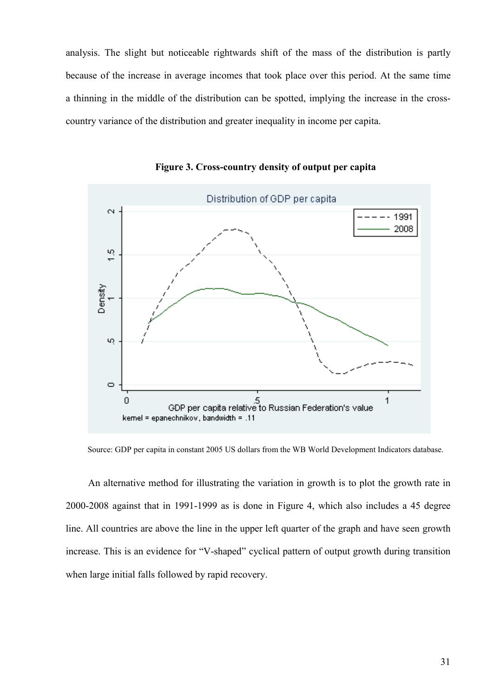analysis. The slight but noticeable rightwards shift of the mass of the distribution is partly because of the increase in average incomes that took place over this period. At the same time a thinning in the middle of the distribution can be spotted, implying the increase in the crosscountry variance of the distribution and greater inequality in income per capita.



**Figure 3. Cross-country density of output per capita** 

Source: GDP per capita in constant 2005 US dollars from the WB World Development Indicators database.

An alternative method for illustrating the variation in growth is to plot the growth rate in 2000-2008 against that in 1991-1999 as is done in Figure 4, which also includes a 45 degree line. All countries are above the line in the upper left quarter of the graph and have seen growth increase. This is an evidence for "V-shaped" cyclical pattern of output growth during transition when large initial falls followed by rapid recovery.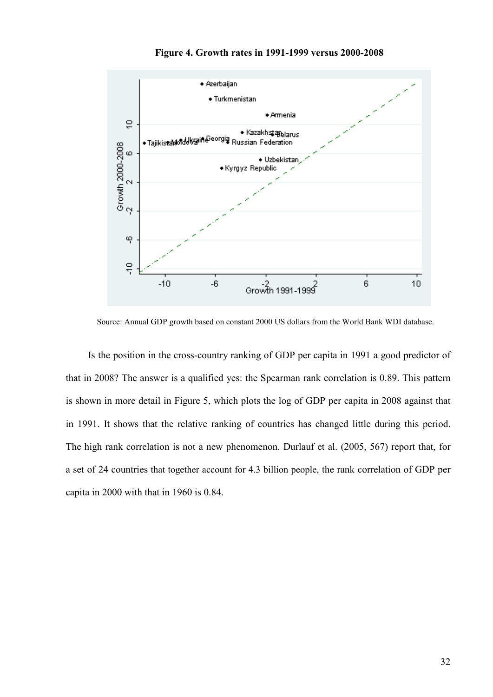



Source: Annual GDP growth based on constant 2000 US dollars from the World Bank WDI database.

Is the position in the cross-country ranking of GDP per capita in 1991 a good predictor of that in 2008? The answer is a qualified yes: the Spearman rank correlation is 0.89. This pattern is shown in more detail in Figure 5, which plots the log of GDP per capita in 2008 against that in 1991. It shows that the relative ranking of countries has changed little during this period. The high rank correlation is not a new phenomenon. Durlauf et al. (2005, 567) report that, for a set of 24 countries that together account for 4.3 billion people, the rank correlation of GDP per capita in 2000 with that in 1960 is 0.84.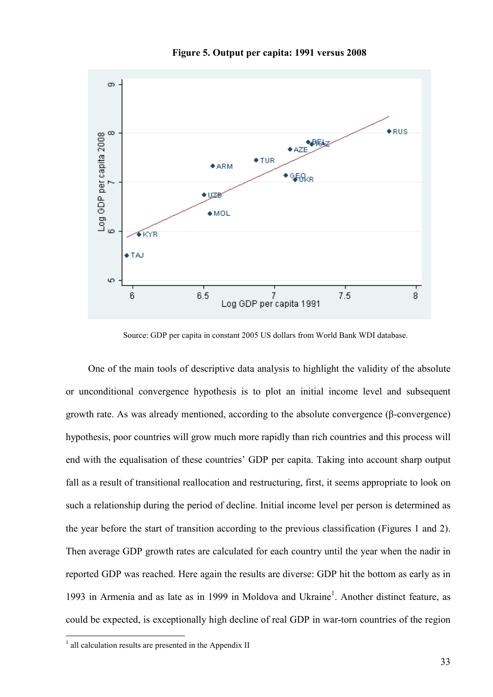

**Figure 5. Output per capita: 1991 versus 2008** 

Source: GDP per capita in constant 2005 US dollars from World Bank WDI database.

One of the main tools of descriptive data analysis to highlight the validity of the absolute or unconditional convergence hypothesis is to plot an initial income level and subsequent growth rate. As was already mentioned, according to the absolute convergence (β-convergence) hypothesis, poor countries will grow much more rapidly than rich countries and this process will end with the equalisation of these countries' GDP per capita. Taking into account sharp output fall as a result of transitional reallocation and restructuring, first, it seems appropriate to look on such a relationship during the period of decline. Initial income level per person is determined as the year before the start of transition according to the previous classification (Figures 1 and 2). Then average GDP growth rates are calculated for each country until the year when the nadir in reported GDP was reached. Here again the results are diverse: GDP hit the bottom as early as in 1993 in Armenia and as late as in 1999 in Moldova and Ukraine<sup>1</sup>. Another distinct feature, as could be expected, is exceptionally high decline of real GDP in war-torn countries of the region

<sup>&</sup>lt;sup>1</sup> all calculation results are presented in the Appendix II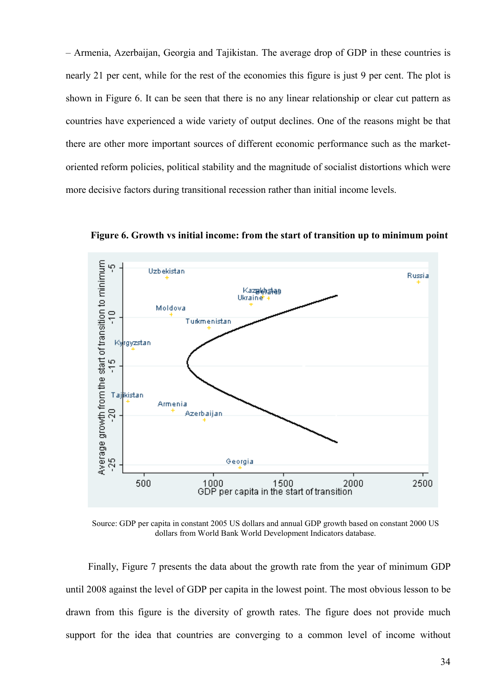– Armenia, Azerbaijan, Georgia and Tajikistan. The average drop of GDP in these countries is nearly 21 per cent, while for the rest of the economies this figure is just 9 per cent. The plot is shown in Figure 6. It can be seen that there is no any linear relationship or clear cut pattern as countries have experienced a wide variety of output declines. One of the reasons might be that there are other more important sources of different economic performance such as the marketoriented reform policies, political stability and the magnitude of socialist distortions which were more decisive factors during transitional recession rather than initial income levels.



**Figure 6. Growth vs initial income: from the start of transition up to minimum point** 

Source: GDP per capita in constant 2005 US dollars and annual GDP growth based on constant 2000 US dollars from World Bank World Development Indicators database.

Finally, Figure 7 presents the data about the growth rate from the year of minimum GDP until 2008 against the level of GDP per capita in the lowest point. The most obvious lesson to be drawn from this figure is the diversity of growth rates. The figure does not provide much support for the idea that countries are converging to a common level of income without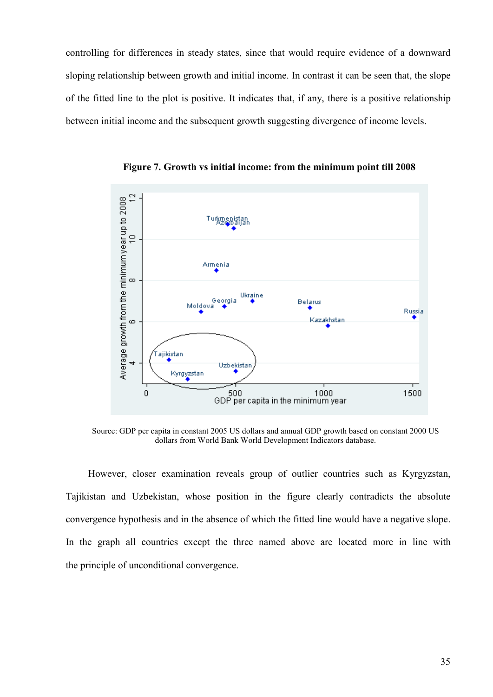controlling for differences in steady states, since that would require evidence of a downward sloping relationship between growth and initial income. In contrast it can be seen that, the slope of the fitted line to the plot is positive. It indicates that, if any, there is a positive relationship between initial income and the subsequent growth suggesting divergence of income levels.



**Figure 7. Growth vs initial income: from the minimum point till 2008** 

Source: GDP per capita in constant 2005 US dollars and annual GDP growth based on constant 2000 US dollars from World Bank World Development Indicators database.

However, closer examination reveals group of outlier countries such as Kyrgyzstan, Tajikistan and Uzbekistan, whose position in the figure clearly contradicts the absolute convergence hypothesis and in the absence of which the fitted line would have a negative slope. In the graph all countries except the three named above are located more in line with the principle of unconditional convergence.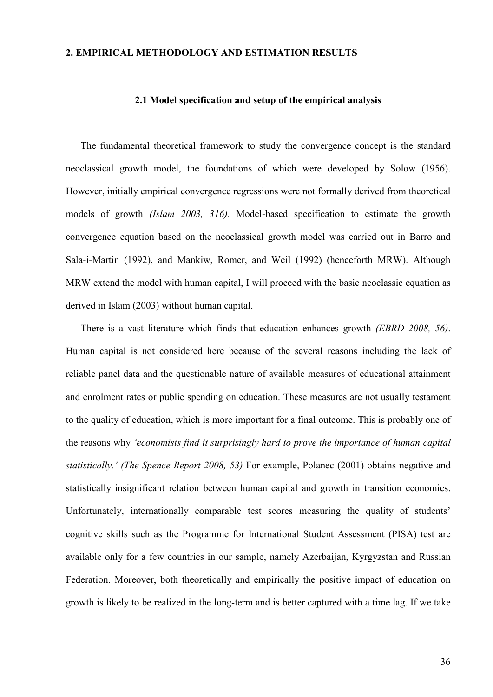### **2.1 Model specification and setup of the empirical analysis**

The fundamental theoretical framework to study the convergence concept is the standard neoclassical growth model, the foundations of which were developed by Solow (1956). However, initially empirical convergence regressions were not formally derived from theoretical models of growth *(Islam 2003, 316).* Model-based specification to estimate the growth convergence equation based on the neoclassical growth model was carried out in Barro and Sala-i-Martin (1992), and Mankiw, Romer, and Weil (1992) (henceforth MRW). Although MRW extend the model with human capital, I will proceed with the basic neoclassic equation as derived in Islam (2003) without human capital.

There is a vast literature which finds that education enhances growth *(EBRD 2008, 56)*. Human capital is not considered here because of the several reasons including the lack of reliable panel data and the questionable nature of available measures of educational attainment and enrolment rates or public spending on education. These measures are not usually testament to the quality of education, which is more important for a final outcome. This is probably one of the reasons why *'economists find it surprisingly hard to prove the importance of human capital statistically.' (The Spence Report 2008, 53)* For example, Polanec (2001) obtains negative and statistically insignificant relation between human capital and growth in transition economies. Unfortunately, internationally comparable test scores measuring the quality of students' cognitive skills such as the Programme for International Student Assessment (PISA) test are available only for a few countries in our sample, namely Azerbaijan, Kyrgyzstan and Russian Federation. Moreover, both theoretically and empirically the positive impact of education on growth is likely to be realized in the long-term and is better captured with a time lag. If we take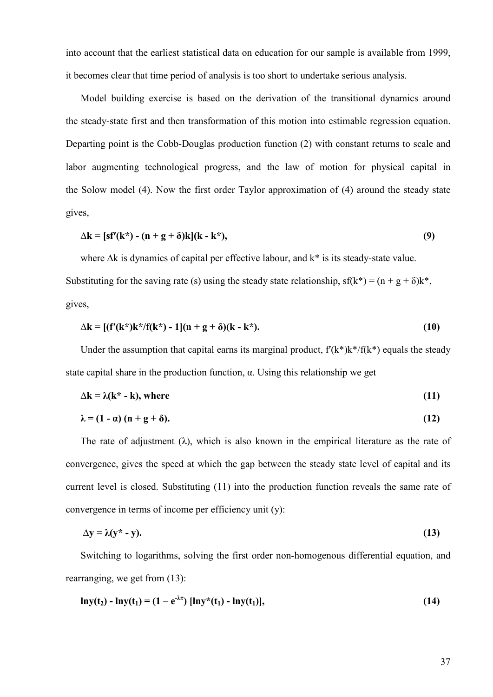into account that the earliest statistical data on education for our sample is available from 1999, it becomes clear that time period of analysis is too short to undertake serious analysis.

Model building exercise is based on the derivation of the transitional dynamics around the steady-state first and then transformation of this motion into estimable regression equation. Departing point is the Cobb-Douglas production function (2) with constant returns to scale and labor augmenting technological progress, and the law of motion for physical capital in the Solow model (4). Now the first order Taylor approximation of (4) around the steady state gives,

$$
\Delta k = [s f'(k^*) - (n + g + \delta)k](k - k^*), \tag{9}
$$

where ∆k is dynamics of capital per effective labour, and k\* is its steady-state value.

Substituting for the saving rate (s) using the steady state relationship,  $sf(k*) = (n + g + \delta)k^*$ , gives,

$$
\Delta k = [ (f'(k^*)k^* / f(k^*) - 1] (n + g + \delta) (k - k^*).
$$
 (10)

Under the assumption that capital earns its marginal product,  $f'(k^*)k'/f(k^*)$  equals the steady state capital share in the production function,  $\alpha$ . Using this relationship we get

$$
\Delta k = \lambda (k^* - k), \text{ where } \tag{11}
$$

$$
\lambda = (1 - \alpha) (n + g + \delta). \tag{12}
$$

The rate of adjustment ( $\lambda$ ), which is also known in the empirical literature as the rate of convergence, gives the speed at which the gap between the steady state level of capital and its current level is closed. Substituting (11) into the production function reveals the same rate of convergence in terms of income per efficiency unit (y):

$$
\Delta y = \lambda (y^* - y). \tag{13}
$$

Switching to logarithms, solving the first order non-homogenous differential equation, and rearranging, we get from (13):

$$
\ln y(t_2) - \ln y(t_1) = (1 - e^{-\lambda \tau}) [\ln y^*(t_1) - \ln y(t_1)], \qquad (14)
$$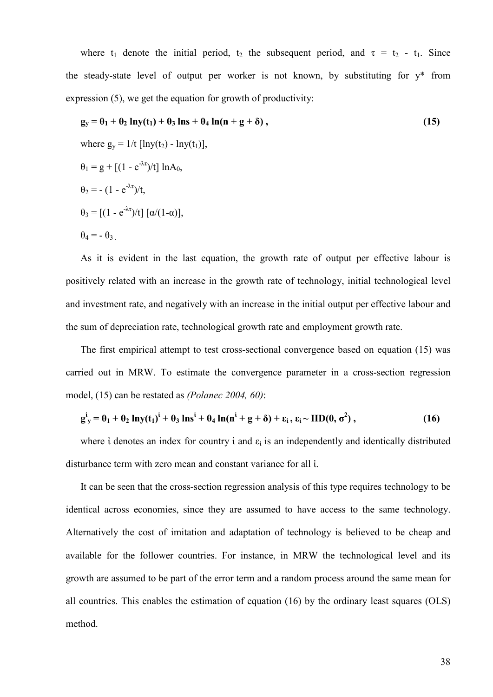where t<sub>1</sub> denote the initial period, t<sub>2</sub> the subsequent period, and  $\tau = t_2 - t_1$ . Since the steady-state level of output per worker is not known, by substituting for y\* from expression (5), we get the equation for growth of productivity:

$$
\mathbf{g}_{y} = \mathbf{\theta}_{1} + \mathbf{\theta}_{2} \ln y(\mathbf{t}_{1}) + \mathbf{\theta}_{3} \ln s + \mathbf{\theta}_{4} \ln(n + g + \delta),
$$
\nwhere  $g_{y} = 1/t$  [lny(t<sub>2</sub>) - lny(t<sub>1</sub>)],  
\n $\mathbf{\theta}_{1} = g + [(1 - e^{-\lambda \tau})/t] \ln A_{0},$   
\n $\mathbf{\theta}_{2} = -(1 - e^{-\lambda \tau})/t,$   
\n $\mathbf{\theta}_{3} = [(1 - e^{-\lambda \tau})/t] [\alpha/(1-\alpha)],$   
\n $\mathbf{\theta}_{4} = -\mathbf{\theta}_{3}.$  (15)

As it is evident in the last equation, the growth rate of output per effective labour is positively related with an increase in the growth rate of technology, initial technological level and investment rate, and negatively with an increase in the initial output per effective labour and the sum of depreciation rate, technological growth rate and employment growth rate.

The first empirical attempt to test cross-sectional convergence based on equation (15) was carried out in MRW. To estimate the convergence parameter in a cross-section regression model, (15) can be restated as *(Polanec 2004, 60)*:

$$
g^{i}_{y} = \theta_{1} + \theta_{2} \ln y(t_{1})^{i} + \theta_{3} \ln s^{i} + \theta_{4} \ln(n^{i} + g + \delta) + \epsilon_{i}, \epsilon_{i} \sim \text{IID}(0, \sigma^{2}),
$$
\n(16)

where *i* denotes an index for country *i* and  $\varepsilon_i$  is an independently and identically distributed disturbance term with zero mean and constant variance for all ἰ.

It can be seen that the cross-section regression analysis of this type requires technology to be identical across economies, since they are assumed to have access to the same technology. Alternatively the cost of imitation and adaptation of technology is believed to be cheap and available for the follower countries. For instance, in MRW the technological level and its growth are assumed to be part of the error term and a random process around the same mean for all countries. This enables the estimation of equation (16) by the ordinary least squares (OLS) method.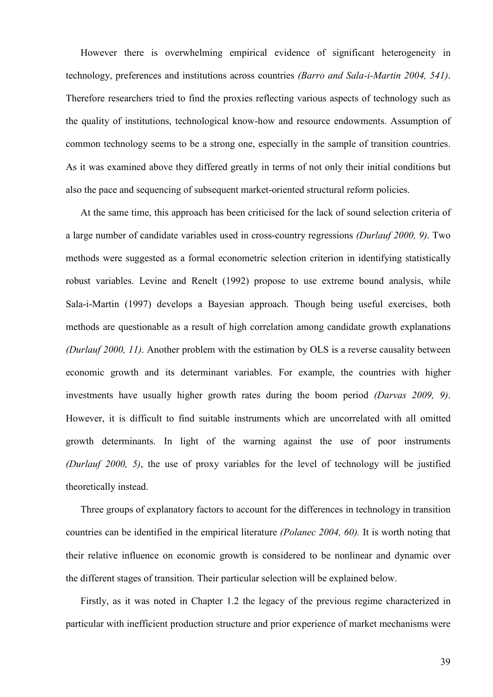However there is overwhelming empirical evidence of significant heterogeneity in technology, preferences and institutions across countries *(Barro and Sala-i-Martin 2004, 541)*. Therefore researchers tried to find the proxies reflecting various aspects of technology such as the quality of institutions, technological know-how and resource endowments. Assumption of common technology seems to be a strong one, especially in the sample of transition countries. As it was examined above they differed greatly in terms of not only their initial conditions but also the pace and sequencing of subsequent market-oriented structural reform policies.

At the same time, this approach has been criticised for the lack of sound selection criteria of a large number of candidate variables used in cross-country regressions *(Durlauf 2000, 9)*. Two methods were suggested as a formal econometric selection criterion in identifying statistically robust variables. Levine and Renelt (1992) propose to use extreme bound analysis, while Sala-i-Martin (1997) develops a Bayesian approach. Though being useful exercises, both methods are questionable as a result of high correlation among candidate growth explanations *(Durlauf 2000, 11)*. Another problem with the estimation by OLS is a reverse causality between economic growth and its determinant variables. For example, the countries with higher investments have usually higher growth rates during the boom period *(Darvas 2009, 9)*. However, it is difficult to find suitable instruments which are uncorrelated with all omitted growth determinants. In light of the warning against the use of poor instruments *(Durlauf 2000, 5)*, the use of proxy variables for the level of technology will be justified theoretically instead.

Three groups of explanatory factors to account for the differences in technology in transition countries can be identified in the empirical literature *(Polanec 2004, 60).* It is worth noting that their relative influence on economic growth is considered to be nonlinear and dynamic over the different stages of transition. Their particular selection will be explained below.

Firstly, as it was noted in Chapter 1.2 the legacy of the previous regime characterized in particular with inefficient production structure and prior experience of market mechanisms were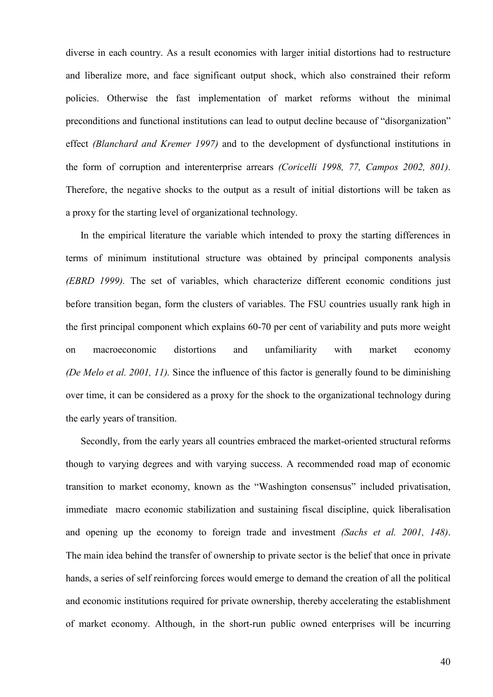diverse in each country. As a result economies with larger initial distortions had to restructure and liberalize more, and face significant output shock, which also constrained their reform policies. Otherwise the fast implementation of market reforms without the minimal preconditions and functional institutions can lead to output decline because of "disorganization" effect *(Blanchard and Kremer 1997)* and to the development of dysfunctional institutions in the form of corruption and interenterprise arrears *(Coricelli 1998, 77, Campos 2002, 801)*. Therefore, the negative shocks to the output as a result of initial distortions will be taken as a proxy for the starting level of organizational technology.

In the empirical literature the variable which intended to proxy the starting differences in terms of minimum institutional structure was obtained by principal components analysis *(EBRD 1999).* The set of variables, which characterize different economic conditions just before transition began, form the clusters of variables. The FSU countries usually rank high in the first principal component which explains 60-70 per cent of variability and puts more weight on macroeconomic distortions and unfamiliarity with market economy *(De Melo et al. 2001, 11).* Since the influence of this factor is generally found to be diminishing over time, it can be considered as a proxy for the shock to the organizational technology during the early years of transition.

Secondly, from the early years all countries embraced the market-oriented structural reforms though to varying degrees and with varying success. A recommended road map of economic transition to market economy, known as the "Washington consensus" included privatisation, immediate macro economic stabilization and sustaining fiscal discipline, quick liberalisation and opening up the economy to foreign trade and investment *(Sachs et al. 2001, 148)*. The main idea behind the transfer of ownership to private sector is the belief that once in private hands, a series of self reinforcing forces would emerge to demand the creation of all the political and economic institutions required for private ownership, thereby accelerating the establishment of market economy. Although, in the short-run public owned enterprises will be incurring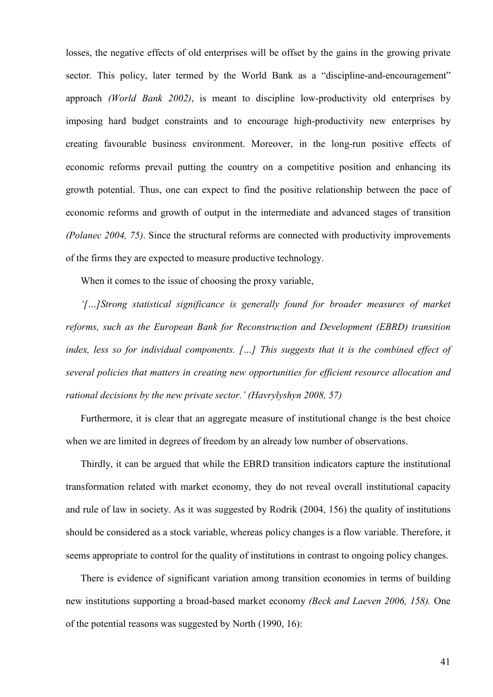losses, the negative effects of old enterprises will be offset by the gains in the growing private sector. This policy, later termed by the World Bank as a "discipline-and-encouragement" approach *(World Bank 2002)*, is meant to discipline low-productivity old enterprises by imposing hard budget constraints and to encourage high-productivity new enterprises by creating favourable business environment. Moreover, in the long-run positive effects of economic reforms prevail putting the country on a competitive position and enhancing its growth potential. Thus, one can expect to find the positive relationship between the pace of economic reforms and growth of output in the intermediate and advanced stages of transition *(Polanec 2004, 75)*. Since the structural reforms are connected with productivity improvements of the firms they are expected to measure productive technology.

When it comes to the issue of choosing the proxy variable,

*'[…]Strong statistical significance is generally found for broader measures of market reforms, such as the European Bank for Reconstruction and Development (EBRD) transition index, less so for individual components. […] This suggests that it is the combined effect of several policies that matters in creating new opportunities for efficient resource allocation and rational decisions by the new private sector.' (Havrylyshyn 2008, 57)* 

Furthermore, it is clear that an aggregate measure of institutional change is the best choice when we are limited in degrees of freedom by an already low number of observations.

Thirdly, it can be argued that while the EBRD transition indicators capture the institutional transformation related with market economy, they do not reveal overall institutional capacity and rule of law in society. As it was suggested by Rodrik (2004, 156) the quality of institutions should be considered as a stock variable, whereas policy changes is a flow variable. Therefore, it seems appropriate to control for the quality of institutions in contrast to ongoing policy changes.

There is evidence of significant variation among transition economies in terms of building new institutions supporting a broad-based market economy *(Beck and Laeven 2006, 158).* One of the potential reasons was suggested by North (1990, 16):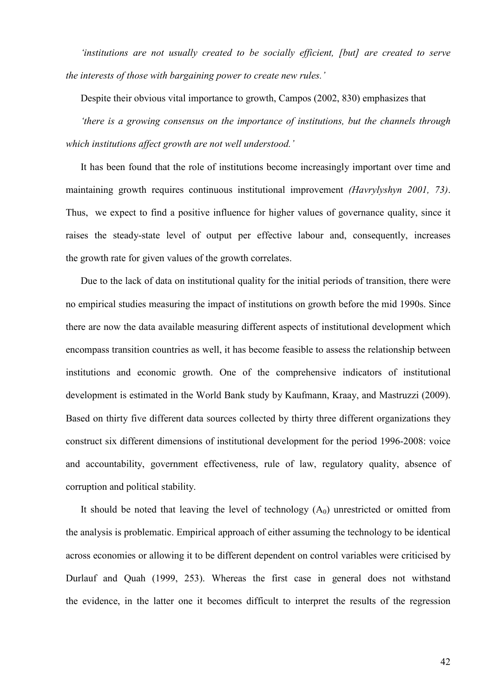*'institutions are not usually created to be socially efficient, [but] are created to serve the interests of those with bargaining power to create new rules.'* 

Despite their obvious vital importance to growth, Campos (2002, 830) emphasizes that

*'there is a growing consensus on the importance of institutions, but the channels through which institutions affect growth are not well understood.'* 

It has been found that the role of institutions become increasingly important over time and maintaining growth requires continuous institutional improvement *(Havrylyshyn 2001, 73)*. Thus, we expect to find a positive influence for higher values of governance quality, since it raises the steady-state level of output per effective labour and, consequently, increases the growth rate for given values of the growth correlates.

Due to the lack of data on institutional quality for the initial periods of transition, there were no empirical studies measuring the impact of institutions on growth before the mid 1990s. Since there are now the data available measuring different aspects of institutional development which encompass transition countries as well, it has become feasible to assess the relationship between institutions and economic growth. One of the comprehensive indicators of institutional development is estimated in the World Bank study by Kaufmann, Kraay, and Mastruzzi (2009). Based on thirty five different data sources collected by thirty three different organizations they construct six different dimensions of institutional development for the period 1996-2008: voice and accountability, government effectiveness, rule of law, regulatory quality, absence of corruption and political stability.

It should be noted that leaving the level of technology  $(A<sub>0</sub>)$  unrestricted or omitted from the analysis is problematic. Empirical approach of either assuming the technology to be identical across economies or allowing it to be different dependent on control variables were criticised by Durlauf and Quah (1999, 253). Whereas the first case in general does not withstand the evidence, in the latter one it becomes difficult to interpret the results of the regression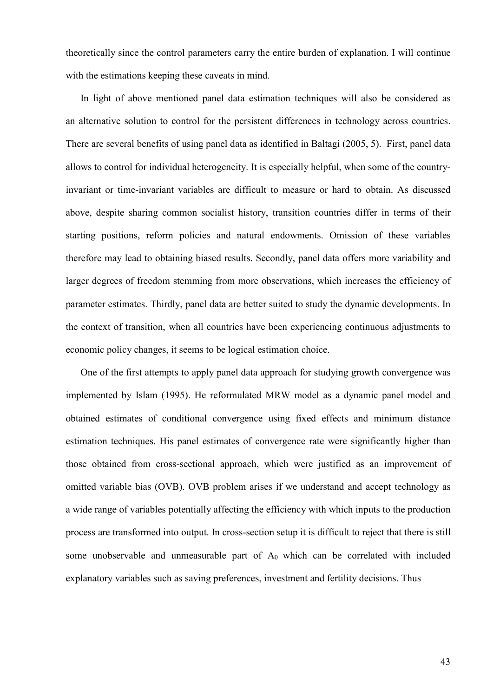theoretically since the control parameters carry the entire burden of explanation. I will continue with the estimations keeping these caveats in mind.

In light of above mentioned panel data estimation techniques will also be considered as an alternative solution to control for the persistent differences in technology across countries. There are several benefits of using panel data as identified in Baltagi (2005, 5). First, panel data allows to control for individual heterogeneity. It is especially helpful, when some of the countryinvariant or time-invariant variables are difficult to measure or hard to obtain. As discussed above, despite sharing common socialist history, transition countries differ in terms of their starting positions, reform policies and natural endowments. Omission of these variables therefore may lead to obtaining biased results. Secondly, panel data offers more variability and larger degrees of freedom stemming from more observations, which increases the efficiency of parameter estimates. Thirdly, panel data are better suited to study the dynamic developments. In the context of transition, when all countries have been experiencing continuous adjustments to economic policy changes, it seems to be logical estimation choice.

One of the first attempts to apply panel data approach for studying growth convergence was implemented by Islam (1995). He reformulated MRW model as a dynamic panel model and obtained estimates of conditional convergence using fixed effects and minimum distance estimation techniques. His panel estimates of convergence rate were significantly higher than those obtained from cross-sectional approach, which were justified as an improvement of omitted variable bias (OVB). OVB problem arises if we understand and accept technology as a wide range of variables potentially affecting the efficiency with which inputs to the production process are transformed into output. In cross-section setup it is difficult to reject that there is still some unobservable and unmeasurable part of  $A_0$  which can be correlated with included explanatory variables such as saving preferences, investment and fertility decisions. Thus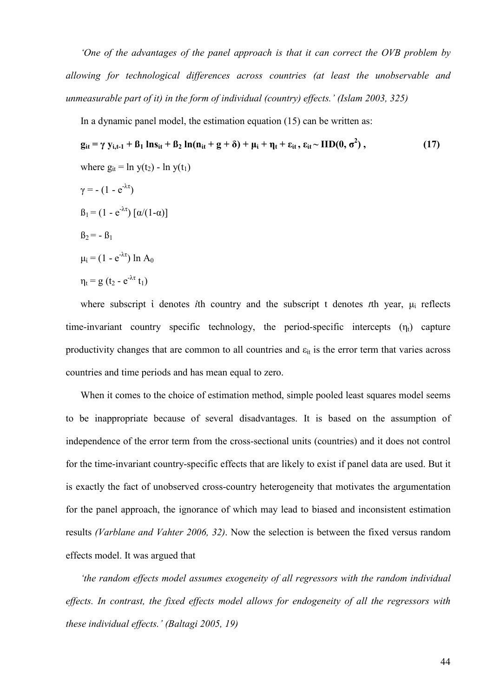*'One of the advantages of the panel approach is that it can correct the OVB problem by allowing for technological differences across countries (at least the unobservable and unmeasurable part of it) in the form of individual (country) effects.' (Islam 2003, 325)* 

In a dynamic panel model, the estimation equation (15) can be written as:

$$
\mathbf{g}_{it} = \gamma \mathbf{y}_{i,t-1} + \mathbf{B}_1 \ln \mathbf{s}_{it} + \mathbf{B}_2 \ln(\mathbf{n}_{it} + \mathbf{g} + \delta) + \mu_i + \eta_t + \varepsilon_{it}, \varepsilon_{it} \sim \text{IID}(0, \sigma^2),
$$
\n(17)  
\nwhere 
$$
g_{it} = \ln y(t_2) - \ln y(t_1)
$$
\n
$$
\gamma = -(1 - e^{-\lambda \tau})
$$
\n
$$
\beta_1 = (1 - e^{-\lambda \tau}) [\alpha/(1-\alpha)]
$$
\n
$$
\beta_2 = -\beta_1
$$
\n
$$
\mu_i = (1 - e^{-\lambda \tau}) \ln A_0
$$
\n
$$
\eta_t = g(t_2 - e^{-\lambda \tau} t_1)
$$

where subscript *i* denotes *i*th country and the subscript t denotes *t*th year,  $\mu_i$  reflects time-invariant country specific technology, the period-specific intercepts  $(\eta_t)$  capture productivity changes that are common to all countries and  $\varepsilon_{it}$  is the error term that varies across countries and time periods and has mean equal to zero.

When it comes to the choice of estimation method, simple pooled least squares model seems to be inappropriate because of several disadvantages. It is based on the assumption of independence of the error term from the cross-sectional units (countries) and it does not control for the time-invariant country-specific effects that are likely to exist if panel data are used. But it is exactly the fact of unobserved cross-country heterogeneity that motivates the argumentation for the panel approach, the ignorance of which may lead to biased and inconsistent estimation results *(Varblane and Vahter 2006, 32)*. Now the selection is between the fixed versus random effects model. It was argued that

*'the random effects model assumes exogeneity of all regressors with the random individual*  effects. In contrast, the fixed effects model allows for endogeneity of all the regressors with *these individual effects.' (Baltagi 2005, 19)*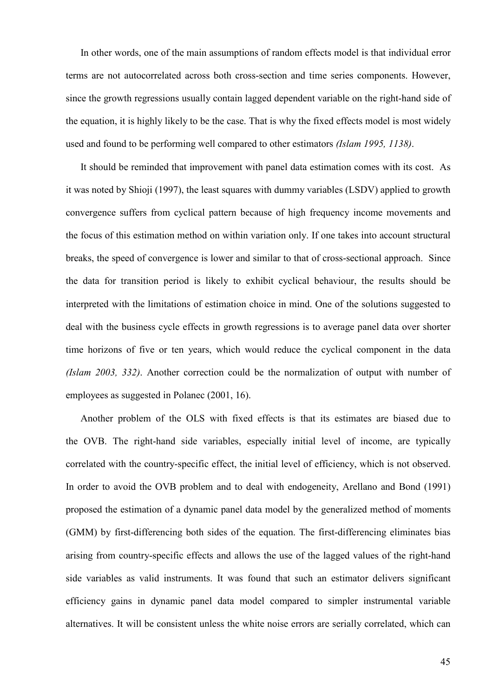In other words, one of the main assumptions of random effects model is that individual error terms are not autocorrelated across both cross-section and time series components. However, since the growth regressions usually contain lagged dependent variable on the right-hand side of the equation, it is highly likely to be the case. That is why the fixed effects model is most widely used and found to be performing well compared to other estimators *(Islam 1995, 1138)*.

It should be reminded that improvement with panel data estimation comes with its cost. As it was noted by Shioji (1997), the least squares with dummy variables (LSDV) applied to growth convergence suffers from cyclical pattern because of high frequency income movements and the focus of this estimation method on within variation only. If one takes into account structural breaks, the speed of convergence is lower and similar to that of cross-sectional approach. Since the data for transition period is likely to exhibit cyclical behaviour, the results should be interpreted with the limitations of estimation choice in mind. One of the solutions suggested to deal with the business cycle effects in growth regressions is to average panel data over shorter time horizons of five or ten years, which would reduce the cyclical component in the data *(Islam 2003, 332)*. Another correction could be the normalization of output with number of employees as suggested in Polanec (2001, 16).

Another problem of the OLS with fixed effects is that its estimates are biased due to the OVB. The right-hand side variables, especially initial level of income, are typically correlated with the country-specific effect, the initial level of efficiency, which is not observed. In order to avoid the OVB problem and to deal with endogeneity, Arellano and Bond (1991) proposed the estimation of a dynamic panel data model by the generalized method of moments (GMM) by first-differencing both sides of the equation. The first-differencing eliminates bias arising from country-specific effects and allows the use of the lagged values of the right-hand side variables as valid instruments. It was found that such an estimator delivers significant efficiency gains in dynamic panel data model compared to simpler instrumental variable alternatives. It will be consistent unless the white noise errors are serially correlated, which can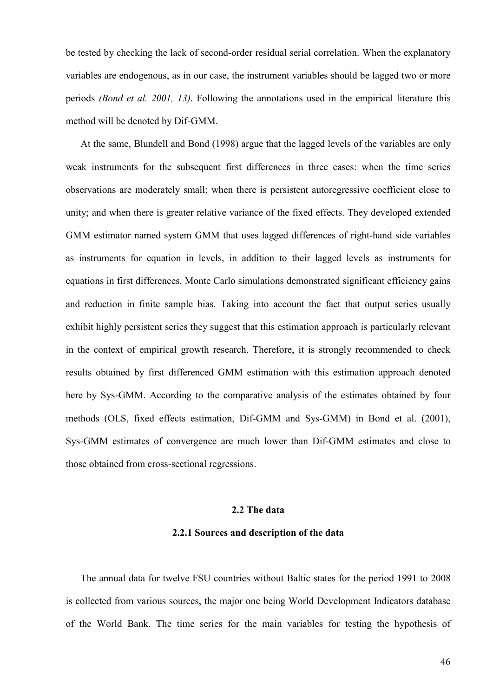be tested by checking the lack of second-order residual serial correlation. When the explanatory variables are endogenous, as in our case, the instrument variables should be lagged two or more periods *(Bond et al. 2001, 13)*. Following the annotations used in the empirical literature this method will be denoted by Dif-GMM.

At the same, Blundell and Bond (1998) argue that the lagged levels of the variables are only weak instruments for the subsequent first differences in three cases: when the time series observations are moderately small; when there is persistent autoregressive coefficient close to unity; and when there is greater relative variance of the fixed effects. They developed extended GMM estimator named system GMM that uses lagged differences of right-hand side variables as instruments for equation in levels, in addition to their lagged levels as instruments for equations in first differences. Monte Carlo simulations demonstrated significant efficiency gains and reduction in finite sample bias. Taking into account the fact that output series usually exhibit highly persistent series they suggest that this estimation approach is particularly relevant in the context of empirical growth research. Therefore, it is strongly recommended to check results obtained by first differenced GMM estimation with this estimation approach denoted here by Sys-GMM. According to the comparative analysis of the estimates obtained by four methods (OLS, fixed effects estimation, Dif-GMM and Sys-GMM) in Bond et al. (2001), Sys-GMM estimates of convergence are much lower than Dif-GMM estimates and close to those obtained from cross-sectional regressions.

### **2.2 The data**

#### **2.2.1 Sources and description of the data**

The annual data for twelve FSU countries without Baltic states for the period 1991 to 2008 is collected from various sources, the major one being World Development Indicators database of the World Bank. The time series for the main variables for testing the hypothesis of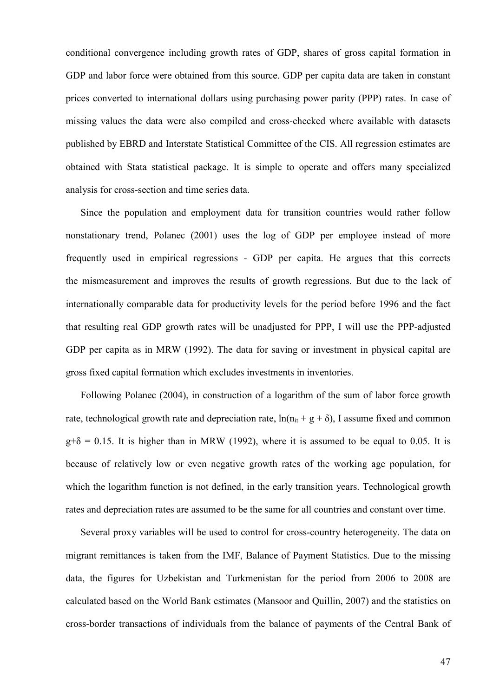conditional convergence including growth rates of GDP, shares of gross capital formation in GDP and labor force were obtained from this source. GDP per capita data are taken in constant prices converted to international dollars using purchasing power parity (PPP) rates. In case of missing values the data were also compiled and cross-checked where available with datasets published by EBRD and Interstate Statistical Committee of the CIS. All regression estimates are obtained with Stata statistical package. It is simple to operate and offers many specialized analysis for cross-section and time series data.

Since the population and employment data for transition countries would rather follow nonstationary trend, Polanec (2001) uses the log of GDP per employee instead of more frequently used in empirical regressions - GDP per capita. He argues that this corrects the mismeasurement and improves the results of growth regressions. But due to the lack of internationally comparable data for productivity levels for the period before 1996 and the fact that resulting real GDP growth rates will be unadjusted for PPP, I will use the PPP-adjusted GDP per capita as in MRW (1992). The data for saving or investment in physical capital are gross fixed capital formation which excludes investments in inventories.

Following Polanec (2004), in construction of a logarithm of the sum of labor force growth rate, technological growth rate and depreciation rate,  $ln(n_{it} + g + \delta)$ , I assume fixed and common  $g+\delta = 0.15$ . It is higher than in MRW (1992), where it is assumed to be equal to 0.05. It is because of relatively low or even negative growth rates of the working age population, for which the logarithm function is not defined, in the early transition years. Technological growth rates and depreciation rates are assumed to be the same for all countries and constant over time.

Several proxy variables will be used to control for cross-country heterogeneity. The data on migrant remittances is taken from the IMF, Balance of Payment Statistics. Due to the missing data, the figures for Uzbekistan and Turkmenistan for the period from 2006 to 2008 are calculated based on the World Bank estimates (Mansoor and Quillin, 2007) and the statistics on cross-border transactions of individuals from the balance of payments of the Central Bank of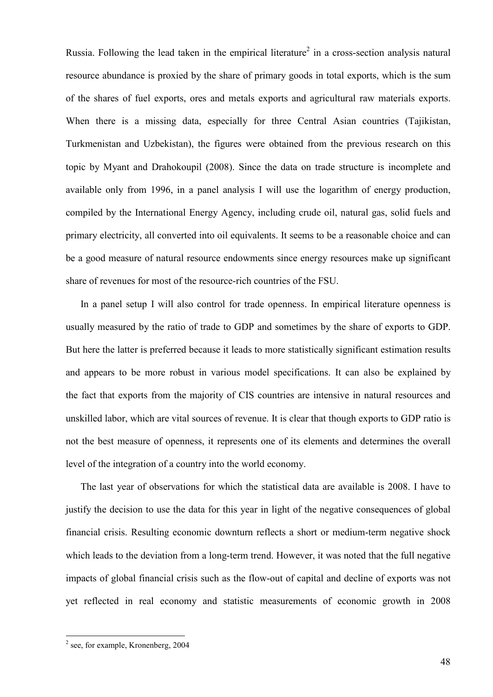Russia. Following the lead taken in the empirical literature<sup>2</sup> in a cross-section analysis natural resource abundance is proxied by the share of primary goods in total exports, which is the sum of the shares of fuel exports, ores and metals exports and agricultural raw materials exports. When there is a missing data, especially for three Central Asian countries (Tajikistan, Turkmenistan and Uzbekistan), the figures were obtained from the previous research on this topic by Myant and Drahokoupil (2008). Since the data on trade structure is incomplete and available only from 1996, in a panel analysis I will use the logarithm of energy production, compiled by the International Energy Agency, including crude oil, natural gas, solid fuels and primary electricity, all converted into oil equivalents. It seems to be a reasonable choice and can be a good measure of natural resource endowments since energy resources make up significant share of revenues for most of the resource-rich countries of the FSU.

In a panel setup I will also control for trade openness. In empirical literature openness is usually measured by the ratio of trade to GDP and sometimes by the share of exports to GDP. But here the latter is preferred because it leads to more statistically significant estimation results and appears to be more robust in various model specifications. It can also be explained by the fact that exports from the majority of CIS countries are intensive in natural resources and unskilled labor, which are vital sources of revenue. It is clear that though exports to GDP ratio is not the best measure of openness, it represents one of its elements and determines the overall level of the integration of a country into the world economy.

The last year of observations for which the statistical data are available is 2008. I have to justify the decision to use the data for this year in light of the negative consequences of global financial crisis. Resulting economic downturn reflects a short or medium-term negative shock which leads to the deviation from a long-term trend. However, it was noted that the full negative impacts of global financial crisis such as the flow-out of capital and decline of exports was not yet reflected in real economy and statistic measurements of economic growth in 2008

<sup>&</sup>lt;sup>2</sup> see, for example, Kronenberg, 2004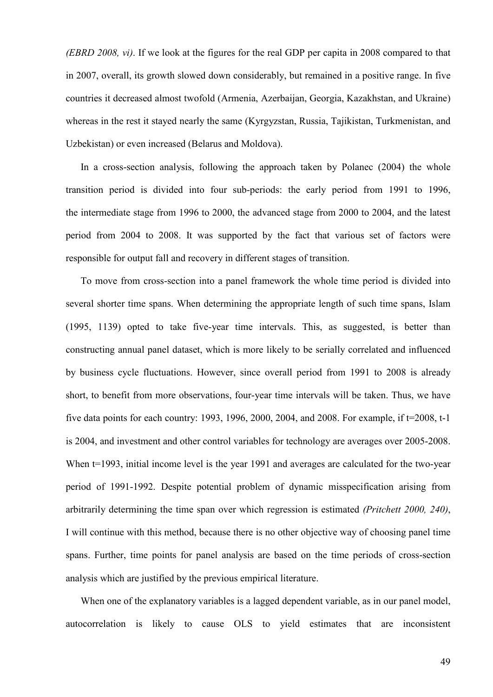*(EBRD 2008, vi)*. If we look at the figures for the real GDP per capita in 2008 compared to that in 2007, overall, its growth slowed down considerably, but remained in a positive range. In five countries it decreased almost twofold (Armenia, Azerbaijan, Georgia, Kazakhstan, and Ukraine) whereas in the rest it stayed nearly the same (Kyrgyzstan, Russia, Tajikistan, Turkmenistan, and Uzbekistan) or even increased (Belarus and Moldova).

In a cross-section analysis, following the approach taken by Polanec (2004) the whole transition period is divided into four sub-periods: the early period from 1991 to 1996, the intermediate stage from 1996 to 2000, the advanced stage from 2000 to 2004, and the latest period from 2004 to 2008. It was supported by the fact that various set of factors were responsible for output fall and recovery in different stages of transition.

To move from cross-section into a panel framework the whole time period is divided into several shorter time spans. When determining the appropriate length of such time spans, Islam (1995, 1139) opted to take five-year time intervals. This, as suggested, is better than constructing annual panel dataset, which is more likely to be serially correlated and influenced by business cycle fluctuations. However, since overall period from 1991 to 2008 is already short, to benefit from more observations, four-year time intervals will be taken. Thus, we have five data points for each country: 1993, 1996, 2000, 2004, and 2008. For example, if t=2008, t-1 is 2004, and investment and other control variables for technology are averages over 2005-2008. When t=1993, initial income level is the year 1991 and averages are calculated for the two-year period of 1991-1992. Despite potential problem of dynamic misspecification arising from arbitrarily determining the time span over which regression is estimated *(Pritchett 2000, 240)*, I will continue with this method, because there is no other objective way of choosing panel time spans. Further, time points for panel analysis are based on the time periods of cross-section analysis which are justified by the previous empirical literature.

When one of the explanatory variables is a lagged dependent variable, as in our panel model, autocorrelation is likely to cause OLS to yield estimates that are inconsistent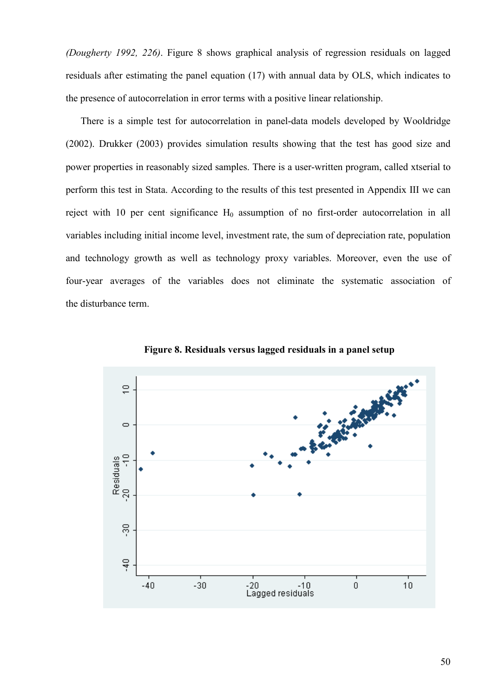*(Dougherty 1992, 226)*. Figure 8 shows graphical analysis of regression residuals on lagged residuals after estimating the panel equation (17) with annual data by OLS, which indicates to the presence of autocorrelation in error terms with a positive linear relationship.

There is a simple test for autocorrelation in panel-data models developed by Wooldridge (2002). Drukker (2003) provides simulation results showing that the test has good size and power properties in reasonably sized samples. There is a user-written program, called xtserial to perform this test in Stata. According to the results of this test presented in Appendix III we can reject with 10 per cent significance  $H_0$  assumption of no first-order autocorrelation in all variables including initial income level, investment rate, the sum of depreciation rate, population and technology growth as well as technology proxy variables. Moreover, even the use of four-year averages of the variables does not eliminate the systematic association of the disturbance term.



**Figure 8. Residuals versus lagged residuals in a panel setup**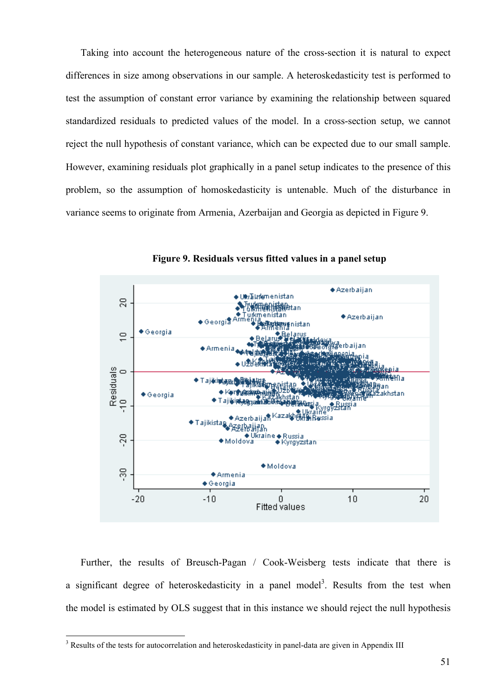Taking into account the heterogeneous nature of the cross-section it is natural to expect differences in size among observations in our sample. A heteroskedasticity test is performed to test the assumption of constant error variance by examining the relationship between squared standardized residuals to predicted values of the model. In a cross-section setup, we cannot reject the null hypothesis of constant variance, which can be expected due to our small sample. However, examining residuals plot graphically in a panel setup indicates to the presence of this problem, so the assumption of homoskedasticity is untenable. Much of the disturbance in variance seems to originate from Armenia, Azerbaijan and Georgia as depicted in Figure 9.



**Figure 9. Residuals versus fitted values in a panel setup** 

Further, the results of Breusch-Pagan / Cook-Weisberg tests indicate that there is a significant degree of heteroskedasticity in a panel model<sup>3</sup>. Results from the test when the model is estimated by OLS suggest that in this instance we should reject the null hypothesis

<sup>&</sup>lt;sup>3</sup> Results of the tests for autocorrelation and heteroskedasticity in panel-data are given in Appendix III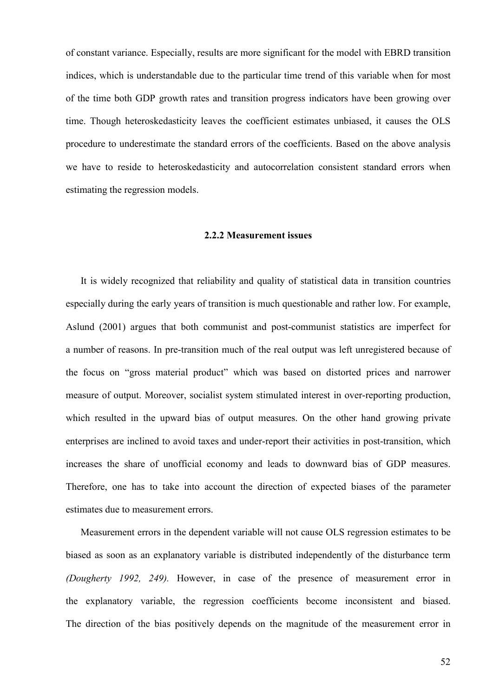of constant variance. Especially, results are more significant for the model with EBRD transition indices, which is understandable due to the particular time trend of this variable when for most of the time both GDP growth rates and transition progress indicators have been growing over time. Though heteroskedasticity leaves the coefficient estimates unbiased, it causes the OLS procedure to underestimate the standard errors of the coefficients. Based on the above analysis we have to reside to heteroskedasticity and autocorrelation consistent standard errors when estimating the regression models.

## **2.2.2 Measurement issues**

It is widely recognized that reliability and quality of statistical data in transition countries especially during the early years of transition is much questionable and rather low. For example, Aslund (2001) argues that both communist and post-communist statistics are imperfect for a number of reasons. In pre-transition much of the real output was left unregistered because of the focus on "gross material product" which was based on distorted prices and narrower measure of output. Moreover, socialist system stimulated interest in over-reporting production, which resulted in the upward bias of output measures. On the other hand growing private enterprises are inclined to avoid taxes and under-report their activities in post-transition, which increases the share of unofficial economy and leads to downward bias of GDP measures. Therefore, one has to take into account the direction of expected biases of the parameter estimates due to measurement errors.

Measurement errors in the dependent variable will not cause OLS regression estimates to be biased as soon as an explanatory variable is distributed independently of the disturbance term *(Dougherty 1992, 249).* However, in case of the presence of measurement error in the explanatory variable, the regression coefficients become inconsistent and biased. The direction of the bias positively depends on the magnitude of the measurement error in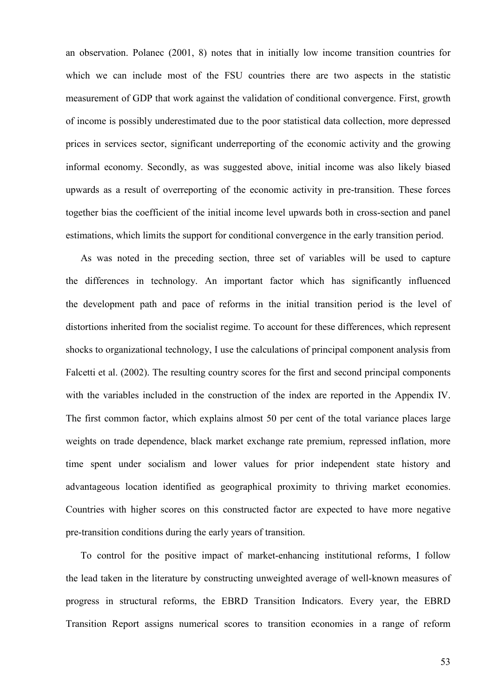an observation. Polanec (2001, 8) notes that in initially low income transition countries for which we can include most of the FSU countries there are two aspects in the statistic measurement of GDP that work against the validation of conditional convergence. First, growth of income is possibly underestimated due to the poor statistical data collection, more depressed prices in services sector, significant underreporting of the economic activity and the growing informal economy. Secondly, as was suggested above, initial income was also likely biased upwards as a result of overreporting of the economic activity in pre-transition. These forces together bias the coefficient of the initial income level upwards both in cross-section and panel estimations, which limits the support for conditional convergence in the early transition period.

As was noted in the preceding section, three set of variables will be used to capture the differences in technology. An important factor which has significantly influenced the development path and pace of reforms in the initial transition period is the level of distortions inherited from the socialist regime. To account for these differences, which represent shocks to organizational technology, I use the calculations of principal component analysis from Falcetti et al. (2002). The resulting country scores for the first and second principal components with the variables included in the construction of the index are reported in the Appendix IV. The first common factor, which explains almost 50 per cent of the total variance places large weights on trade dependence, black market exchange rate premium, repressed inflation, more time spent under socialism and lower values for prior independent state history and advantageous location identified as geographical proximity to thriving market economies. Countries with higher scores on this constructed factor are expected to have more negative pre-transition conditions during the early years of transition.

To control for the positive impact of market-enhancing institutional reforms, I follow the lead taken in the literature by constructing unweighted average of well-known measures of progress in structural reforms, the EBRD Transition Indicators. Every year, the EBRD Transition Report assigns numerical scores to transition economies in a range of reform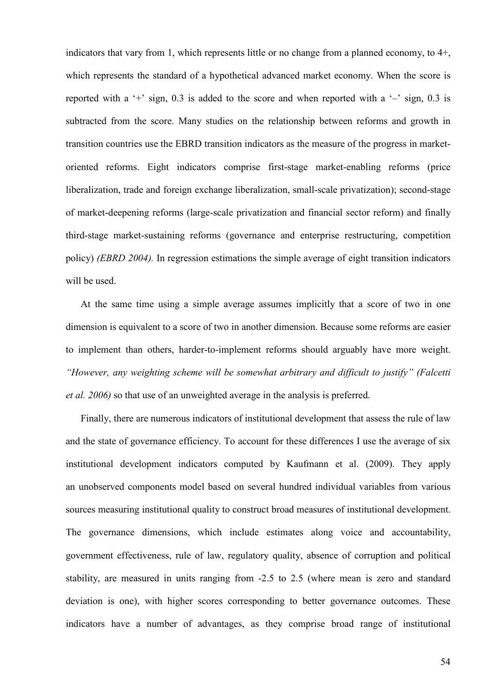indicators that vary from 1, which represents little or no change from a planned economy, to 4+, which represents the standard of a hypothetical advanced market economy. When the score is reported with a '+' sign,  $0.3$  is added to the score and when reported with a '-' sign,  $0.3$  is subtracted from the score. Many studies on the relationship between reforms and growth in transition countries use the EBRD transition indicators as the measure of the progress in marketoriented reforms. Eight indicators comprise first-stage market-enabling reforms (price liberalization, trade and foreign exchange liberalization, small-scale privatization); second-stage of market-deepening reforms (large-scale privatization and financial sector reform) and finally third-stage market-sustaining reforms (governance and enterprise restructuring, competition policy) *(EBRD 2004).* In regression estimations the simple average of eight transition indicators will be used.

At the same time using a simple average assumes implicitly that a score of two in one dimension is equivalent to a score of two in another dimension. Because some reforms are easier to implement than others, harder-to-implement reforms should arguably have more weight. *"However, any weighting scheme will be somewhat arbitrary and difficult to justify" (Falcetti et al. 2006)* so that use of an unweighted average in the analysis is preferred.

Finally, there are numerous indicators of institutional development that assess the rule of law and the state of governance efficiency. To account for these differences I use the average of six institutional development indicators computed by Kaufmann et al. (2009). They apply an unobserved components model based on several hundred individual variables from various sources measuring institutional quality to construct broad measures of institutional development. The governance dimensions, which include estimates along voice and accountability, government effectiveness, rule of law, regulatory quality, absence of corruption and political stability, are measured in units ranging from -2.5 to 2.5 (where mean is zero and standard deviation is one), with higher scores corresponding to better governance outcomes. These indicators have a number of advantages, as they comprise broad range of institutional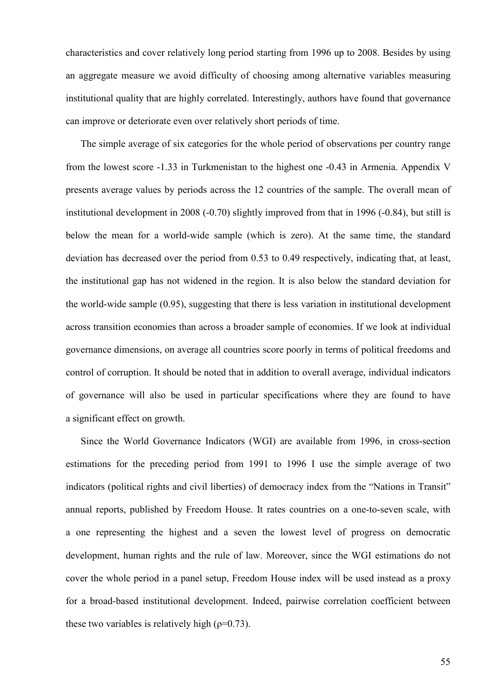characteristics and cover relatively long period starting from 1996 up to 2008. Besides by using an aggregate measure we avoid difficulty of choosing among alternative variables measuring institutional quality that are highly correlated. Interestingly, authors have found that governance can improve or deteriorate even over relatively short periods of time.

The simple average of six categories for the whole period of observations per country range from the lowest score -1.33 in Turkmenistan to the highest one -0.43 in Armenia. Appendix V presents average values by periods across the 12 countries of the sample. The overall mean of institutional development in 2008 (-0.70) slightly improved from that in 1996 (-0.84), but still is below the mean for a world-wide sample (which is zero). At the same time, the standard deviation has decreased over the period from 0.53 to 0.49 respectively, indicating that, at least, the institutional gap has not widened in the region. It is also below the standard deviation for the world-wide sample (0.95), suggesting that there is less variation in institutional development across transition economies than across a broader sample of economies. If we look at individual governance dimensions, on average all countries score poorly in terms of political freedoms and control of corruption. It should be noted that in addition to overall average, individual indicators of governance will also be used in particular specifications where they are found to have a significant effect on growth.

Since the World Governance Indicators (WGI) are available from 1996, in cross-section estimations for the preceding period from 1991 to 1996 I use the simple average of two indicators (political rights and civil liberties) of democracy index from the "Nations in Transit" annual reports, published by Freedom House. It rates countries on a one-to-seven scale, with a one representing the highest and a seven the lowest level of progress on democratic development, human rights and the rule of law. Moreover, since the WGI estimations do not cover the whole period in a panel setup, Freedom House index will be used instead as a proxy for a broad-based institutional development. Indeed, pairwise correlation coefficient between these two variables is relatively high  $(\rho=0.73)$ .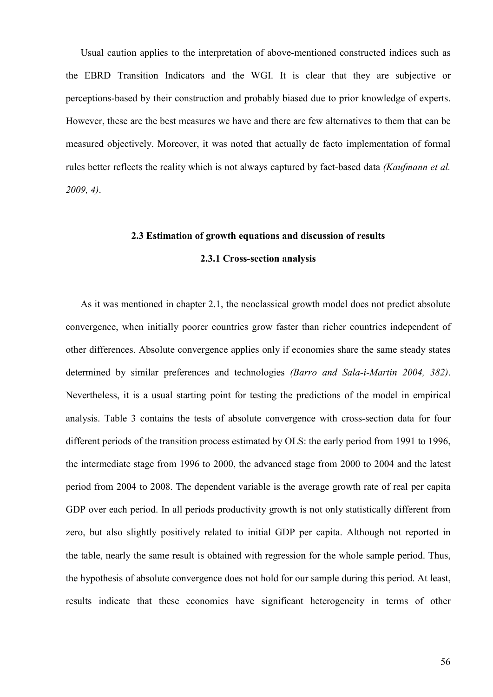Usual caution applies to the interpretation of above-mentioned constructed indices such as the EBRD Transition Indicators and the WGI. It is clear that they are subjective or perceptions-based by their construction and probably biased due to prior knowledge of experts. However, these are the best measures we have and there are few alternatives to them that can be measured objectively. Moreover, it was noted that actually de facto implementation of formal rules better reflects the reality which is not always captured by fact-based data *(Kaufmann et al. 2009, 4)*.

## **2.3 Estimation of growth equations and discussion of results**

# **2.3.1 Cross-section analysis**

As it was mentioned in chapter 2.1, the neoclassical growth model does not predict absolute convergence, when initially poorer countries grow faster than richer countries independent of other differences. Absolute convergence applies only if economies share the same steady states determined by similar preferences and technologies *(Barro and Sala-i-Martin 2004, 382)*. Nevertheless, it is a usual starting point for testing the predictions of the model in empirical analysis. Table 3 contains the tests of absolute convergence with cross-section data for four different periods of the transition process estimated by OLS: the early period from 1991 to 1996, the intermediate stage from 1996 to 2000, the advanced stage from 2000 to 2004 and the latest period from 2004 to 2008. The dependent variable is the average growth rate of real per capita GDP over each period. In all periods productivity growth is not only statistically different from zero, but also slightly positively related to initial GDP per capita. Although not reported in the table, nearly the same result is obtained with regression for the whole sample period. Thus, the hypothesis of absolute convergence does not hold for our sample during this period. At least, results indicate that these economies have significant heterogeneity in terms of other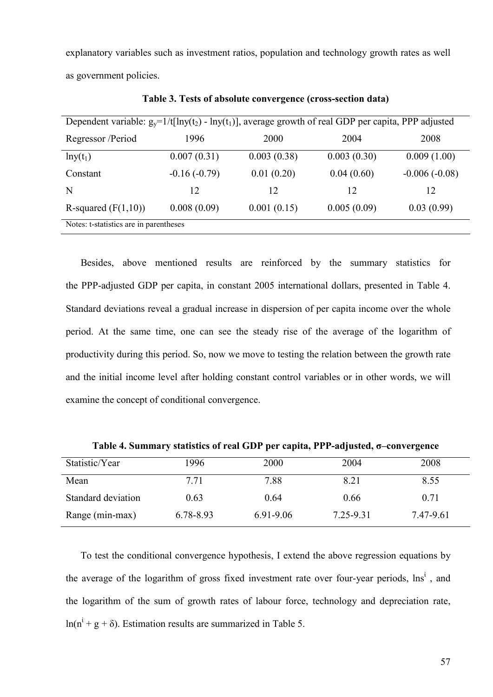explanatory variables such as investment ratios, population and technology growth rates as well as government policies.

| Dependent variable: $g_y=1/t[lny(t_2) - lny(t_1)]$ , average growth of real GDP per capita, PPP adjusted |                |             |             |                 |  |
|----------------------------------------------------------------------------------------------------------|----------------|-------------|-------------|-----------------|--|
| Regressor /Period                                                                                        | 1996           | 2000        | 2004        | 2008            |  |
| $lny(t_1)$                                                                                               | 0.007(0.31)    | 0.003(0.38) | 0.003(0.30) | 0.009(1.00)     |  |
| Constant                                                                                                 | $-0.16(-0.79)$ | 0.01(0.20)  | 0.04(0.60)  | $-0.006(-0.08)$ |  |
| N                                                                                                        | 12             | 12          | 12          | 12              |  |
| R-squared $(F(1,10))$                                                                                    | 0.008(0.09)    | 0.001(0.15) | 0.005(0.09) | 0.03(0.99)      |  |
| Notes: t-statistics are in parentheses                                                                   |                |             |             |                 |  |

**Table 3. Tests of absolute convergence (cross-section data)**

Besides, above mentioned results are reinforced by the summary statistics for the PPP-adjusted GDP per capita, in constant 2005 international dollars, presented in Table 4. Standard deviations reveal a gradual increase in dispersion of per capita income over the whole period. At the same time, one can see the steady rise of the average of the logarithm of productivity during this period. So, now we move to testing the relation between the growth rate and the initial income level after holding constant control variables or in other words, we will examine the concept of conditional convergence.

| Statistic/Year     | 1996      | 2000      | 2004      | 2008      |
|--------------------|-----------|-----------|-----------|-----------|
| Mean               | 7 7 1     | 7.88      | 8.21      | 8.55      |
| Standard deviation | 0.63      | 0.64      | 0.66      | 0.71      |
| Range (min-max)    | 6.78-8.93 | 6.91-9.06 | 7.25-9.31 | 7.47-9.61 |

**Table 4. Summary statistics of real GDP per capita, PPP-adjusted, σ–convergence** 

To test the conditional convergence hypothesis, I extend the above regression equations by the average of the logarithm of gross fixed investment rate over four-year periods, lns<sup>i</sup>, and the logarithm of the sum of growth rates of labour force, technology and depreciation rate,  $ln(n^{i} + g + \delta)$ . Estimation results are summarized in Table 5.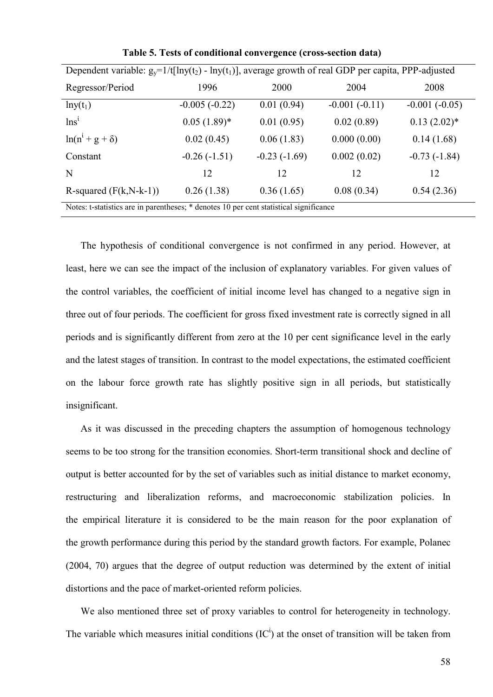| Dependent variable: $g_y=1/t[lny(t_2) - lny(t_1)]$ , average growth of real GDP per capita, PPP-adjusted |                 |                |                 |                 |  |
|----------------------------------------------------------------------------------------------------------|-----------------|----------------|-----------------|-----------------|--|
| Regressor/Period                                                                                         | 1996            | 2000           | 2004            | 2008            |  |
| $lny(t_1)$                                                                                               | $-0.005(-0.22)$ | 0.01(0.94)     | $-0.001(-0.11)$ | $-0.001(-0.05)$ |  |
| $\ln s^i$                                                                                                | $0.05(1.89)$ *  | 0.01(0.95)     | 0.02(0.89)      | $0.13(2.02)^*$  |  |
| $ln(n^1 + g + \delta)$                                                                                   | 0.02(0.45)      | 0.06(1.83)     | 0.000(0.00)     | 0.14(1.68)      |  |
| Constant                                                                                                 | $-0.26(-1.51)$  | $-0.23(-1.69)$ | 0.002(0.02)     | $-0.73(-1.84)$  |  |
| N                                                                                                        | 12              | 12             | 12              | 12              |  |
| R-squared $(F(k, N-k-1))$                                                                                | 0.26(1.38)      | 0.36(1.65)     | 0.08(0.34)      | 0.54(2.36)      |  |
| Notes: t-statistics are in parentheses: * denotes 10 per cent statistical significance                   |                 |                |                 |                 |  |

**Table 5. Tests of conditional convergence (cross-section data)** 

Notes: t-statistics are in parentheses; \* denotes 10 per cent statistical significance

The hypothesis of conditional convergence is not confirmed in any period. However, at least, here we can see the impact of the inclusion of explanatory variables. For given values of the control variables, the coefficient of initial income level has changed to a negative sign in three out of four periods. The coefficient for gross fixed investment rate is correctly signed in all periods and is significantly different from zero at the 10 per cent significance level in the early and the latest stages of transition. In contrast to the model expectations, the estimated coefficient on the labour force growth rate has slightly positive sign in all periods, but statistically insignificant.

As it was discussed in the preceding chapters the assumption of homogenous technology seems to be too strong for the transition economies. Short-term transitional shock and decline of output is better accounted for by the set of variables such as initial distance to market economy, restructuring and liberalization reforms, and macroeconomic stabilization policies. In the empirical literature it is considered to be the main reason for the poor explanation of the growth performance during this period by the standard growth factors. For example, Polanec (2004, 70) argues that the degree of output reduction was determined by the extent of initial distortions and the pace of market-oriented reform policies.

We also mentioned three set of proxy variables to control for heterogeneity in technology. The variable which measures initial conditions  $(IC^i)$  at the onset of transition will be taken from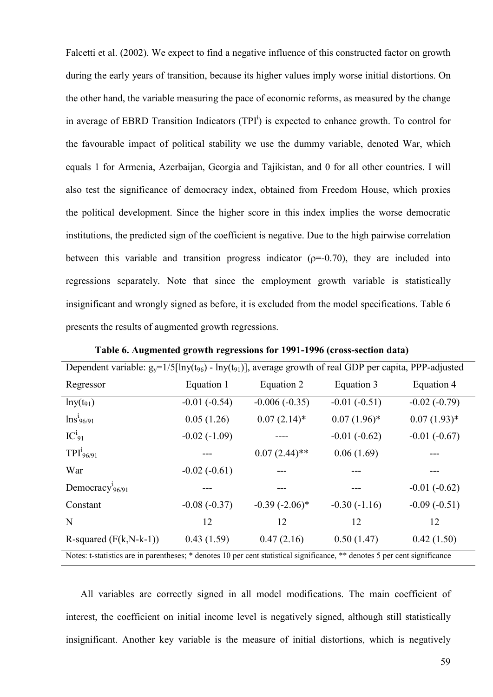Falcetti et al. (2002). We expect to find a negative influence of this constructed factor on growth during the early years of transition, because its higher values imply worse initial distortions. On the other hand, the variable measuring the pace of economic reforms, as measured by the change in average of EBRD Transition Indicators  $(TPI<sup>i</sup>)$  is expected to enhance growth. To control for the favourable impact of political stability we use the dummy variable, denoted War, which equals 1 for Armenia, Azerbaijan, Georgia and Tajikistan, and 0 for all other countries. I will also test the significance of democracy index, obtained from Freedom House, which proxies the political development. Since the higher score in this index implies the worse democratic institutions, the predicted sign of the coefficient is negative. Due to the high pairwise correlation between this variable and transition progress indicator  $(\rho = 0.70)$ , they are included into regressions separately. Note that since the employment growth variable is statistically insignificant and wrongly signed as before, it is excluded from the model specifications. Table 6 presents the results of augmented growth regressions.

| Dependent variable: $g_y=1/5$ [lny( $t_{96}$ ) - lny( $t_{91}$ )], average growth of real GDP per capita, PPP-adjusted     |                |                  |                |                |
|----------------------------------------------------------------------------------------------------------------------------|----------------|------------------|----------------|----------------|
| Regressor                                                                                                                  | Equation 1     | Equation 2       | Equation 3     | Equation 4     |
| $lny(t_{91})$                                                                                                              | $-0.01(-0.54)$ | $-0.006(-0.35)$  | $-0.01(-0.51)$ | $-0.02(-0.79)$ |
| $\ln s_{96/91}^i$                                                                                                          | 0.05(1.26)     | $0.07(2.14)^*$   | $0.07(1.96)$ * | $0.07(1.93)*$  |
| $IC_{91}^{i}$                                                                                                              | $-0.02(-1.09)$ |                  | $-0.01(-0.62)$ | $-0.01(-0.67)$ |
| $TPI^i_{96/91}$                                                                                                            |                | $0.07(2.44)$ **  | 0.06(1.69)     |                |
| War                                                                                                                        | $-0.02(-0.61)$ |                  |                |                |
| Democracy <sup>1</sup> 96/91                                                                                               |                |                  |                | $-0.01(-0.62)$ |
| Constant                                                                                                                   | $-0.08(-0.37)$ | $-0.39(-2.06)$ * | $-0.30(-1.16)$ | $-0.09(-0.51)$ |
| N                                                                                                                          | 12             | 12               | 12             | 12             |
| R-squared $(F(k, N-k-1))$                                                                                                  | 0.43(1.59)     | 0.47(2.16)       | 0.50(1.47)     | 0.42(1.50)     |
| Notes: t-statistics are in parentheses; * denotes 10 per cent statistical significance, ** denotes 5 per cent significance |                |                  |                |                |

**Table 6. Augmented growth regressions for 1991-1996 (cross-section data)** 

All variables are correctly signed in all model modifications. The main coefficient of interest, the coefficient on initial income level is negatively signed, although still statistically insignificant. Another key variable is the measure of initial distortions, which is negatively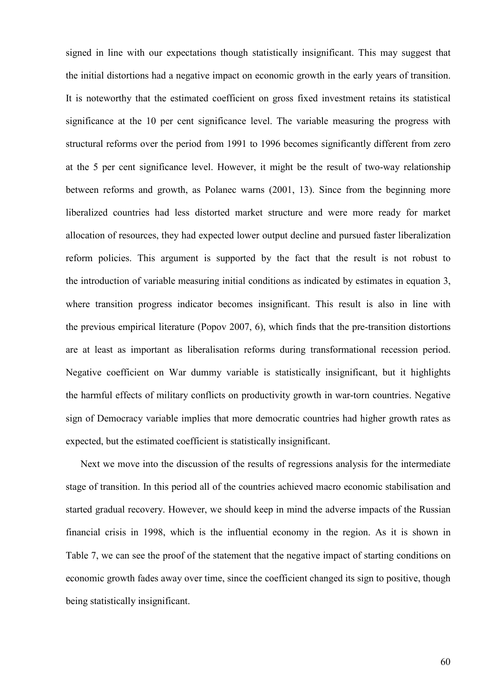signed in line with our expectations though statistically insignificant. This may suggest that the initial distortions had a negative impact on economic growth in the early years of transition. It is noteworthy that the estimated coefficient on gross fixed investment retains its statistical significance at the 10 per cent significance level. The variable measuring the progress with structural reforms over the period from 1991 to 1996 becomes significantly different from zero at the 5 per cent significance level. However, it might be the result of two-way relationship between reforms and growth, as Polanec warns (2001, 13). Since from the beginning more liberalized countries had less distorted market structure and were more ready for market allocation of resources, they had expected lower output decline and pursued faster liberalization reform policies. This argument is supported by the fact that the result is not robust to the introduction of variable measuring initial conditions as indicated by estimates in equation 3, where transition progress indicator becomes insignificant. This result is also in line with the previous empirical literature (Popov 2007, 6), which finds that the pre-transition distortions are at least as important as liberalisation reforms during transformational recession period. Negative coefficient on War dummy variable is statistically insignificant, but it highlights the harmful effects of military conflicts on productivity growth in war-torn countries. Negative sign of Democracy variable implies that more democratic countries had higher growth rates as expected, but the estimated coefficient is statistically insignificant.

Next we move into the discussion of the results of regressions analysis for the intermediate stage of transition. In this period all of the countries achieved macro economic stabilisation and started gradual recovery. However, we should keep in mind the adverse impacts of the Russian financial crisis in 1998, which is the influential economy in the region. As it is shown in Table 7, we can see the proof of the statement that the negative impact of starting conditions on economic growth fades away over time, since the coefficient changed its sign to positive, though being statistically insignificant.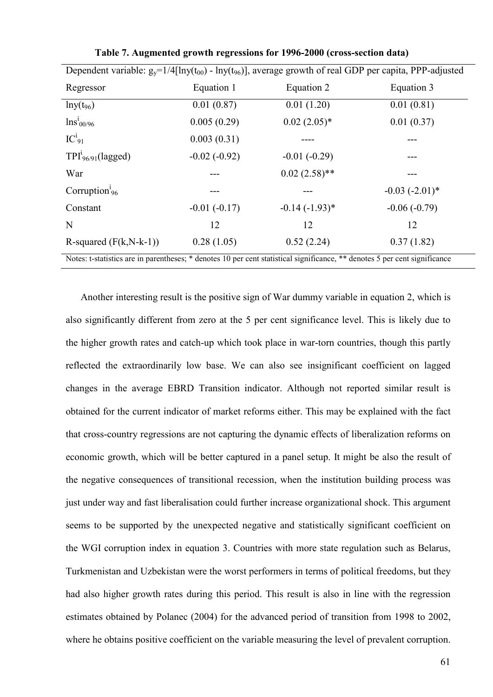| Dependent variable: $g_y=1/4$ [lny( $t_{00}$ ) - lny( $t_{96}$ )], average growth of real GDP per capita, PPP-adjusted     |                |                 |                     |  |  |
|----------------------------------------------------------------------------------------------------------------------------|----------------|-----------------|---------------------|--|--|
| Regressor                                                                                                                  | Equation 1     | Equation 2      | Equation 3          |  |  |
| $lny(t_{96})$                                                                                                              | 0.01(0.87)     | 0.01(1.20)      | 0.01(0.81)          |  |  |
| $\ln s_{00/96}^{i}$                                                                                                        | 0.005(0.29)    | $0.02(2.05)*$   | 0.01(0.37)          |  |  |
| $IC_{91}^{i}$                                                                                                              | 0.003(0.31)    |                 |                     |  |  |
| $TPI^{\iota}_{96/91}$ (lagged)                                                                                             | $-0.02(-0.92)$ | $-0.01(-0.29)$  |                     |  |  |
| War                                                                                                                        |                | $0.02(2.58)$ ** |                     |  |  |
| Corruption <sup><math>i_{96}</math></sup>                                                                                  |                |                 | $-0.03$ $(-2.01)$ * |  |  |
| Constant                                                                                                                   | $-0.01(-0.17)$ | $-0.14(-1.93)*$ | $-0.06(-0.79)$      |  |  |
| N                                                                                                                          | 12             | 12              | 12                  |  |  |
| R-squared $(F(k, N-k-1))$                                                                                                  | 0.28(1.05)     | 0.52(2.24)      | 0.37(1.82)          |  |  |
| Notes: t-statistics are in parentheses; * denotes 10 per cent statistical significance, ** denotes 5 per cent significance |                |                 |                     |  |  |

**Table 7. Augmented growth regressions for 1996-2000 (cross-section data)** 

Another interesting result is the positive sign of War dummy variable in equation 2, which is also significantly different from zero at the 5 per cent significance level. This is likely due to the higher growth rates and catch-up which took place in war-torn countries, though this partly reflected the extraordinarily low base. We can also see insignificant coefficient on lagged changes in the average EBRD Transition indicator. Although not reported similar result is obtained for the current indicator of market reforms either. This may be explained with the fact that cross-country regressions are not capturing the dynamic effects of liberalization reforms on economic growth, which will be better captured in a panel setup. It might be also the result of the negative consequences of transitional recession, when the institution building process was just under way and fast liberalisation could further increase organizational shock. This argument seems to be supported by the unexpected negative and statistically significant coefficient on the WGI corruption index in equation 3. Countries with more state regulation such as Belarus, Turkmenistan and Uzbekistan were the worst performers in terms of political freedoms, but they had also higher growth rates during this period. This result is also in line with the regression estimates obtained by Polanec (2004) for the advanced period of transition from 1998 to 2002, where he obtains positive coefficient on the variable measuring the level of prevalent corruption.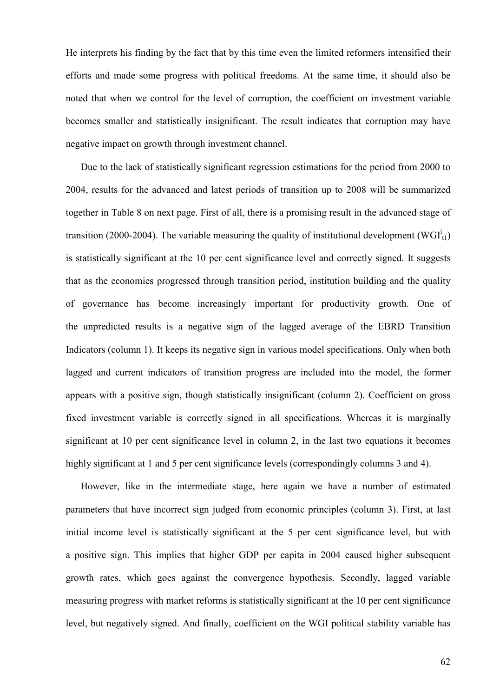He interprets his finding by the fact that by this time even the limited reformers intensified their efforts and made some progress with political freedoms. At the same time, it should also be noted that when we control for the level of corruption, the coefficient on investment variable becomes smaller and statistically insignificant. The result indicates that corruption may have negative impact on growth through investment channel.

Due to the lack of statistically significant regression estimations for the period from 2000 to 2004, results for the advanced and latest periods of transition up to 2008 will be summarized together in Table 8 on next page. First of all, there is a promising result in the advanced stage of transition (2000-2004). The variable measuring the quality of institutional development (WGI $_{t1}^{i}$ ) is statistically significant at the 10 per cent significance level and correctly signed. It suggests that as the economies progressed through transition period, institution building and the quality of governance has become increasingly important for productivity growth. One of the unpredicted results is a negative sign of the lagged average of the EBRD Transition Indicators (column 1). It keeps its negative sign in various model specifications. Only when both lagged and current indicators of transition progress are included into the model, the former appears with a positive sign, though statistically insignificant (column 2). Coefficient on gross fixed investment variable is correctly signed in all specifications. Whereas it is marginally significant at 10 per cent significance level in column 2, in the last two equations it becomes highly significant at 1 and 5 per cent significance levels (correspondingly columns 3 and 4).

However, like in the intermediate stage, here again we have a number of estimated parameters that have incorrect sign judged from economic principles (column 3). First, at last initial income level is statistically significant at the 5 per cent significance level, but with a positive sign. This implies that higher GDP per capita in 2004 caused higher subsequent growth rates, which goes against the convergence hypothesis. Secondly, lagged variable measuring progress with market reforms is statistically significant at the 10 per cent significance level, but negatively signed. And finally, coefficient on the WGI political stability variable has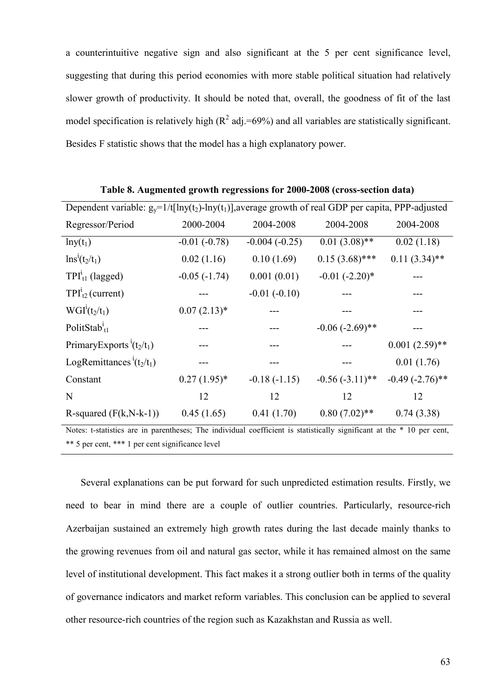a counterintuitive negative sign and also significant at the 5 per cent significance level, suggesting that during this period economies with more stable political situation had relatively slower growth of productivity. It should be noted that, overall, the goodness of fit of the last model specification is relatively high  $(R^2 \text{ adj.} = 69\%)$  and all variables are statistically significant. Besides F statistic shows that the model has a high explanatory power.

| Dependent variable: $g_y=1/t[lny(t_2)-lny(t_1)]$ , average growth of real GDP per capita, PPP-adjusted |                |                 |                     |                   |  |
|--------------------------------------------------------------------------------------------------------|----------------|-----------------|---------------------|-------------------|--|
| Regressor/Period                                                                                       | 2000-2004      | 2004-2008       | 2004-2008           | 2004-2008         |  |
| $lny(t_1)$                                                                                             | $-0.01(-0.78)$ | $-0.004(-0.25)$ | $0.01(3.08)$ **     | 0.02(1.18)        |  |
| $\ln s^i(t_2/t_1)$                                                                                     | 0.02(1.16)     | 0.10(1.69)      | $0.15(3.68)$ ***    | $0.11(3.34)$ **   |  |
| $TPI_{t1}^{i}$ (lagged)                                                                                | $-0.05(-1.74)$ | 0.001(0.01)     | $-0.01$ $(-2.20)$ * |                   |  |
| $TPI_{t2}^{i}$ (current)                                                                               |                | $-0.01(-0.10)$  |                     |                   |  |
| $WGIi(t2/t1)$                                                                                          | $0.07(2.13)*$  |                 |                     |                   |  |
| PolitStab $_{t1}^{t}$                                                                                  |                |                 | $-0.06(-2.69)$ **   |                   |  |
| PrimaryExports <sup>t</sup> (t <sub>2</sub> /t <sub>1</sub> )                                          |                |                 |                     | $0.001(2.59)$ **  |  |
| LogRemittances <sup>t</sup> $(t_2/t_1)$                                                                |                |                 |                     | 0.01(1.76)        |  |
| Constant                                                                                               | $0.27(1.95)$ * | $-0.18(-1.15)$  | $-0.56(-3.11)$ **   | $-0.49(-2.76)$ ** |  |
| N                                                                                                      | 12             | 12              | 12                  | 12                |  |
| R-squared $(F(k, N-k-1))$                                                                              | 0.45(1.65)     | 0.41(1.70)      | $0.80(7.02)$ **     | 0.74(3.38)        |  |
|                                                                                                        |                |                 |                     |                   |  |

**Table 8. Augmented growth regressions for 2000-2008 (cross-section data)** 

Notes: t-statistics are in parentheses; The individual coefficient is statistically significant at the \* 10 per cent, \*\* 5 per cent, \*\*\* 1 per cent significance level

Several explanations can be put forward for such unpredicted estimation results. Firstly, we need to bear in mind there are a couple of outlier countries. Particularly, resource-rich Azerbaijan sustained an extremely high growth rates during the last decade mainly thanks to the growing revenues from oil and natural gas sector, while it has remained almost on the same level of institutional development. This fact makes it a strong outlier both in terms of the quality of governance indicators and market reform variables. This conclusion can be applied to several other resource-rich countries of the region such as Kazakhstan and Russia as well.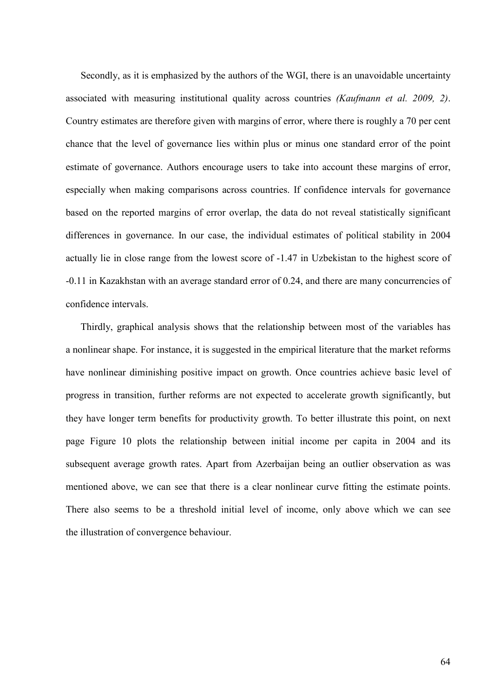Secondly, as it is emphasized by the authors of the WGI, there is an unavoidable uncertainty associated with measuring institutional quality across countries *(Kaufmann et al. 2009, 2)*. Country estimates are therefore given with margins of error, where there is roughly a 70 per cent chance that the level of governance lies within plus or minus one standard error of the point estimate of governance. Authors encourage users to take into account these margins of error, especially when making comparisons across countries. If confidence intervals for governance based on the reported margins of error overlap, the data do not reveal statistically significant differences in governance. In our case, the individual estimates of political stability in 2004 actually lie in close range from the lowest score of -1.47 in Uzbekistan to the highest score of -0.11 in Kazakhstan with an average standard error of 0.24, and there are many concurrencies of confidence intervals.

Thirdly, graphical analysis shows that the relationship between most of the variables has a nonlinear shape. For instance, it is suggested in the empirical literature that the market reforms have nonlinear diminishing positive impact on growth. Once countries achieve basic level of progress in transition, further reforms are not expected to accelerate growth significantly, but they have longer term benefits for productivity growth. To better illustrate this point, on next page Figure 10 plots the relationship between initial income per capita in 2004 and its subsequent average growth rates. Apart from Azerbaijan being an outlier observation as was mentioned above, we can see that there is a clear nonlinear curve fitting the estimate points. There also seems to be a threshold initial level of income, only above which we can see the illustration of convergence behaviour.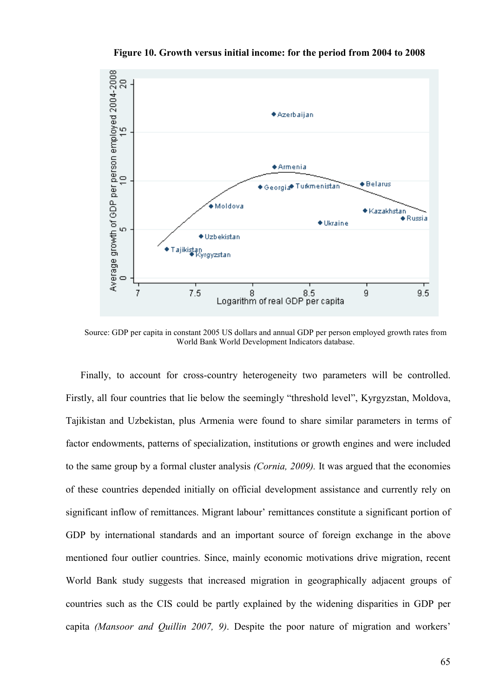

**Figure 10. Growth versus initial income: for the period from 2004 to 2008** 

Source: GDP per capita in constant 2005 US dollars and annual GDP per person employed growth rates from World Bank World Development Indicators database.

Finally, to account for cross-country heterogeneity two parameters will be controlled. Firstly, all four countries that lie below the seemingly "threshold level", Kyrgyzstan, Moldova, Tajikistan and Uzbekistan, plus Armenia were found to share similar parameters in terms of factor endowments, patterns of specialization, institutions or growth engines and were included to the same group by a formal cluster analysis *(Cornia, 2009).* It was argued that the economies of these countries depended initially on official development assistance and currently rely on significant inflow of remittances. Migrant labour' remittances constitute a significant portion of GDP by international standards and an important source of foreign exchange in the above mentioned four outlier countries. Since, mainly economic motivations drive migration, recent World Bank study suggests that increased migration in geographically adjacent groups of countries such as the CIS could be partly explained by the widening disparities in GDP per capita *(Mansoor and Quillin 2007, 9)*. Despite the poor nature of migration and workers'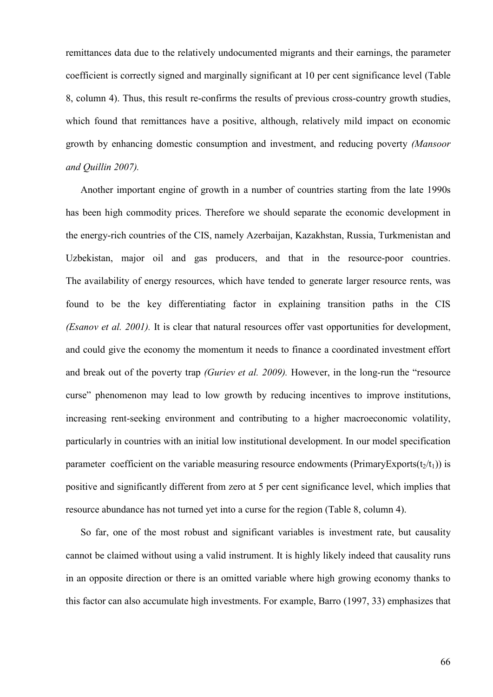remittances data due to the relatively undocumented migrants and their earnings, the parameter coefficient is correctly signed and marginally significant at 10 per cent significance level (Table 8, column 4). Thus, this result re-confirms the results of previous cross-country growth studies, which found that remittances have a positive, although, relatively mild impact on economic growth by enhancing domestic consumption and investment, and reducing poverty *(Mansoor and Quillin 2007).* 

Another important engine of growth in a number of countries starting from the late 1990s has been high commodity prices. Therefore we should separate the economic development in the energy-rich countries of the CIS, namely Azerbaijan, Kazakhstan, Russia, Turkmenistan and Uzbekistan, major oil and gas producers, and that in the resource-poor countries. The availability of energy resources, which have tended to generate larger resource rents, was found to be the key differentiating factor in explaining transition paths in the CIS *(Esanov et al. 2001).* It is clear that natural resources offer vast opportunities for development, and could give the economy the momentum it needs to finance a coordinated investment effort and break out of the poverty trap *(Guriev et al. 2009).* However, in the long-run the "resource curse" phenomenon may lead to low growth by reducing incentives to improve institutions, increasing rent-seeking environment and contributing to a higher macroeconomic volatility, particularly in countries with an initial low institutional development. In our model specification parameter coefficient on the variable measuring resource endowments (PrimaryExports( $t_2/t_1$ )) is positive and significantly different from zero at 5 per cent significance level, which implies that resource abundance has not turned yet into a curse for the region (Table 8, column 4).

So far, one of the most robust and significant variables is investment rate, but causality cannot be claimed without using a valid instrument. It is highly likely indeed that causality runs in an opposite direction or there is an omitted variable where high growing economy thanks to this factor can also accumulate high investments. For example, Barro (1997, 33) emphasizes that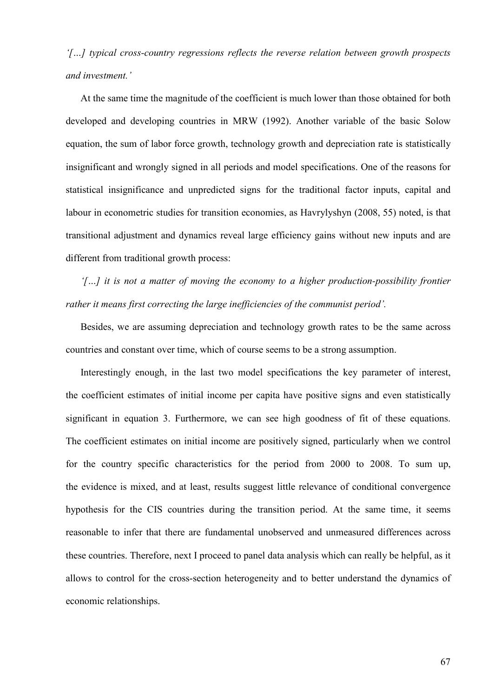*'[…] typical cross-country regressions reflects the reverse relation between growth prospects and investment.'*

At the same time the magnitude of the coefficient is much lower than those obtained for both developed and developing countries in MRW (1992). Another variable of the basic Solow equation, the sum of labor force growth, technology growth and depreciation rate is statistically insignificant and wrongly signed in all periods and model specifications. One of the reasons for statistical insignificance and unpredicted signs for the traditional factor inputs, capital and labour in econometric studies for transition economies, as Havrylyshyn (2008, 55) noted, is that transitional adjustment and dynamics reveal large efficiency gains without new inputs and are different from traditional growth process:

*'[…] it is not a matter of moving the economy to a higher production-possibility frontier rather it means first correcting the large inefficiencies of the communist period'.*

Besides, we are assuming depreciation and technology growth rates to be the same across countries and constant over time, which of course seems to be a strong assumption.

Interestingly enough, in the last two model specifications the key parameter of interest, the coefficient estimates of initial income per capita have positive signs and even statistically significant in equation 3. Furthermore, we can see high goodness of fit of these equations. The coefficient estimates on initial income are positively signed, particularly when we control for the country specific characteristics for the period from 2000 to 2008. To sum up, the evidence is mixed, and at least, results suggest little relevance of conditional convergence hypothesis for the CIS countries during the transition period. At the same time, it seems reasonable to infer that there are fundamental unobserved and unmeasured differences across these countries. Therefore, next I proceed to panel data analysis which can really be helpful, as it allows to control for the cross-section heterogeneity and to better understand the dynamics of economic relationships.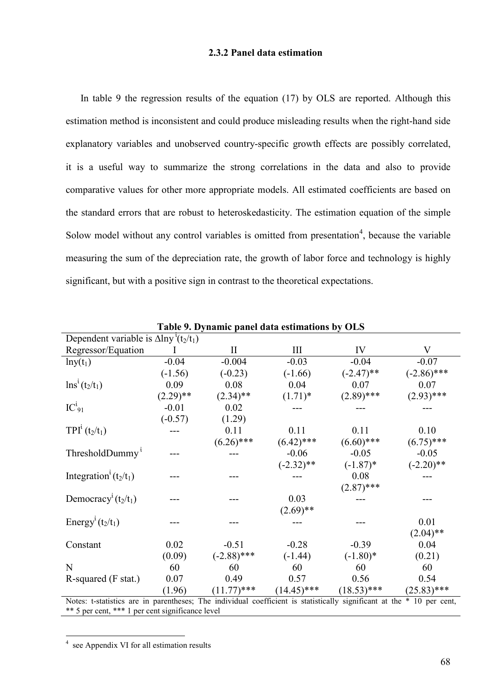# **2.3.2 Panel data estimation**

In table 9 the regression results of the equation (17) by OLS are reported. Although this estimation method is inconsistent and could produce misleading results when the right-hand side explanatory variables and unobserved country-specific growth effects are possibly correlated, it is a useful way to summarize the strong correlations in the data and also to provide comparative values for other more appropriate models. All estimated coefficients are based on the standard errors that are robust to heteroskedasticity. The estimation equation of the simple Solow model without any control variables is omitted from presentation<sup>4</sup>, because the variable measuring the sum of the depreciation rate, the growth of labor force and technology is highly significant, but with a positive sign in contrast to the theoretical expectations.

| Table 9. Dynamic panel data estimations by OLS                                                                         |             |               |               |               |               |
|------------------------------------------------------------------------------------------------------------------------|-------------|---------------|---------------|---------------|---------------|
| Dependent variable is $\Delta \ln y$ <sup>t</sup> (t <sub>2</sub> /t <sub>1</sub> )                                    |             |               |               |               |               |
| Regressor/Equation                                                                                                     |             | $\rm II$      | Ш             | IV            | V             |
| $lny(t_1)$                                                                                                             | $-0.04$     | $-0.004$      | $-0.03$       | $-0.04$       | $-0.07$       |
|                                                                                                                        | $(-1.56)$   | $(-0.23)$     | $(-1.66)$     | $(-2.47)$ **  | $(-2.86)$ *** |
| $\ln s^i(t_2/t_1)$                                                                                                     | 0.09        | 0.08          | 0.04          | 0.07          | 0.07          |
|                                                                                                                        | $(2.29)$ ** | $(2.34)$ **   | $(1.71)^*$    | $(2.89)$ ***  | $(2.93)$ ***  |
| $IC_{91}^{i}$                                                                                                          | $-0.01$     | 0.02          |               |               |               |
|                                                                                                                        | $(-0.57)$   | (1.29)        |               |               |               |
| $TPI^{i}(t_{2}/t_{1})$                                                                                                 |             | 0.11          | 0.11          | 0.11          | 0.10          |
|                                                                                                                        |             | $(6.26)$ ***  | $(6.42)$ ***  | $(6.60)$ ***  | $(6.75)$ ***  |
| ThresholdDummy <sup>i</sup>                                                                                            |             |               | $-0.06$       | $-0.05$       | $-0.05$       |
|                                                                                                                        |             |               | $(-2.32)$ **  | $(-1.87)$ *   | $(-2.20)$ **  |
| Integration <sup>t</sup> $(t_2/t_1)$                                                                                   |             |               |               | 0.08          |               |
|                                                                                                                        |             |               |               | $(2.87)$ ***  |               |
| Democracy <sup>t</sup> $(t_2/t_1)$                                                                                     |             |               | 0.03          |               |               |
|                                                                                                                        |             |               | $(2.69)$ **   |               |               |
| Energy <sup><i>i</i></sup> ( $t_2/t_1$ )                                                                               |             |               |               |               | 0.01          |
|                                                                                                                        |             |               |               |               | $(2.04)$ **   |
| Constant                                                                                                               | 0.02        | $-0.51$       | $-0.28$       | $-0.39$       | 0.04          |
|                                                                                                                        | (0.09)      | $(-2.88)$ *** | $(-1.44)$     | $(-1.80)$ *   | (0.21)        |
| N                                                                                                                      | 60          | 60            | 60            | 60            | 60            |
| R-squared (F stat.)                                                                                                    | 0.07        | 0.49          | 0.57          | 0.56          | 0.54          |
|                                                                                                                        | (1.96)      | $(11.77)$ *** | $(14.45)$ *** | $(18.53)$ *** | $(25.83)$ *** |
| Note: t etatistics are in percepthoses: The individual coefficient is etatistically significant at the $*$ 10 per cent |             |               |               |               |               |

Notes: t-statistics are in parentheses; The individual coefficient is statistically significant at the \* 10 per cent, \*\* 5 per cent, \*\*\* 1 per cent significance level

 4 see Appendix VI for all estimation results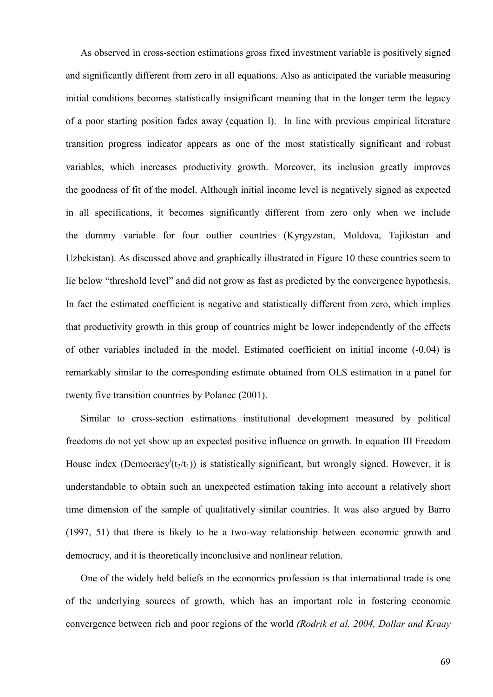As observed in cross-section estimations gross fixed investment variable is positively signed and significantly different from zero in all equations. Also as anticipated the variable measuring initial conditions becomes statistically insignificant meaning that in the longer term the legacy of a poor starting position fades away (equation I). In line with previous empirical literature transition progress indicator appears as one of the most statistically significant and robust variables, which increases productivity growth. Moreover, its inclusion greatly improves the goodness of fit of the model. Although initial income level is negatively signed as expected in all specifications, it becomes significantly different from zero only when we include the dummy variable for four outlier countries (Kyrgyzstan, Moldova, Tajikistan and Uzbekistan). As discussed above and graphically illustrated in Figure 10 these countries seem to lie below "threshold level" and did not grow as fast as predicted by the convergence hypothesis. In fact the estimated coefficient is negative and statistically different from zero, which implies that productivity growth in this group of countries might be lower independently of the effects of other variables included in the model. Estimated coefficient on initial income (-0.04) is remarkably similar to the corresponding estimate obtained from OLS estimation in a panel for twenty five transition countries by Polanec (2001).

Similar to cross-section estimations institutional development measured by political freedoms do not yet show up an expected positive influence on growth. In equation III Freedom House index (Democracy<sup>i</sup>( $t_2/t_1$ )) is statistically significant, but wrongly signed. However, it is understandable to obtain such an unexpected estimation taking into account a relatively short time dimension of the sample of qualitatively similar countries. It was also argued by Barro (1997, 51) that there is likely to be a two-way relationship between economic growth and democracy, and it is theoretically inconclusive and nonlinear relation.

One of the widely held beliefs in the economics profession is that international trade is one of the underlying sources of growth, which has an important role in fostering economic convergence between rich and poor regions of the world *(Rodrik et al. 2004, Dollar and Kraay*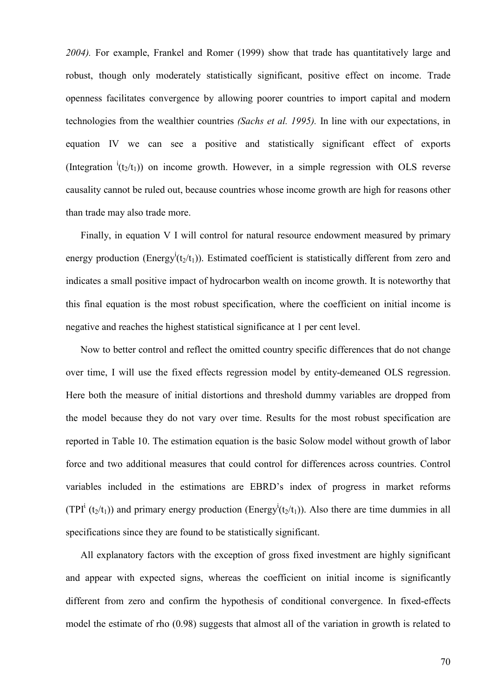*2004).* For example, Frankel and Romer (1999) show that trade has quantitatively large and robust, though only moderately statistically significant, positive effect on income. Trade openness facilitates convergence by allowing poorer countries to import capital and modern technologies from the wealthier countries *(Sachs et al. 1995).* In line with our expectations, in equation IV we can see a positive and statistically significant effect of exports (Integration  ${}^{i}(t_{2}/t_{1})$ ) on income growth. However, in a simple regression with OLS reverse causality cannot be ruled out, because countries whose income growth are high for reasons other than trade may also trade more.

Finally, in equation V I will control for natural resource endowment measured by primary energy production (Energy<sup>i</sup>( $t_2/t_1$ )). Estimated coefficient is statistically different from zero and indicates a small positive impact of hydrocarbon wealth on income growth. It is noteworthy that this final equation is the most robust specification, where the coefficient on initial income is negative and reaches the highest statistical significance at 1 per cent level.

Now to better control and reflect the omitted country specific differences that do not change over time, I will use the fixed effects regression model by entity-demeaned OLS regression. Here both the measure of initial distortions and threshold dummy variables are dropped from the model because they do not vary over time. Results for the most robust specification are reported in Table 10. The estimation equation is the basic Solow model without growth of labor force and two additional measures that could control for differences across countries. Control variables included in the estimations are EBRD's index of progress in market reforms (TPI<sup>i</sup> (t<sub>2</sub>/t<sub>1</sub>)) and primary energy production (Energy<sup>i</sup>(t<sub>2</sub>/t<sub>1</sub>)). Also there are time dummies in all specifications since they are found to be statistically significant.

All explanatory factors with the exception of gross fixed investment are highly significant and appear with expected signs, whereas the coefficient on initial income is significantly different from zero and confirm the hypothesis of conditional convergence. In fixed-effects model the estimate of rho (0.98) suggests that almost all of the variation in growth is related to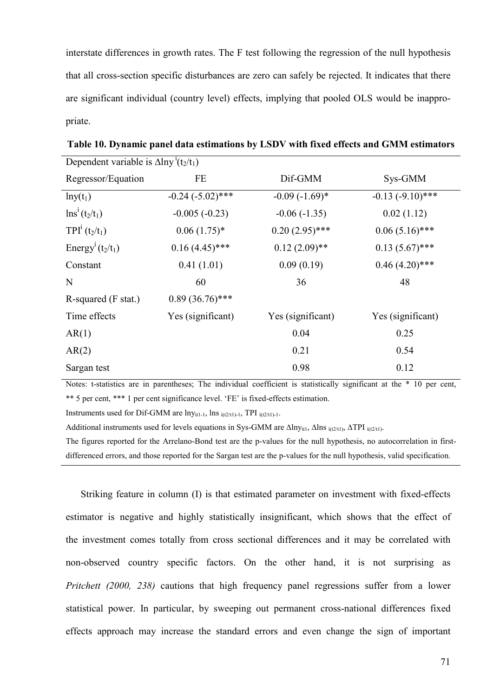interstate differences in growth rates. The F test following the regression of the null hypothesis that all cross-section specific disturbances are zero can safely be rejected. It indicates that there are significant individual (country level) effects, implying that pooled OLS would be inappropriate.

| Dependent variable is $\Delta \ln y'(t_2/t_1)$ |                       |                   |                     |  |  |
|------------------------------------------------|-----------------------|-------------------|---------------------|--|--|
| Regressor/Equation                             | FE                    | Dif-GMM           | Sys-GMM             |  |  |
| $lny(t_1)$                                     | $-0.24$ $(-5.02)$ *** | $-0.09(-1.69)$ *  | $-0.13 (-9.10)$ *** |  |  |
| $\ln s^i(t_2/t_1)$                             | $-0.005(-0.23)$       | $-0.06(-1.35)$    | 0.02(1.12)          |  |  |
| $TPI^{i}(t_{2}/t_{1})$                         | $0.06(1.75)^*$        | $0.20(2.95)$ ***  | $0.06(5.16)$ ***    |  |  |
| Energy <sup><i>i</i></sup> ( $t_2/t_1$ )       | $0.16(4.45)$ ***      | $0.12(2.09)$ **   | $0.13(5.67)$ ***    |  |  |
| Constant                                       | 0.41(1.01)            | 0.09(0.19)        | $0.46(4.20)$ ***    |  |  |
| N                                              | 60                    | 36                | 48                  |  |  |
| R-squared (F stat.)                            | $0.89(36.76)$ ***     |                   |                     |  |  |
| Time effects                                   | Yes (significant)     | Yes (significant) | Yes (significant)   |  |  |
| AR(1)                                          |                       | 0.04              | 0.25                |  |  |
| AR(2)                                          |                       | 0.21              | 0.54                |  |  |
| Sargan test                                    |                       | 0.98              | 0.12                |  |  |

**Table 10. Dynamic panel data estimations by LSDV with fixed effects and GMM estimators** 

Notes: t-statistics are in parentheses; The individual coefficient is statistically significant at the \* 10 per cent, \*\* 5 per cent, \*\*\* 1 per cent significance level. 'FE' is fixed-effects estimation.

Instruments used for Dif-GMM are  $lny_{it1-1}$ , lns  $i(t2/t1)-1$ , TPI  $i(t2/t1)-1$ .

Additional instruments used for levels equations in Sys-GMM are  $\Delta\ln y_{it1}$ ,  $\Delta\ln s$   $_{i(12/t1)}$ ,  $\Delta TPI$   $_{i(2/t1)}$ .

The figures reported for the Arrelano-Bond test are the p-values for the null hypothesis, no autocorrelation in firstdifferenced errors, and those reported for the Sargan test are the p-values for the null hypothesis, valid specification.

Striking feature in column (I) is that estimated parameter on investment with fixed-effects estimator is negative and highly statistically insignificant, which shows that the effect of the investment comes totally from cross sectional differences and it may be correlated with non-observed country specific factors. On the other hand, it is not surprising as *Pritchett (2000, 238)* cautions that high frequency panel regressions suffer from a lower statistical power. In particular, by sweeping out permanent cross-national differences fixed effects approach may increase the standard errors and even change the sign of important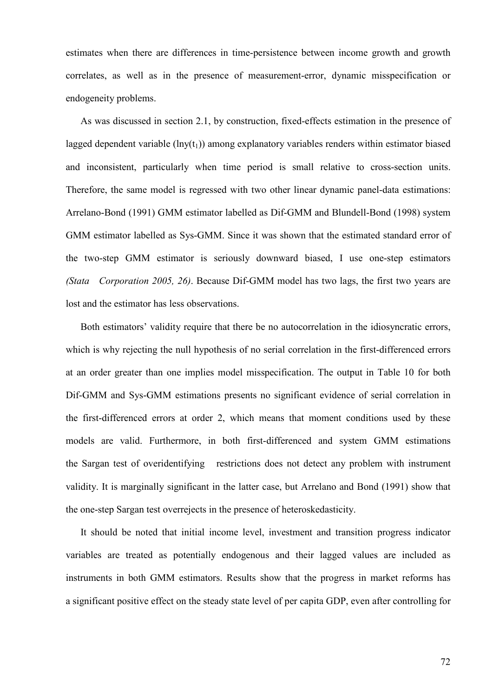estimates when there are differences in time-persistence between income growth and growth correlates, as well as in the presence of measurement-error, dynamic misspecification or endogeneity problems.

As was discussed in section 2.1, by construction, fixed-effects estimation in the presence of lagged dependent variable  $(lnv(t_1))$  among explanatory variables renders within estimator biased and inconsistent, particularly when time period is small relative to cross-section units. Therefore, the same model is regressed with two other linear dynamic panel-data estimations: Arrelano-Bond (1991) GMM estimator labelled as Dif-GMM and Blundell-Bond (1998) system GMM estimator labelled as Sys-GMM. Since it was shown that the estimated standard error of the two-step GMM estimator is seriously downward biased, I use one-step estimators *(Stata Corporation 2005, 26)*. Because Dif-GMM model has two lags, the first two years are lost and the estimator has less observations.

Both estimators' validity require that there be no autocorrelation in the idiosyncratic errors, which is why rejecting the null hypothesis of no serial correlation in the first-differenced errors at an order greater than one implies model misspecification. The output in Table 10 for both Dif-GMM and Sys-GMM estimations presents no significant evidence of serial correlation in the first-differenced errors at order 2, which means that moment conditions used by these models are valid. Furthermore, in both first-differenced and system GMM estimations the Sargan test of overidentifying restrictions does not detect any problem with instrument validity. It is marginally significant in the latter case, but Arrelano and Bond (1991) show that the one-step Sargan test overrejects in the presence of heteroskedasticity.

It should be noted that initial income level, investment and transition progress indicator variables are treated as potentially endogenous and their lagged values are included as instruments in both GMM estimators. Results show that the progress in market reforms has a significant positive effect on the steady state level of per capita GDP, even after controlling for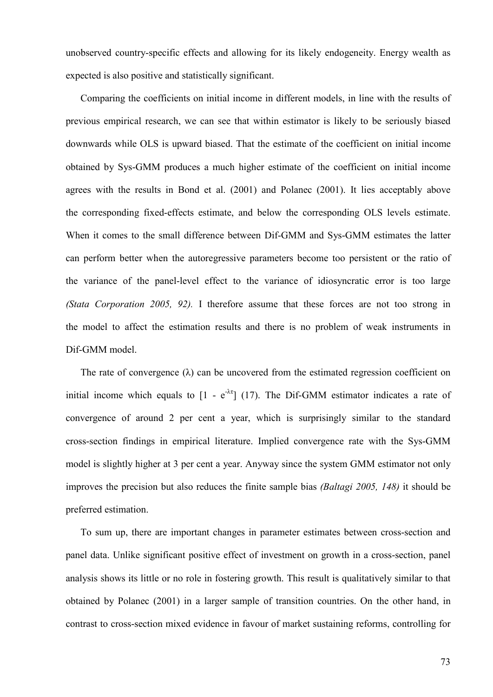unobserved country-specific effects and allowing for its likely endogeneity. Energy wealth as expected is also positive and statistically significant.

Comparing the coefficients on initial income in different models, in line with the results of previous empirical research, we can see that within estimator is likely to be seriously biased downwards while OLS is upward biased. That the estimate of the coefficient on initial income obtained by Sys-GMM produces a much higher estimate of the coefficient on initial income agrees with the results in Bond et al. (2001) and Polanec (2001). It lies acceptably above the corresponding fixed-effects estimate, and below the corresponding OLS levels estimate. When it comes to the small difference between Dif-GMM and Sys-GMM estimates the latter can perform better when the autoregressive parameters become too persistent or the ratio of the variance of the panel-level effect to the variance of idiosyncratic error is too large *(Stata Corporation 2005, 92).* I therefore assume that these forces are not too strong in the model to affect the estimation results and there is no problem of weak instruments in Dif-GMM model.

The rate of convergence  $(\lambda)$  can be uncovered from the estimated regression coefficient on initial income which equals to  $[1 - e^{-\lambda \tau}]$  (17). The Dif-GMM estimator indicates a rate of convergence of around 2 per cent a year, which is surprisingly similar to the standard cross-section findings in empirical literature. Implied convergence rate with the Sys-GMM model is slightly higher at 3 per cent a year. Anyway since the system GMM estimator not only improves the precision but also reduces the finite sample bias *(Baltagi 2005, 148)* it should be preferred estimation.

To sum up, there are important changes in parameter estimates between cross-section and panel data. Unlike significant positive effect of investment on growth in a cross-section, panel analysis shows its little or no role in fostering growth. This result is qualitatively similar to that obtained by Polanec (2001) in a larger sample of transition countries. On the other hand, in contrast to cross-section mixed evidence in favour of market sustaining reforms, controlling for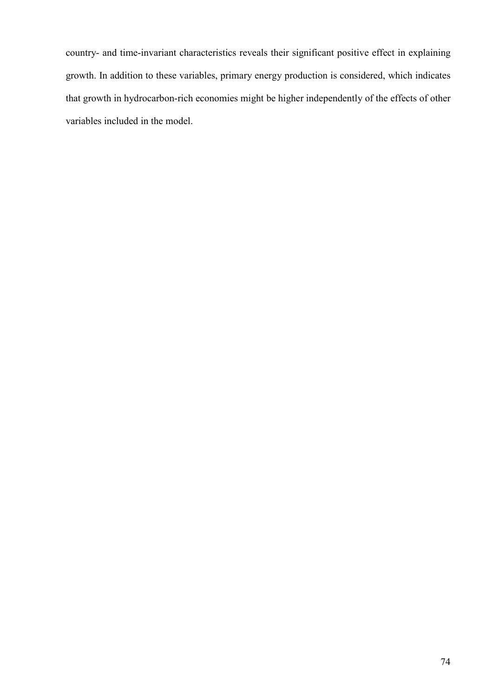country- and time-invariant characteristics reveals their significant positive effect in explaining growth. In addition to these variables, primary energy production is considered, which indicates that growth in hydrocarbon-rich economies might be higher independently of the effects of other variables included in the model.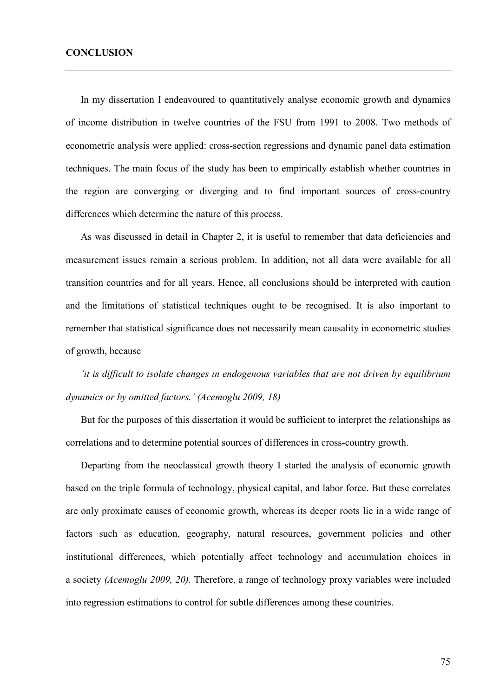In my dissertation I endeavoured to quantitatively analyse economic growth and dynamics of income distribution in twelve countries of the FSU from 1991 to 2008. Two methods of econometric analysis were applied: cross-section regressions and dynamic panel data estimation techniques. The main focus of the study has been to empirically establish whether countries in the region are converging or diverging and to find important sources of cross-country differences which determine the nature of this process.

As was discussed in detail in Chapter 2, it is useful to remember that data deficiencies and measurement issues remain a serious problem. In addition, not all data were available for all transition countries and for all years. Hence, all conclusions should be interpreted with caution and the limitations of statistical techniques ought to be recognised. It is also important to remember that statistical significance does not necessarily mean causality in econometric studies of growth, because

*'it is difficult to isolate changes in endogenous variables that are not driven by equilibrium dynamics or by omitted factors.' (Acemoglu 2009, 18)*

But for the purposes of this dissertation it would be sufficient to interpret the relationships as correlations and to determine potential sources of differences in cross-country growth.

Departing from the neoclassical growth theory I started the analysis of economic growth based on the triple formula of technology, physical capital, and labor force. But these correlates are only proximate causes of economic growth, whereas its deeper roots lie in a wide range of factors such as education, geography, natural resources, government policies and other institutional differences, which potentially affect technology and accumulation choices in a society *(Acemoglu 2009, 20).* Therefore, a range of technology proxy variables were included into regression estimations to control for subtle differences among these countries.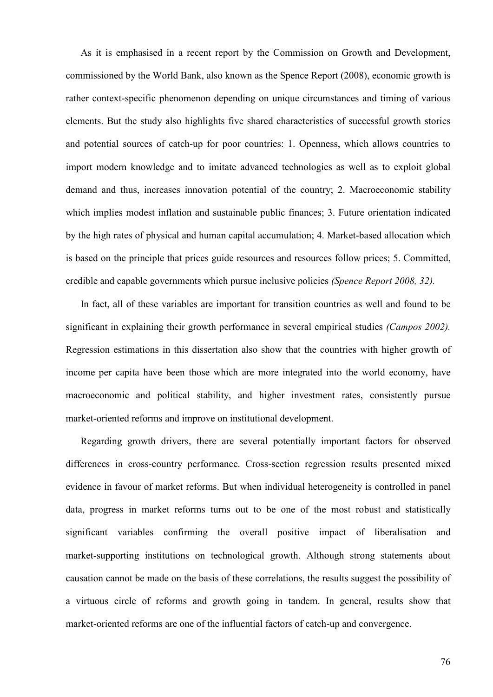As it is emphasised in a recent report by the Commission on Growth and Development, commissioned by the World Bank, also known as the Spence Report (2008), economic growth is rather context-specific phenomenon depending on unique circumstances and timing of various elements. But the study also highlights five shared characteristics of successful growth stories and potential sources of catch-up for poor countries: 1. Openness, which allows countries to import modern knowledge and to imitate advanced technologies as well as to exploit global demand and thus, increases innovation potential of the country; 2. Macroeconomic stability which implies modest inflation and sustainable public finances; 3. Future orientation indicated by the high rates of physical and human capital accumulation; 4. Market-based allocation which is based on the principle that prices guide resources and resources follow prices; 5. Committed, credible and capable governments which pursue inclusive policies *(Spence Report 2008, 32).* 

In fact, all of these variables are important for transition countries as well and found to be significant in explaining their growth performance in several empirical studies *(Campos 2002).* Regression estimations in this dissertation also show that the countries with higher growth of income per capita have been those which are more integrated into the world economy, have macroeconomic and political stability, and higher investment rates, consistently pursue market-oriented reforms and improve on institutional development.

Regarding growth drivers, there are several potentially important factors for observed differences in cross-country performance. Cross-section regression results presented mixed evidence in favour of market reforms. But when individual heterogeneity is controlled in panel data, progress in market reforms turns out to be one of the most robust and statistically significant variables confirming the overall positive impact of liberalisation and market-supporting institutions on technological growth. Although strong statements about causation cannot be made on the basis of these correlations, the results suggest the possibility of a virtuous circle of reforms and growth going in tandem. In general, results show that market-oriented reforms are one of the influential factors of catch-up and convergence.

76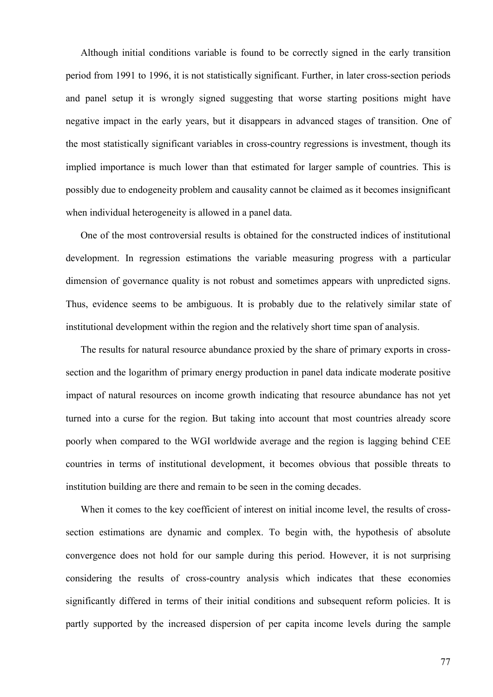Although initial conditions variable is found to be correctly signed in the early transition period from 1991 to 1996, it is not statistically significant. Further, in later cross-section periods and panel setup it is wrongly signed suggesting that worse starting positions might have negative impact in the early years, but it disappears in advanced stages of transition. One of the most statistically significant variables in cross-country regressions is investment, though its implied importance is much lower than that estimated for larger sample of countries. This is possibly due to endogeneity problem and causality cannot be claimed as it becomes insignificant when individual heterogeneity is allowed in a panel data.

One of the most controversial results is obtained for the constructed indices of institutional development. In regression estimations the variable measuring progress with a particular dimension of governance quality is not robust and sometimes appears with unpredicted signs. Thus, evidence seems to be ambiguous. It is probably due to the relatively similar state of institutional development within the region and the relatively short time span of analysis.

The results for natural resource abundance proxied by the share of primary exports in crosssection and the logarithm of primary energy production in panel data indicate moderate positive impact of natural resources on income growth indicating that resource abundance has not yet turned into a curse for the region. But taking into account that most countries already score poorly when compared to the WGI worldwide average and the region is lagging behind CEE countries in terms of institutional development, it becomes obvious that possible threats to institution building are there and remain to be seen in the coming decades.

When it comes to the key coefficient of interest on initial income level, the results of crosssection estimations are dynamic and complex. To begin with, the hypothesis of absolute convergence does not hold for our sample during this period. However, it is not surprising considering the results of cross-country analysis which indicates that these economies significantly differed in terms of their initial conditions and subsequent reform policies. It is partly supported by the increased dispersion of per capita income levels during the sample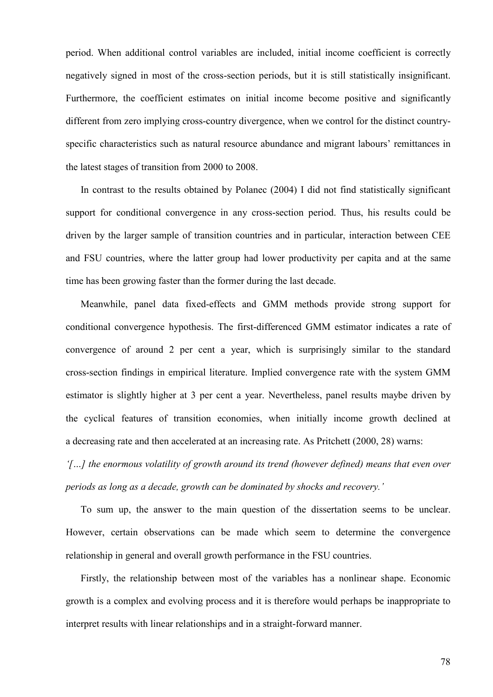period. When additional control variables are included, initial income coefficient is correctly negatively signed in most of the cross-section periods, but it is still statistically insignificant. Furthermore, the coefficient estimates on initial income become positive and significantly different from zero implying cross-country divergence, when we control for the distinct countryspecific characteristics such as natural resource abundance and migrant labours' remittances in the latest stages of transition from 2000 to 2008.

In contrast to the results obtained by Polanec (2004) I did not find statistically significant support for conditional convergence in any cross-section period. Thus, his results could be driven by the larger sample of transition countries and in particular, interaction between CEE and FSU countries, where the latter group had lower productivity per capita and at the same time has been growing faster than the former during the last decade.

Meanwhile, panel data fixed-effects and GMM methods provide strong support for conditional convergence hypothesis. The first-differenced GMM estimator indicates a rate of convergence of around 2 per cent a year, which is surprisingly similar to the standard cross-section findings in empirical literature. Implied convergence rate with the system GMM estimator is slightly higher at 3 per cent a year. Nevertheless, panel results maybe driven by the cyclical features of transition economies, when initially income growth declined at a decreasing rate and then accelerated at an increasing rate. As Pritchett (2000, 28) warns:

*'[…] the enormous volatility of growth around its trend (however defined) means that even over periods as long as a decade, growth can be dominated by shocks and recovery.'* 

To sum up, the answer to the main question of the dissertation seems to be unclear. However, certain observations can be made which seem to determine the convergence relationship in general and overall growth performance in the FSU countries.

Firstly, the relationship between most of the variables has a nonlinear shape. Economic growth is a complex and evolving process and it is therefore would perhaps be inappropriate to interpret results with linear relationships and in a straight-forward manner.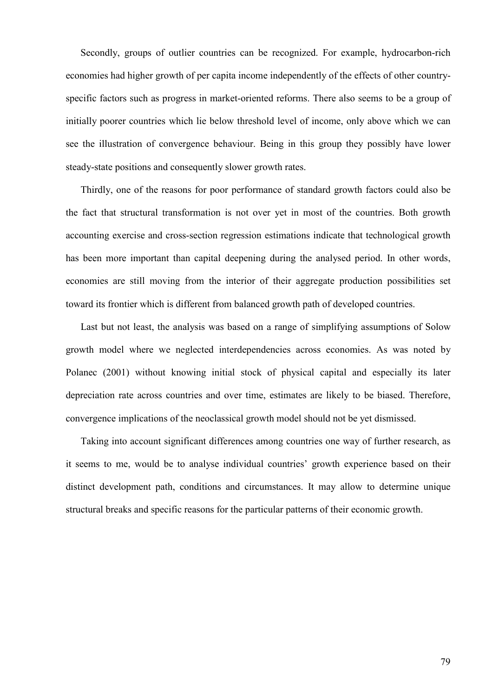Secondly, groups of outlier countries can be recognized. For example, hydrocarbon-rich economies had higher growth of per capita income independently of the effects of other countryspecific factors such as progress in market-oriented reforms. There also seems to be a group of initially poorer countries which lie below threshold level of income, only above which we can see the illustration of convergence behaviour. Being in this group they possibly have lower steady-state positions and consequently slower growth rates.

Thirdly, one of the reasons for poor performance of standard growth factors could also be the fact that structural transformation is not over yet in most of the countries. Both growth accounting exercise and cross-section regression estimations indicate that technological growth has been more important than capital deepening during the analysed period. In other words, economies are still moving from the interior of their aggregate production possibilities set toward its frontier which is different from balanced growth path of developed countries.

Last but not least, the analysis was based on a range of simplifying assumptions of Solow growth model where we neglected interdependencies across economies. As was noted by Polanec (2001) without knowing initial stock of physical capital and especially its later depreciation rate across countries and over time, estimates are likely to be biased. Therefore, convergence implications of the neoclassical growth model should not be yet dismissed.

Taking into account significant differences among countries one way of further research, as it seems to me, would be to analyse individual countries' growth experience based on their distinct development path, conditions and circumstances. It may allow to determine unique structural breaks and specific reasons for the particular patterns of their economic growth.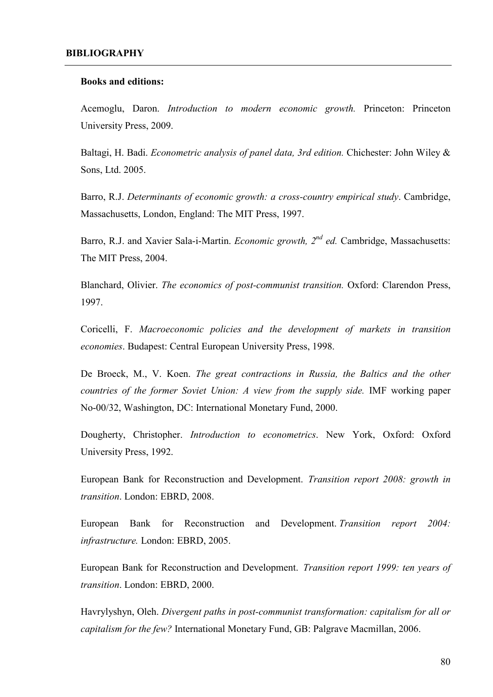#### **Books and editions:**

Acemoglu, Daron. *Introduction to modern economic growth.* Princeton: Princeton University Press, 2009.

Baltagi, H. Badi. *Econometric analysis of panel data, 3rd edition.* Chichester: John Wiley & Sons, Ltd. 2005.

Barro, R.J. *Determinants of economic growth: a cross-country empirical study*. Cambridge, Massachusetts, London, England: The MIT Press, 1997.

Barro, R.J. and Xavier Sala-i-Martin. *Economic growth, 2nd ed.* Cambridge, Massachusetts: The MIT Press, 2004.

Blanchard, Olivier. *The economics of post-communist transition.* Oxford: Clarendon Press, 1997.

Coricelli, F. *Macroeconomic policies and the development of markets in transition economies*. Budapest: Central European University Press, 1998.

De Broeck, M., V. Koen. *The great contractions in Russia, the Baltics and the other countries of the former Soviet Union: A view from the supply side.* IMF working paper No-00/32, Washington, DC: International Monetary Fund, 2000.

Dougherty, Christopher. *Introduction to econometrics*. New York, Oxford: Oxford University Press, 1992.

European Bank for Reconstruction and Development. *Transition report 2008: growth in transition*. London: EBRD, 2008.

European Bank for Reconstruction and Development. *Transition report 2004: infrastructure.* London: EBRD, 2005.

European Bank for Reconstruction and Development. *Transition report 1999: ten years of transition*. London: EBRD, 2000.

Havrylyshyn, Oleh. *Divergent paths in post-communist transformation: capitalism for all or capitalism for the few?* International Monetary Fund, GB: Palgrave Macmillan, 2006.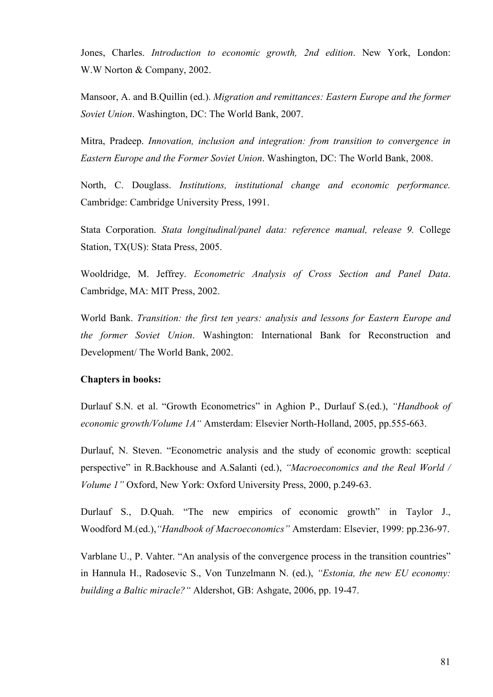Jones, Charles. *Introduction to economic growth, 2nd edition*. New York, London: W.W Norton & Company, 2002.

Mansoor, A. and B.Quillin (ed.). *Migration and remittances: Eastern Europe and the former Soviet Union*. Washington, DC: The World Bank, 2007.

Mitra, Pradeep. *Innovation, inclusion and integration: from transition to convergence in Eastern Europe and the Former Soviet Union*. Washington, DC: The World Bank, 2008.

North, C. Douglass. *Institutions, institutional change and economic performance.* Cambridge: Cambridge University Press, 1991.

Stata Corporation. *Stata longitudinal/panel data: reference manual, release 9.* College Station, TX(US): Stata Press, 2005.

Wooldridge, M. Jeffrey. *Econometric Analysis of Cross Section and Panel Data*. Cambridge, MA: MIT Press, 2002.

World Bank. *Transition: the first ten years: analysis and lessons for Eastern Europe and the former Soviet Union*. Washington: International Bank for Reconstruction and Development/ The World Bank, 2002.

#### **Chapters in books:**

Durlauf S.N. et al. "Growth Econometrics" in Aghion P., Durlauf S.(ed.), *"Handbook of economic growth/Volume 1A"* Amsterdam: Elsevier North-Holland, 2005, pp.555-663.

Durlauf, N. Steven. "Econometric analysis and the study of economic growth: sceptical perspective" in R.Backhouse and A.Salanti (ed.), *"Macroeconomics and the Real World / Volume 1"* Oxford, New York: Oxford University Press, 2000, p.249-63.

Durlauf S., D.Quah. "The new empirics of economic growth" in Taylor J., Woodford M.(ed.),*"Handbook of Macroeconomics"* Amsterdam: Elsevier, 1999: pp.236-97.

Varblane U., P. Vahter. "An analysis of the convergence process in the transition countries" in Hannula H., Radosevic S., Von Tunzelmann N. (ed.), *"Estonia, the new EU economy: building a Baltic miracle?"* Aldershot, GB: Ashgate, 2006, pp. 19-47.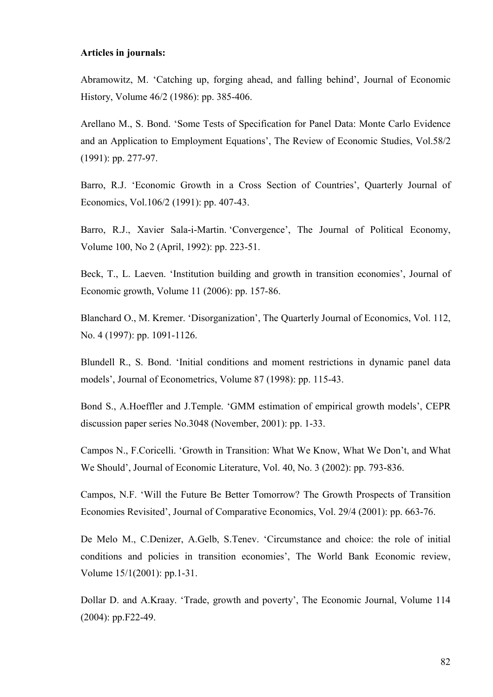#### **Articles in journals:**

Abramowitz, M. 'Catching up, forging ahead, and falling behind', Journal of Economic History, Volume 46/2 (1986): pp. 385-406.

Arellano M., S. Bond. 'Some Tests of Specification for Panel Data: Monte Carlo Evidence and an Application to Employment Equations', The Review of Economic Studies, Vol.58/2 (1991): pp. 277-97.

Barro, R.J. 'Economic Growth in a Cross Section of Countries', Quarterly Journal of Economics, Vol.106/2 (1991): pp. 407-43.

Barro, R.J., Xavier Sala-i-Martin. 'Convergence', The Journal of Political Economy, Volume 100, No 2 (April, 1992): pp. 223-51.

Beck, T., L. Laeven. 'Institution building and growth in transition economies', Journal of Economic growth, Volume 11 (2006): pp. 157-86.

Blanchard O., M. Kremer. 'Disorganization', The Quarterly Journal of Economics, Vol. 112, No. 4 (1997): pp. 1091-1126.

Blundell R., S. Bond. 'Initial conditions and moment restrictions in dynamic panel data models', Journal of Econometrics, Volume 87 (1998): pp. 115-43.

Bond S., A.Hoeffler and J.Temple. 'GMM estimation of empirical growth models', CEPR discussion paper series No.3048 (November, 2001): pp. 1-33.

Campos N., F.Coricelli. 'Growth in Transition: What We Know, What We Don't, and What We Should', Journal of Economic Literature, Vol. 40, No. 3 (2002): pp. 793-836.

Campos, N.F. 'Will the Future Be Better Tomorrow? The Growth Prospects of Transition Economies Revisited', Journal of Comparative Economics, Vol. 29/4 (2001): pp. 663-76.

De Melo M., C.Denizer, A.Gelb, S.Tenev. 'Circumstance and choice: the role of initial conditions and policies in transition economies', The World Bank Economic review, Volume 15/1(2001): pp.1-31.

Dollar D. and A.Kraay. 'Trade, growth and poverty', The Economic Journal, Volume 114 (2004): pp.F22-49.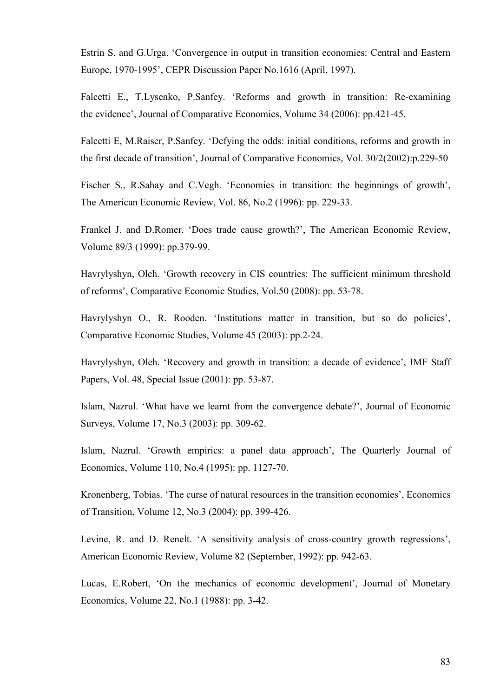Estrin S. and G.Urga. 'Convergence in output in transition economies: Central and Eastern Europe, 1970-1995', CEPR Discussion Paper No.1616 (April, 1997).

Falcetti E., T.Lysenko, P.Sanfey. 'Reforms and growth in transition: Re-examining the evidence', Journal of Comparative Economics, Volume 34 (2006): pp.421-45.

Falcetti E, M.Raiser, P.Sanfey. 'Defying the odds: initial conditions, reforms and growth in the first decade of transition', Journal of Comparative Economics, Vol. 30/2(2002):p.229-50

Fischer S., R.Sahay and C.Vegh. 'Economies in transition: the beginnings of growth', The American Economic Review, Vol. 86, No.2 (1996): pp. 229-33.

Frankel J. and D.Romer. 'Does trade cause growth?', The American Economic Review, Volume 89/3 (1999): pp.379-99.

Havrylyshyn, Oleh. 'Growth recovery in CIS countries: The sufficient minimum threshold of reforms', Comparative Economic Studies, Vol.50 (2008): pp. 53-78.

Havrylyshyn O., R. Rooden. 'Institutions matter in transition, but so do policies', Comparative Economic Studies, Volume 45 (2003): pp.2-24.

Havrylyshyn, Oleh. 'Recovery and growth in transition: a decade of evidence', IMF Staff Papers, Vol. 48, Special Issue (2001): pp. 53-87.

Islam, Nazrul. 'What have we learnt from the convergence debate?', Journal of Economic Surveys, Volume 17, No.3 (2003): pp. 309-62.

Islam, Nazrul. 'Growth empirics: a panel data approach', The Quarterly Journal of Economics, Volume 110, No.4 (1995): pp. 1127-70.

Kronenberg, Tobias. 'The curse of natural resources in the transition economies', Economics of Transition, Volume 12, No.3 (2004): pp. 399-426.

Levine, R. and D. Renelt. 'A sensitivity analysis of cross-country growth regressions', American Economic Review, Volume 82 (September, 1992): pp. 942-63.

Lucas, E.Robert, 'On the mechanics of economic development', Journal of Monetary Economics, Volume 22, No.1 (1988): pp. 3-42.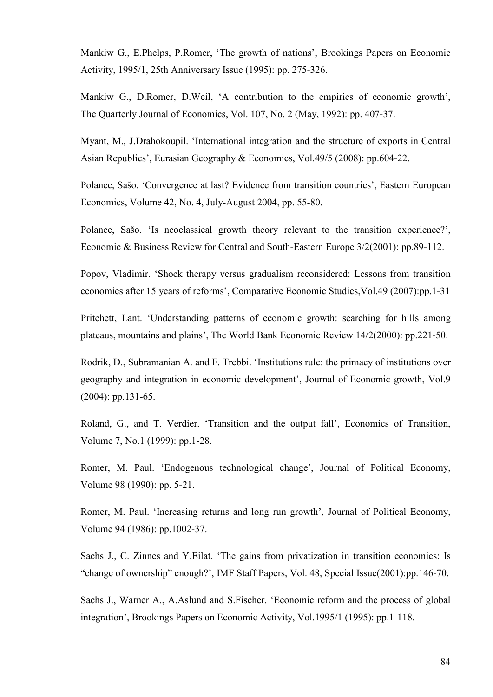Mankiw G., E.Phelps, P.Romer, 'The growth of nations', Brookings Papers on Economic Activity, 1995/1, 25th Anniversary Issue (1995): pp. 275-326.

Mankiw G., D.Romer, D.Weil, 'A contribution to the empirics of economic growth', The Quarterly Journal of Economics, Vol. 107, No. 2 (May, 1992): pp. 407-37.

Myant, M., J.Drahokoupil. 'International integration and the structure of exports in Central Asian Republics', Eurasian Geography & Economics, Vol.49/5 (2008): pp.604-22.

Polanec, Sašo. 'Convergence at last? Evidence from transition countries', Eastern European Economics, Volume 42, No. 4, July-August 2004, pp. 55-80.

Polanec, Sašo. 'Is neoclassical growth theory relevant to the transition experience?', Economic & Business Review for Central and South-Eastern Europe 3/2(2001): pp.89-112.

Popov, Vladimir. 'Shock therapy versus gradualism reconsidered: Lessons from transition economies after 15 years of reforms', Comparative Economic Studies,Vol.49 (2007):pp.1-31

Pritchett, Lant. 'Understanding patterns of economic growth: searching for hills among plateaus, mountains and plains', The World Bank Economic Review 14/2(2000): pp.221-50.

Rodrik, D., Subramanian A. and F. Trebbi. 'Institutions rule: the primacy of institutions over geography and integration in economic development', Journal of Economic growth, Vol.9 (2004): pp.131-65.

Roland, G., and T. Verdier. 'Transition and the output fall', Economics of Transition, Volume 7, No.1 (1999): pp.1-28.

Romer, M. Paul. 'Endogenous technological change', Journal of Political Economy, Volume 98 (1990): pp. 5-21.

Romer, M. Paul. 'Increasing returns and long run growth', Journal of Political Economy, Volume 94 (1986): pp.1002-37.

Sachs J., C. Zinnes and Y.Eilat. 'The gains from privatization in transition economies: Is "change of ownership" enough?', IMF Staff Papers, Vol. 48, Special Issue(2001):pp.146-70.

Sachs J., Warner A., A.Aslund and S.Fischer. 'Economic reform and the process of global integration', Brookings Papers on Economic Activity, Vol.1995/1 (1995): pp.1-118.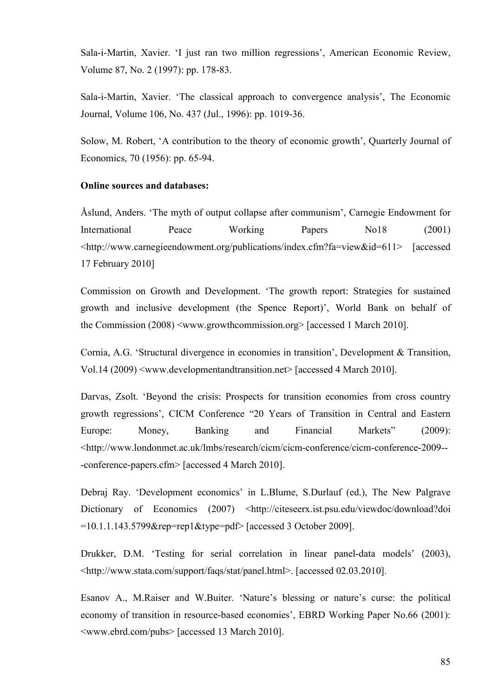Sala-i-Martin, Xavier. 'I just ran two million regressions', American Economic Review, Volume 87, No. 2 (1997): pp. 178-83.

Sala-i-Martin, Xavier. 'The classical approach to convergence analysis', The Economic Journal, Volume 106, No. 437 (Jul., 1996): pp. 1019-36.

Solow, M. Robert, 'A contribution to the theory of economic growth', Quarterly Journal of Economics, 70 (1956): pp. 65-94.

### **Online sources and databases:**

Åslund, Anders. 'The myth of output collapse after communism', Carnegie Endowment for International Peace Working Papers No<sup>18</sup> (2001) <http://www.carnegieendowment.org/publications/index.cfm?fa=view&id=611> [accessed 17 February 2010]

Commission on Growth and Development. 'The growth report: Strategies for sustained growth and inclusive development (the Spence Report)', World Bank on behalf of the Commission (2008) <www.growthcommission.org> [accessed 1 March 2010].

Cornia, A.G. 'Structural divergence in economies in transition', Development & Transition, Vol.14 (2009) <www.developmentandtransition.net> [accessed 4 March 2010].

Darvas, Zsolt. 'Beyond the crisis: Prospects for transition economies from cross country growth regressions', CICM Conference "20 Years of Transition in Central and Eastern Europe: Money, Banking and Financial Markets" (2009): <http://www.londonmet.ac.uk/lmbs/research/cicm/cicm-conference/cicm-conference-2009-- -conference-papers.cfm> [accessed 4 March 2010].

Debraj Ray. 'Development economics' in L.Blume, S.Durlauf (ed.), The New Palgrave Dictionary of Economics (2007) <http://citeseerx.ist.psu.edu/viewdoc/download?doi =10.1.1.143.5799&rep=rep1&type=pdf> [accessed 3 October 2009].

Drukker, D.M. 'Testing for serial correlation in linear panel-data models' (2003), <http://www.stata.com/support/faqs/stat/panel.html>. [accessed 02.03.2010].

Esanov A., M.Raiser and W.Buiter. 'Nature's blessing or nature's curse: the political economy of transition in resource-based economies', EBRD Working Paper No.66 (2001): <www.ebrd.com/pubs> [accessed 13 March 2010].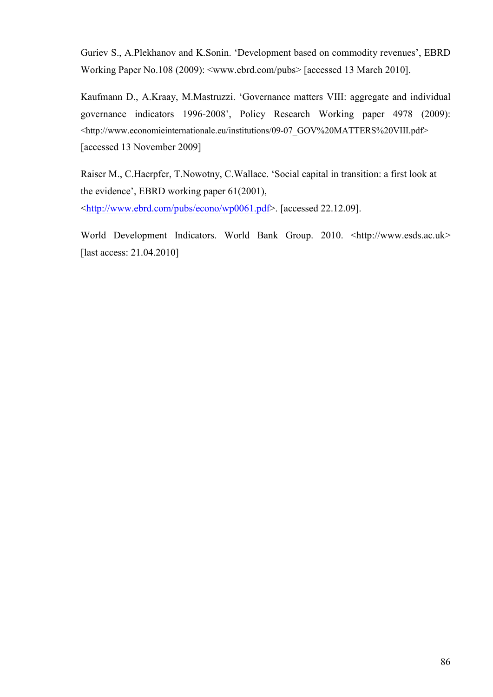Guriev S., A.Plekhanov and K.Sonin. 'Development based on commodity revenues', EBRD Working Paper No.108 (2009): <www.ebrd.com/pubs> [accessed 13 March 2010].

Kaufmann D., A.Kraay, M.Mastruzzi. 'Governance matters VIII: aggregate and individual governance indicators 1996-2008', Policy Research Working paper 4978 (2009): <http://www.economieinternationale.eu/institutions/09-07\_GOV%20MATTERS%20VIII.pdf> [accessed 13 November 2009]

Raiser M., C.Haerpfer, T.Nowotny, C.Wallace. 'Social capital in transition: a first look at the evidence', EBRD working paper 61(2001),

<http://www.ebrd.com/pubs/econo/wp0061.pdf>. [accessed 22.12.09].

World Development Indicators. World Bank Group. 2010. <http://www.esds.ac.uk> [last access: 21.04.2010]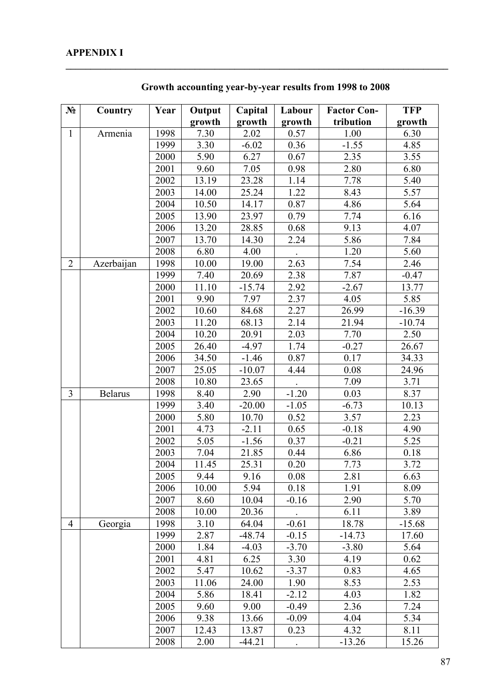| $N_2$          | Country        | Year | Output            | Capital  | Labour  | <b>Factor Con-</b> | <b>TFP</b> |
|----------------|----------------|------|-------------------|----------|---------|--------------------|------------|
|                |                |      | growth            | growth   | growth  | tribution          | growth     |
| $\mathbf{1}$   | Armenia        | 1998 | 7.30              | 2.02     | 0.57    | 1.00               | 6.30       |
|                |                | 1999 | $\overline{3}.30$ | $-6.02$  | 0.36    | $-1.55$            | 4.85       |
|                |                | 2000 | 5.90              | 6.27     | 0.67    | 2.35               | 3.55       |
|                |                | 2001 | 9.60              | 7.05     | 0.98    | 2.80               | 6.80       |
|                |                | 2002 | 13.19             | 23.28    | 1.14    | 7.78               | 5.40       |
|                |                | 2003 | 14.00             | 25.24    | 1.22    | 8.43               | 5.57       |
|                |                | 2004 | 10.50             | 14.17    | 0.87    | 4.86               | 5.64       |
|                |                | 2005 | 13.90             | 23.97    | 0.79    | 7.74               | 6.16       |
|                |                | 2006 | 13.20             | 28.85    | 0.68    | 9.13               | 4.07       |
|                |                | 2007 | 13.70             | 14.30    | 2.24    | 5.86               | 7.84       |
|                |                | 2008 | 6.80              | 4.00     |         | 1.20               | 5.60       |
| $\overline{2}$ | Azerbaijan     | 1998 | 10.00             | 19.00    | 2.63    | 7.54               | 2.46       |
|                |                | 1999 | 7.40              | 20.69    | 2.38    | 7.87               | $-0.47$    |
|                |                | 2000 | 11.10             | $-15.74$ | 2.92    | $-2.67$            | 13.77      |
|                |                | 2001 | 9.90              | 7.97     | 2.37    | 4.05               | 5.85       |
|                |                | 2002 | 10.60             | 84.68    | 2.27    | 26.99              | $-16.39$   |
|                |                | 2003 | 11.20             | 68.13    | 2.14    | 21.94              | $-10.74$   |
|                |                | 2004 | 10.20             | 20.91    | 2.03    | 7.70               | 2.50       |
|                |                | 2005 | 26.40             | $-4.97$  | 1.74    | $-0.27$            | 26.67      |
|                |                | 2006 | 34.50             | $-1.46$  | 0.87    | 0.17               | 34.33      |
|                |                | 2007 | 25.05             | $-10.07$ | 4.44    | 0.08               | 24.96      |
|                |                | 2008 | 10.80             | 23.65    |         | 7.09               | 3.71       |
| $\overline{3}$ | <b>Belarus</b> | 1998 | 8.40              | 2.90     | $-1.20$ | 0.03               | 8.37       |
|                |                | 1999 | 3.40              | $-20.00$ | $-1.05$ | $-6.73$            | 10.13      |
|                |                | 2000 | 5.80              | 10.70    | 0.52    | 3.57               | 2.23       |
|                |                | 2001 | 4.73              | $-2.11$  | 0.65    | $-0.18$            | 4.90       |
|                |                | 2002 | 5.05              | $-1.56$  | 0.37    | $-0.21$            | 5.25       |
|                |                | 2003 | 7.04              | 21.85    | 0.44    | 6.86               | 0.18       |
|                |                | 2004 | 11.45             | 25.31    | 0.20    | 7.73               | 3.72       |
|                |                | 2005 | 9.44              | 9.16     | 0.08    | 2.81               | 6.63       |
|                |                | 2006 | 10.00             | 5.94     | 0.18    | 1.91               | 8.09       |
|                |                | 2007 | 8.60              | 10.04    | $-0.16$ | 2.90               | 5.70       |
|                |                | 2008 | 10.00             | 20.36    |         | 6.11               | 3.89       |
| $\overline{4}$ | Georgia        | 1998 | 3.10              | 64.04    | $-0.61$ | 18.78              | $-15.68$   |
|                |                | 1999 | 2.87              | $-48.74$ | $-0.15$ | $-14.73$           | 17.60      |
|                |                | 2000 | 1.84              | $-4.03$  | $-3.70$ | $-3.80$            | 5.64       |
|                |                | 2001 | 4.81              | 6.25     | 3.30    | 4.19               | 0.62       |
|                |                | 2002 | 5.47              | 10.62    | $-3.37$ | 0.83               | 4.65       |
|                |                | 2003 | 11.06             | 24.00    | 1.90    | 8.53               | 2.53       |
|                |                | 2004 | 5.86              | 18.41    | $-2.12$ | 4.03               | 1.82       |
|                |                | 2005 | 9.60              | 9.00     | $-0.49$ | 2.36               | 7.24       |
|                |                | 2006 | 9.38              | 13.66    | $-0.09$ | 4.04               | 5.34       |
|                |                | 2007 | 12.43             | 13.87    | 0.23    | 4.32               | 8.11       |
|                |                | 2008 | 2.00              | $-44.21$ |         | $-13.26$           | 15.26      |

**Growth accounting year-by-year results from 1998 to 2008** 

**\_\_\_\_\_\_\_\_\_\_\_\_\_\_\_\_\_\_\_\_\_\_\_\_\_\_\_\_\_\_\_\_\_\_\_\_\_\_\_\_\_\_\_\_\_\_\_\_\_\_\_\_\_\_\_\_\_\_\_\_\_\_\_\_\_\_\_\_\_\_\_\_\_\_\_\_\_**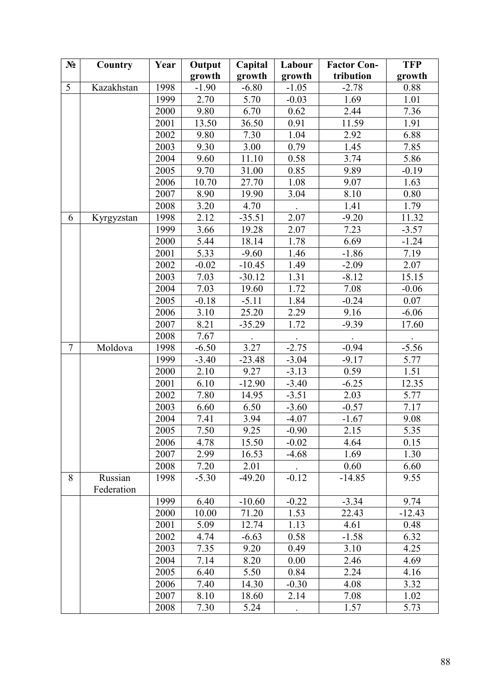| $N_2$          | Country    | Year | Output            | Capital  | Labour    | <b>Factor Con-</b> | <b>TFP</b> |
|----------------|------------|------|-------------------|----------|-----------|--------------------|------------|
|                |            |      | growth            | growth   | growth    | tribution          | growth     |
| 5              | Kazakhstan | 1998 | $-1.90$           | $-6.80$  | $-1.05$   | $-2.78$            | 0.88       |
|                |            | 1999 | 2.70              | 5.70     | $-0.03$   | 1.69               | 1.01       |
|                |            | 2000 | 9.80              | 6.70     | 0.62      | 2.44               | 7.36       |
|                |            | 2001 | 13.50             | 36.50    | 0.91      | 11.59              | 1.91       |
|                |            | 2002 | 9.80              | 7.30     | 1.04      | 2.92               | 6.88       |
|                |            | 2003 | 9.30              | 3.00     | 0.79      | 1.45               | 7.85       |
|                |            | 2004 | 9.60              | 11.10    | 0.58      | 3.74               | 5.86       |
|                |            | 2005 | 9.70              | 31.00    | 0.85      | 9.89               | $-0.19$    |
|                |            | 2006 | 10.70             | 27.70    | 1.08      | 9.07               | 1.63       |
|                |            | 2007 | 8.90              | 19.90    | 3.04      | 8.10               | 0.80       |
|                |            | 2008 | 3.20              | 4.70     |           | 1.41               | 1.79       |
| 6              | Kyrgyzstan | 1998 | 2.12              | $-35.51$ | 2.07      | $-9.20$            | 11.32      |
|                |            | 1999 | 3.66              | 19.28    | 2.07      | 7.23               | $-3.57$    |
|                |            | 2000 | 5.44              | 18.14    | 1.78      | 6.69               | $-1.24$    |
|                |            | 2001 | 5.33              | $-9.60$  | 1.46      | $-1.86$            | 7.19       |
|                |            | 2002 | $-0.02$           | $-10.45$ | 1.49      | $-2.09$            | 2.07       |
|                |            | 2003 | 7.03              | $-30.12$ | 1.31      | $-8.12$            | 15.15      |
|                |            | 2004 | 7.03              | 19.60    | 1.72      | 7.08               | $-0.06$    |
|                |            | 2005 | $-0.18$           | $-5.11$  | 1.84      | $-0.24$            | 0.07       |
|                |            | 2006 | 3.10              | 25.20    | 2.29      | 9.16               | $-6.06$    |
|                |            | 2007 | 8.21              | $-35.29$ | 1.72      | $-9.39$            | 17.60      |
|                |            | 2008 | 7.67              |          |           |                    |            |
| $\overline{7}$ | Moldova    | 1998 | $-6.50$           | 3.27     | $-2.75$   | $-0.94$            | $-5.56$    |
|                |            | 1999 | $-3.40$           | $-23.48$ | $-3.04$   | $-9.17$            | 5.77       |
|                |            | 2000 | 2.10              | 9.27     | $-3.13$   | 0.59               | 1.51       |
|                |            | 2001 | 6.10              | $-12.90$ | $-3.40$   | $-6.25$            | 12.35      |
|                |            | 2002 | 7.80              | 14.95    | $-3.51$   | 2.03               | 5.77       |
|                |            | 2003 | 6.60              | 6.50     | $-3.60$   | $-0.57$            | 7.17       |
|                |            | 2004 | $\overline{7}.41$ | 3.94     | $-4.07$   | $-1.67$            | 9.08       |
|                |            | 2005 | 7.50              | 9.25     | $-0.90$   | 2.15               | 5.35       |
|                |            | 2006 | 4.78              | 15.50    | $-0.02$   | 4.64               | 0.15       |
|                |            | 2007 | 2.99              | 16.53    | $-4.68$   | 1.69               | 1.30       |
|                |            | 2008 | 7.20              | 2.01     |           | 0.60               | 6.60       |
| 8              | Russian    | 1998 | $-5.30$           | $-49.20$ | $-0.12$   | $-14.85$           | 9.55       |
|                | Federation | 1999 | 6.40              | $-10.60$ | $-0.22$   | $-3.34$            | 9.74       |
|                |            | 2000 | 10.00             | 71.20    | 1.53      | 22.43              | $-12.43$   |
|                |            | 2001 | 5.09              | 12.74    | 1.13      | 4.61               | 0.48       |
|                |            | 2002 | 4.74              | $-6.63$  | 0.58      | $-1.58$            | 6.32       |
|                |            | 2003 | 7.35              | 9.20     | 0.49      | 3.10               | 4.25       |
|                |            | 2004 | 7.14              | 8.20     | 0.00      | 2.46               | 4.69       |
|                |            | 2005 | 6.40              | 5.50     | 0.84      | 2.24               | 4.16       |
|                |            | 2006 | 7.40              | 14.30    | $-0.30$   | 4.08               | 3.32       |
|                |            | 2007 | 8.10              | 18.60    | 2.14      | 7.08               | 1.02       |
|                |            | 2008 | 7.30              | 5.24     |           | 1.57               | 5.73       |
|                |            |      |                   |          | $\bullet$ |                    |            |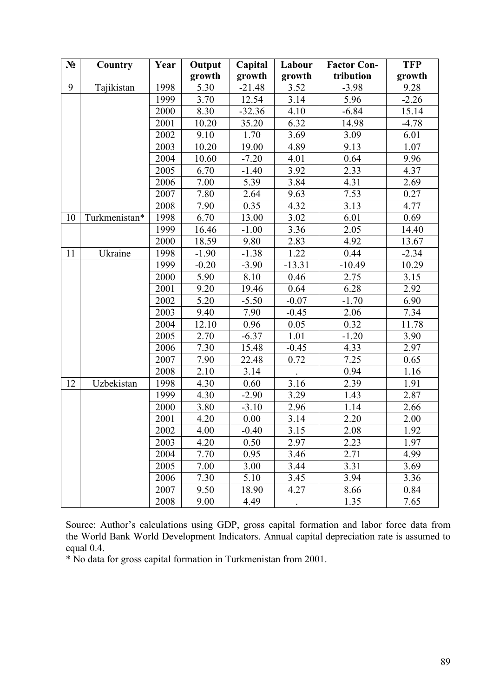| $N_2$ | Country       | Year | Output  | Capital  | Labour   | <b>Factor Con-</b> | <b>TFP</b> |
|-------|---------------|------|---------|----------|----------|--------------------|------------|
|       |               |      | growth  | growth   | growth   | tribution          | growth     |
| 9     | Tajikistan    | 1998 | 5.30    | $-21.48$ | 3.52     | $-3.98$            | 9.28       |
|       |               | 1999 | 3.70    | 12.54    | 3.14     | 5.96               | $-2.26$    |
|       |               | 2000 | 8.30    | $-32.36$ | 4.10     | $-6.84$            | 15.14      |
|       |               | 2001 | 10.20   | 35.20    | 6.32     | 14.98              | $-4.78$    |
|       |               | 2002 | 9.10    | 1.70     | 3.69     | 3.09               | 6.01       |
|       |               | 2003 | 10.20   | 19.00    | 4.89     | 9.13               | 1.07       |
|       |               | 2004 | 10.60   | $-7.20$  | 4.01     | 0.64               | 9.96       |
|       |               | 2005 | 6.70    | $-1.40$  | 3.92     | 2.33               | 4.37       |
|       |               | 2006 | 7.00    | 5.39     | 3.84     | 4.31               | 2.69       |
|       |               | 2007 | 7.80    | 2.64     | 9.63     | 7.53               | 0.27       |
|       |               | 2008 | 7.90    | 0.35     | 4.32     | 3.13               | 4.77       |
| 10    | Turkmenistan* | 1998 | 6.70    | 13.00    | 3.02     | 6.01               | 0.69       |
|       |               | 1999 | 16.46   | $-1.00$  | 3.36     | 2.05               | 14.40      |
|       |               | 2000 | 18.59   | 9.80     | 2.83     | 4.92               | 13.67      |
| 11    | Ukraine       | 1998 | $-1.90$ | $-1.38$  | 1.22     | 0.44               | $-2.34$    |
|       |               | 1999 | $-0.20$ | $-3.90$  | $-13.31$ | $-10.49$           | 10.29      |
|       |               | 2000 | 5.90    | 8.10     | 0.46     | 2.75               | 3.15       |
|       |               | 2001 | 9.20    | 19.46    | 0.64     | 6.28               | 2.92       |
|       |               | 2002 | 5.20    | $-5.50$  | $-0.07$  | $-1.70$            | 6.90       |
|       |               | 2003 | 9.40    | 7.90     | $-0.45$  | 2.06               | 7.34       |
|       |               | 2004 | 12.10   | 0.96     | 0.05     | 0.32               | 11.78      |
|       |               | 2005 | 2.70    | $-6.37$  | 1.01     | $-1.20$            | 3.90       |
|       |               | 2006 | 7.30    | 15.48    | $-0.45$  | 4.33               | 2.97       |
|       |               | 2007 | 7.90    | 22.48    | 0.72     | 7.25               | 0.65       |
|       |               | 2008 | 2.10    | 3.14     |          | 0.94               | 1.16       |
| 12    | Uzbekistan    | 1998 | 4.30    | 0.60     | 3.16     | 2.39               | 1.91       |
|       |               | 1999 | 4.30    | $-2.90$  | 3.29     | 1.43               | 2.87       |
|       |               | 2000 | 3.80    | $-3.10$  | 2.96     | 1.14               | 2.66       |
|       |               | 2001 | 4.20    | 0.00     | 3.14     | 2.20               | 2.00       |
|       |               | 2002 | 4.00    | $-0.40$  | 3.15     | 2.08               | 1.92       |
|       |               | 2003 | 4.20    | 0.50     | 2.97     | 2.23               | 1.97       |
|       |               | 2004 | 7.70    | 0.95     | 3.46     | 2.71               | 4.99       |
|       |               | 2005 | 7.00    | 3.00     | 3.44     | 3.31               | 3.69       |
|       |               | 2006 | 7.30    | 5.10     | 3.45     | 3.94               | 3.36       |
|       |               | 2007 | 9.50    | 18.90    | 4.27     | 8.66               | 0.84       |
|       |               | 2008 | 9.00    | 4.49     |          | 1.35               | 7.65       |

Source: Author's calculations using GDP, gross capital formation and labor force data from the World Bank World Development Indicators. Annual capital depreciation rate is assumed to equal 0.4.

\* No data for gross capital formation in Turkmenistan from 2001.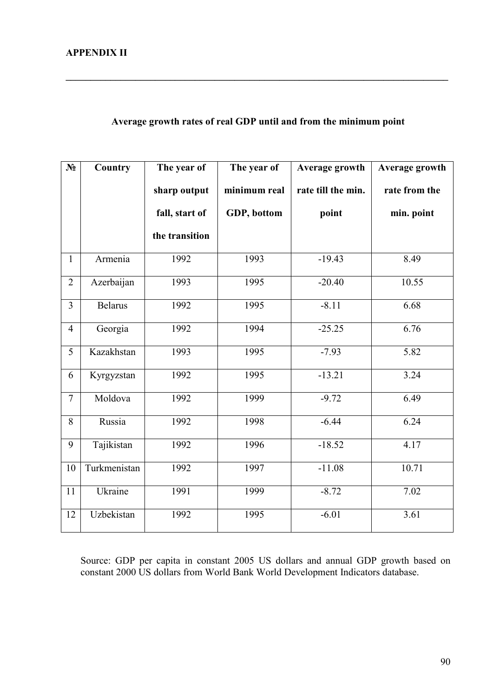## **Average growth rates of real GDP until and from the minimum point**

**\_\_\_\_\_\_\_\_\_\_\_\_\_\_\_\_\_\_\_\_\_\_\_\_\_\_\_\_\_\_\_\_\_\_\_\_\_\_\_\_\_\_\_\_\_\_\_\_\_\_\_\_\_\_\_\_\_\_\_\_\_\_\_\_\_\_\_\_\_\_\_\_\_\_\_\_\_** 

| $N_2$          | Country        | The year of    | The year of  | Average growth     | Average growth |
|----------------|----------------|----------------|--------------|--------------------|----------------|
|                |                | sharp output   | minimum real | rate till the min. | rate from the  |
|                |                | fall, start of | GDP, bottom  | point              | min. point     |
|                |                | the transition |              |                    |                |
| $\mathbf{1}$   | Armenia        | 1992           | 1993         | $-19.43$           | 8.49           |
| $\overline{2}$ | Azerbaijan     | 1993           | 1995         | $-20.40$           | 10.55          |
| $\overline{3}$ | <b>Belarus</b> | 1992           | 1995         | $-8.11$            | 6.68           |
| $\overline{4}$ | Georgia        | 1992           | 1994         | $-25.25$           | 6.76           |
| 5              | Kazakhstan     | 1993           | 1995         | $-7.93$            | 5.82           |
| 6              | Kyrgyzstan     | 1992           | 1995         | $-13.21$           | 3.24           |
| $\overline{7}$ | Moldova        | 1992           | 1999         | $-9.72$            | 6.49           |
| 8              | Russia         | 1992           | 1998         | $-6.44$            | 6.24           |
| 9              | Tajikistan     | 1992           | 1996         | $-18.52$           | 4.17           |
| 10             | Turkmenistan   | 1992           | 1997         | $-11.08$           | 10.71          |
| 11             | Ukraine        | 1991           | 1999         | $-8.72$            | 7.02           |
| 12             | Uzbekistan     | 1992           | 1995         | $-6.01$            | 3.61           |

Source: GDP per capita in constant 2005 US dollars and annual GDP growth based on constant 2000 US dollars from World Bank World Development Indicators database.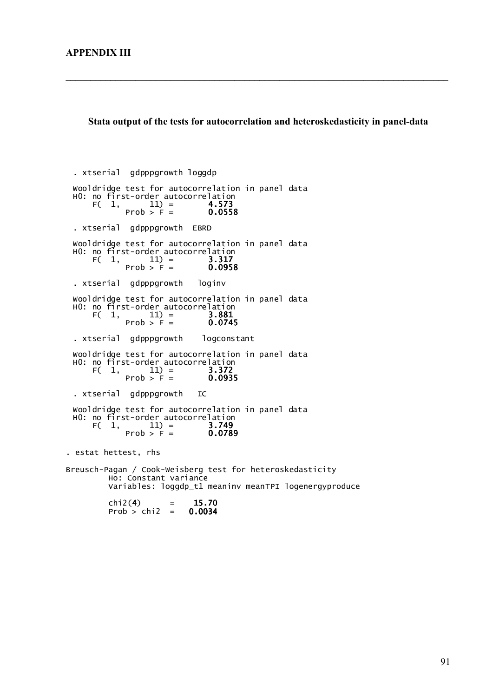#### **Stata output of the tests for autocorrelation and heteroskedasticity in panel-data**

**\_\_\_\_\_\_\_\_\_\_\_\_\_\_\_\_\_\_\_\_\_\_\_\_\_\_\_\_\_\_\_\_\_\_\_\_\_\_\_\_\_\_\_\_\_\_\_\_\_\_\_\_\_\_\_\_\_\_\_\_\_\_\_\_\_\_\_\_\_\_\_\_\_\_\_\_\_** 

 $F(1, 11) = 3.749$ <br>Prob > F = 0.0789  $\begin{bmatrix} 11 \end{bmatrix} = 3.749$ H0: no first-order autocorrelation Wooldridge test for autocorrelation in panel data . xtserial gdpppgrowth IC Prob > F =  $0.0935$ F(  $1,$   $11) =$   $3.372$ H0: no first-order autocorrelation Wooldridge test for autocorrelation in panel data . xtserial gdpppgrowth logconstant Prob > F =  $0.0745$ F(  $1,$   $11) =$   $3.881$ H0: no first-order autocorrelation Wooldridge test for autocorrelation in panel data . xtserial gdpppgrowth loginv Prob >  $F = 0.0958$  $F( 1, 11) = 3.317$ H0: no first-order autocorrelation Wooldridge test for autocorrelation in panel data . xtserial gdpppgrowth EBRD  $11$  = 4.573<br>Prob > F = 0.0558 F(  $1,$   $11) =$   $4.573$ H0: no first-order autocorrelation Wooldridge test for autocorrelation in panel data . xtserial gdpppgrowth loggdp  $Prob > chi2 = 0.0034$  $chi2(4) = 15.70$  Variables: loggdp\_t1 meaninv meanTPI logenergyproduce Ho: Constant variance Breusch-Pagan / Cook-Weisberg test for heteroskedasticity . estat hettest, rhs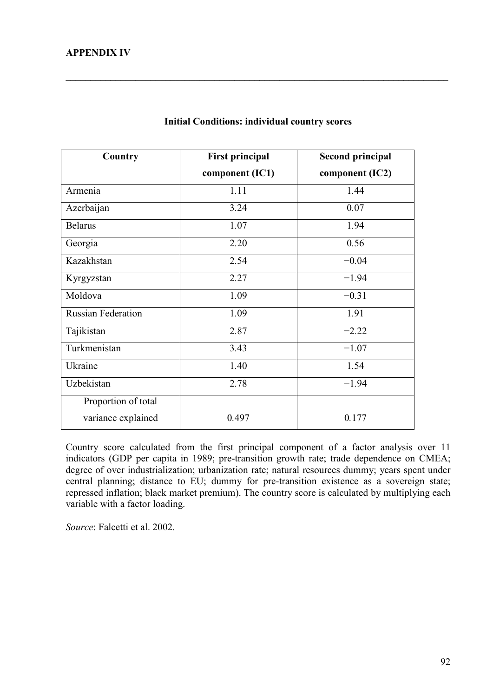| Country                   | <b>First principal</b> | <b>Second principal</b> |
|---------------------------|------------------------|-------------------------|
|                           | component (IC1)        | component (IC2)         |
| Armenia                   | 1.11                   | 1.44                    |
| Azerbaijan                | 3.24                   | 0.07                    |
| <b>Belarus</b>            | 1.07                   | 1.94                    |
| Georgia                   | 2.20                   | 0.56                    |
| Kazakhstan                | 2.54                   | $-0.04$                 |
| Kyrgyzstan                | 2.27                   | $-1.94$                 |
| Moldova                   | 1.09                   | $-0.31$                 |
| <b>Russian Federation</b> | 1.09                   | 1.91                    |
| Tajikistan                | 2.87                   | $-2.22$                 |
| Turkmenistan              | 3.43                   | $-1.07$                 |
| Ukraine                   | 1.40                   | 1.54                    |
| Uzbekistan                | 2.78                   | $-1.94$                 |
| Proportion of total       |                        |                         |
| variance explained        | 0.497                  | 0.177                   |

#### **Initial Conditions: individual country scores**

**\_\_\_\_\_\_\_\_\_\_\_\_\_\_\_\_\_\_\_\_\_\_\_\_\_\_\_\_\_\_\_\_\_\_\_\_\_\_\_\_\_\_\_\_\_\_\_\_\_\_\_\_\_\_\_\_\_\_\_\_\_\_\_\_\_\_\_\_\_\_\_\_\_\_\_\_\_** 

Country score calculated from the first principal component of a factor analysis over 11 indicators (GDP per capita in 1989; pre-transition growth rate; trade dependence on CMEA; degree of over industrialization; urbanization rate; natural resources dummy; years spent under central planning; distance to EU; dummy for pre-transition existence as a sovereign state; repressed inflation; black market premium). The country score is calculated by multiplying each variable with a factor loading.

*Source*: Falcetti et al. 2002.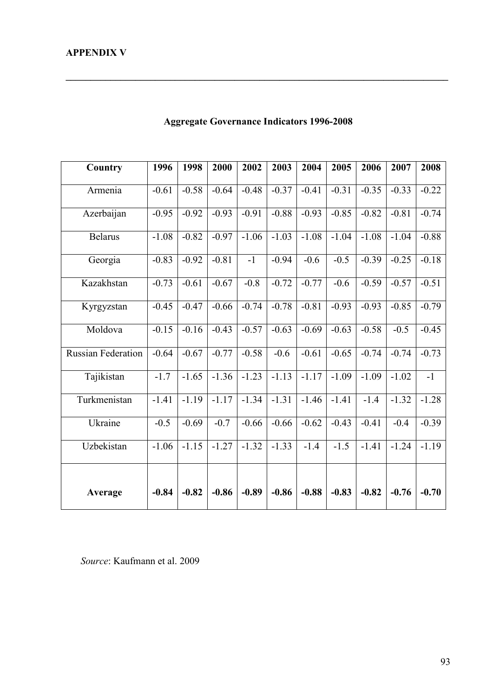| Country                   | 1996    | 1998    | 2000    | 2002    | 2003    | 2004    | 2005    | 2006    | 2007    | 2008    |
|---------------------------|---------|---------|---------|---------|---------|---------|---------|---------|---------|---------|
| Armenia                   | $-0.61$ | $-0.58$ | $-0.64$ | $-0.48$ | $-0.37$ | $-0.41$ | $-0.31$ | $-0.35$ | $-0.33$ | $-0.22$ |
| Azerbaijan                | $-0.95$ | $-0.92$ | $-0.93$ | $-0.91$ | $-0.88$ | $-0.93$ | $-0.85$ | $-0.82$ | $-0.81$ | $-0.74$ |
| <b>Belarus</b>            | $-1.08$ | $-0.82$ | $-0.97$ | $-1.06$ | $-1.03$ | $-1.08$ | $-1.04$ | $-1.08$ | $-1.04$ | $-0.88$ |
| Georgia                   | $-0.83$ | $-0.92$ | $-0.81$ | $-1$    | $-0.94$ | $-0.6$  | $-0.5$  | $-0.39$ | $-0.25$ | $-0.18$ |
| Kazakhstan                | $-0.73$ | $-0.61$ | $-0.67$ | $-0.8$  | $-0.72$ | $-0.77$ | $-0.6$  | $-0.59$ | $-0.57$ | $-0.51$ |
| Kyrgyzstan                | $-0.45$ | $-0.47$ | $-0.66$ | $-0.74$ | $-0.78$ | $-0.81$ | $-0.93$ | $-0.93$ | $-0.85$ | $-0.79$ |
| Moldova                   | $-0.15$ | $-0.16$ | $-0.43$ | $-0.57$ | $-0.63$ | $-0.69$ | $-0.63$ | $-0.58$ | $-0.5$  | $-0.45$ |
| <b>Russian Federation</b> | $-0.64$ | $-0.67$ | $-0.77$ | $-0.58$ | $-0.6$  | $-0.61$ | $-0.65$ | $-0.74$ | $-0.74$ | $-0.73$ |
| Tajikistan                | $-1.7$  | $-1.65$ | $-1.36$ | $-1.23$ | $-1.13$ | $-1.17$ | $-1.09$ | $-1.09$ | $-1.02$ | $-1$    |
| Turkmenistan              | $-1.41$ | $-1.19$ | $-1.17$ | $-1.34$ | $-1.31$ | $-1.46$ | $-1.41$ | $-1.4$  | $-1.32$ | $-1.28$ |
| Ukraine                   | $-0.5$  | $-0.69$ | $-0.7$  | $-0.66$ | $-0.66$ | $-0.62$ | $-0.43$ | $-0.41$ | $-0.4$  | $-0.39$ |
| Uzbekistan                | $-1.06$ | $-1.15$ | $-1.27$ | $-1.32$ | $-1.33$ | $-1.4$  | $-1.5$  | $-1.41$ | $-1.24$ | $-1.19$ |
| Average                   | $-0.84$ | $-0.82$ | $-0.86$ | $-0.89$ | $-0.86$ | $-0.88$ | $-0.83$ | $-0.82$ | $-0.76$ | $-0.70$ |
|                           |         |         |         |         |         |         |         |         |         |         |

# **Aggregate Governance Indicators 1996-2008**

**\_\_\_\_\_\_\_\_\_\_\_\_\_\_\_\_\_\_\_\_\_\_\_\_\_\_\_\_\_\_\_\_\_\_\_\_\_\_\_\_\_\_\_\_\_\_\_\_\_\_\_\_\_\_\_\_\_\_\_\_\_\_\_\_\_\_\_\_\_\_\_\_\_\_\_\_\_** 

*Source*: Kaufmann et al. 2009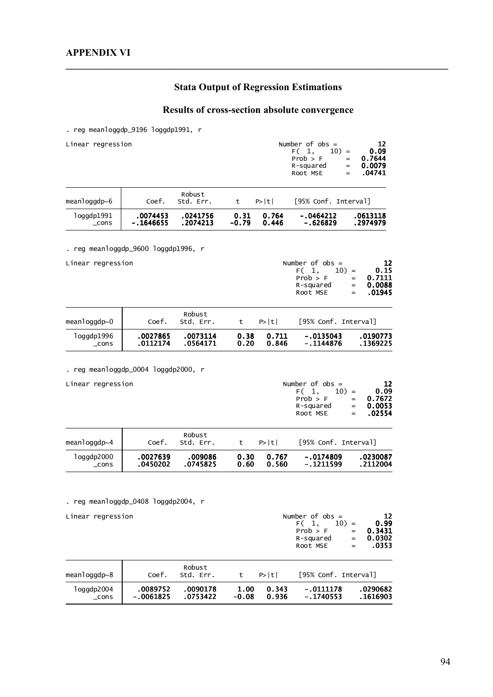# **Stata Output of Regression Estimations**

**\_\_\_\_\_\_\_\_\_\_\_\_\_\_\_\_\_\_\_\_\_\_\_\_\_\_\_\_\_\_\_\_\_\_\_\_\_\_\_\_\_\_\_\_\_\_\_\_\_\_\_\_\_\_\_\_\_\_\_\_\_\_\_\_\_\_\_\_\_\_\_\_\_\_\_\_\_** 

# **Results of cross-section absolute convergence**

. reg meanloggdp\_9196 loggdp1991, r

| Linear regression                                        |                       |                      |                 |                | Number of $obs =$<br>F(1,<br>$10) =$<br>Prob > F<br>$=$<br>R-squared<br>$=$<br>Root MSE<br>$=$ | 12<br>0.09<br>0.7644<br>0.0079<br>.04741                             |
|----------------------------------------------------------|-----------------------|----------------------|-----------------|----------------|------------------------------------------------------------------------------------------------|----------------------------------------------------------------------|
| meanloggdp $\sim$ 6                                      | Coef.                 | Robust<br>Std. Err.  | t               | P> t           | [95% Conf. Interval]                                                                           |                                                                      |
| log qdp1991<br>$\_cons$                                  | .0074453<br>-.1646655 | .0241756<br>.2074213 | 0.31<br>$-0.79$ | 0.764<br>0.446 | - 0464212<br>-.626829                                                                          | .0613118<br>.2974979                                                 |
| reg meanloggdp_9600 loggdp1996, r                        |                       |                      |                 |                |                                                                                                |                                                                      |
| Linear regression                                        |                       |                      |                 |                | Number of $obs =$<br>F(1,<br>$10) =$<br>Prob > F<br>R-squared<br>Root MSE                      | 12<br>0.15<br><b>0.7111</b><br>$=$<br>0.0088<br>$=$<br>.01945<br>$=$ |
| $meanlogqdp \sim 0$                                      | Coef.                 | Robust<br>Std. Err.  | t               | P> t           | [95% Conf. Interval]                                                                           |                                                                      |
| loggdp1996<br>_cons                                      | .0027865<br>.0112174  | .0073114<br>.0564171 | 0.38<br>0.20    | 0.711<br>0.846 | -.0135043<br>$-.1144876$                                                                       | .0190773<br>.1369225                                                 |
| Linear regression                                        |                       |                      |                 |                | Number of $obs =$<br>$10) =$<br>F( 1,<br>Prob > F<br>R-squared<br>Root MSE                     | 12<br>0.09<br>0.7672<br>$=$<br>0.0053<br>$=$<br>.02554<br>$=$        |
| meanloggdp~4                                             | Coef.                 | Robust<br>Std. Err.  | t               | P> t           | [95% Conf. Interval]                                                                           |                                                                      |
| loggdp2000<br>$\_cons$                                   | .0027639<br>.0450202  | .009086<br>.0745825  | 0.30<br>0.60    | 0.767<br>0.560 | -.0174809<br>-.1211599                                                                         | .0230087<br>.2112004                                                 |
|                                                          |                       |                      |                 |                |                                                                                                |                                                                      |
| . reg meanloggdp_0408 loggdp2004, r<br>Linear regression |                       |                      |                 |                | Number of $obs =$<br>F(1,<br>$10) =$<br>Prob > F<br>R-squared<br>Root MSE                      | 12<br>0.99<br>0.3431<br>$=$<br>0.0302<br>$=$<br>.0353<br>$=$         |
| $mean$ loqqdp~8                                          | Coef.                 | Robust<br>Std. Err.  | t               | P> t           | [95% Conf. Interval]                                                                           |                                                                      |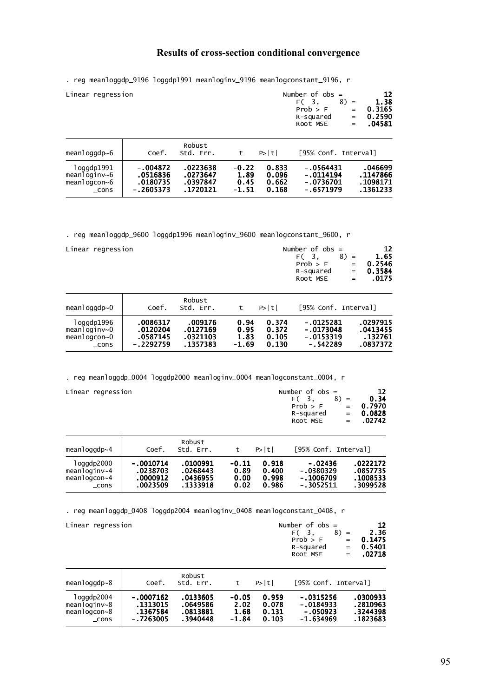### **Results of cross-section conditional convergence**

. reg meanloggdp\_9196 loggdp1991 meanloginv\_9196 meanlogconstant\_9196, r

| Linear regression                                            |                                               |                                              |                                  | Number of $obs =$<br>F <sub>(3</sub> .<br>Prob > F<br>R-squared<br>Root MSE | $8) =$<br>$=$<br>$=$<br>$=$                          | 12<br>1.38<br>0.3165<br>0.2590<br>.04581 |                                             |
|--------------------------------------------------------------|-----------------------------------------------|----------------------------------------------|----------------------------------|-----------------------------------------------------------------------------|------------------------------------------------------|------------------------------------------|---------------------------------------------|
| meanloggdp $\sim$ 6                                          | Coef.                                         | Robust<br>Std. Err.                          | t                                | P>  t                                                                       | [95% Conf. Interval]                                 |                                          |                                             |
| loggdp1991<br>meanloginv~6<br>$mean$ loqcon $\sim$ 6<br>cons | -.004872<br>.0516836<br>.0180735<br>-.2605373 | .0223638<br>.0273647<br>.0397847<br>.1720121 | $-0.22$<br>1.89<br>0.45<br>-1.51 | 0.833<br>0.096<br>0.662<br>0.168                                            | $-.0564431$<br>$-.0114194$<br>-.0736701<br>-.6571979 |                                          | .046699<br>.1147866<br>.1098171<br>.1361233 |

. reg meanloggdp\_9600 loggdp1996 meanloginv\_9600 meanlogconstant\_9600, r

| Linear regression | Number of $obs =$ | <b>12</b>  |
|-------------------|-------------------|------------|
|                   | $F(3, 8) =$       | 1.65       |
|                   | Prob > F          | $= 0.2546$ |
|                   | R-squared         | $= 0.3584$ |
|                   | Root MSE          | $= 0.0175$ |
|                   |                   |            |

| $meanlogqdp \sim 0$ | Coef.       | Robust<br>Std. Err. |         | P>  t | [95% Conf. Interval] |          |
|---------------------|-------------|---------------------|---------|-------|----------------------|----------|
| loggdp1996          | .0086317    | .009176             | 0.94    | 0.374 | $-.0125281$          | .0297915 |
| meanloginv~0        | .0120204    | .0127169            | 0.95    | 0.372 | $-.0173048$          | .0413455 |
| meanlogcon~0        | .0587145    | .0321103            | 1.83    | 0.105 | $-.0153319$          | .132761  |
| cons                | $-.2292759$ | .1357383            | $-1.69$ | 0.130 | $-.542289$           | .0837372 |

. reg meanloggdp\_0004 loggdp2000 meanloginv\_0004 meanlogconstant\_0004, r

| Linear regression                                             |                                                 |                                              |                                 | Number of $obs =$<br>F(3)<br>Prob > F<br>R-squared<br>Root MSE | $8) =$<br>$=$<br>$=$<br>$=$                          | 12<br>0.34<br>0.7970<br>0.0828<br>.02742 |                                              |
|---------------------------------------------------------------|-------------------------------------------------|----------------------------------------------|---------------------------------|----------------------------------------------------------------|------------------------------------------------------|------------------------------------------|----------------------------------------------|
| meanloggdp $\sim$ 4                                           | Coef.                                           | Robust<br>Std. Err.                          | t                               | P> t                                                           | [95% Conf. Interval]                                 |                                          |                                              |
| loggdp2000<br>meanlogin $v$ ~4<br>meanlogcon $\sim$ 4<br>cons | $-.0010714$<br>.0238703<br>.0000912<br>.0023509 | .0100991<br>.0268443<br>.0436955<br>.1333918 | $-0.11$<br>0.89<br>0.00<br>0.02 | 0.918<br>0.400<br>0.998<br>0.986                               | $-.02436$<br>$-.0380329$<br>$-.1006709$<br>-.3052511 |                                          | .0222172<br>.0857735<br>.1008533<br>.3099528 |

. reg meanloggdp\_0408 loggdp2004 meanloginv\_0408 meanlogconstant\_0408, r

| Linear regression                                         |                                                  |                                              |                                    |                                  | Number of $obs =$<br>F(3)<br>Prob > F<br>R-squared<br>Root MSE | $8) =$<br>$=$<br>$=$<br>$=$ | 12<br>2.36<br>0.1475<br>0.5401<br>.02718      |
|-----------------------------------------------------------|--------------------------------------------------|----------------------------------------------|------------------------------------|----------------------------------|----------------------------------------------------------------|-----------------------------|-----------------------------------------------|
| meanloggdp $\sim$ 8                                       | Coef.                                            | Robust<br>Std. Err.                          | t                                  | P>  t                            | [95% Conf. Interval]                                           |                             |                                               |
| loggdp2004<br>meanloginv~8<br>meanlogcon $\sim$ 8<br>cons | -.0007162<br>.1313015<br>.1367584<br>$-.7263005$ | .0133605<br>.0649586<br>.0813881<br>.3940448 | $-0.05$<br>2.02<br>1.68<br>$-1.84$ | 0.959<br>0.078<br>0.131<br>0.103 | $-.0315256$<br>$-.0184933$<br>$-.050923$<br>$-1.634969$        |                             | .0300933<br>. 2810963<br>.3244398<br>.1823683 |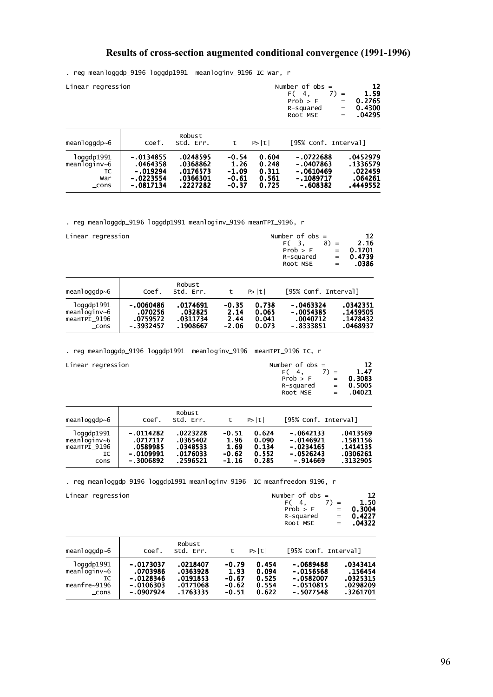### **Results of cross-section augmented conditional convergence (1991-1996)**

. reg meanloggdp\_9196 loggdp1991 meanloginv\_9196 IC War, r

|              | Linear regression |                     |      | Number of $obs =$<br>F (4.<br>Prob > F<br>R-squared<br>Root MSE | $7) =$<br>$=$<br>$=$<br>$=$ $-$ | 12<br>1.59<br>0.2765<br>0.4300<br>.04295 |
|--------------|-------------------|---------------------|------|-----------------------------------------------------------------|---------------------------------|------------------------------------------|
| meanloggdp~6 | Coef.             | Robust<br>Std. Err. | P> t | [95% Conf. Interval]                                            |                                 |                                          |

| loggdp1991   | $-0134855$  | .0248595 | $-0.54$ | 0.604 | $-.0722688$ | .0452979 |
|--------------|-------------|----------|---------|-------|-------------|----------|
| meanloqinv~6 | .0464358    | .0368862 | 1.26    | 0.248 | $-0407863$  | .1336579 |
| IC           | $-.019294$  | .0176573 | $-1.09$ | 0.311 | - 0610469   | .022459  |
| War          | $-.0223554$ | .0366301 | -0.61   | 0.561 | - 1089717   | .064261  |
| $\_cons$     | - 0817134   | .2227282 | $-0.37$ | 0.725 | -.608382    | .4449552 |

. reg meanloggdp\_9196 loggdp1991 meanloginv\_9196 meanTPI\_9196, r

| Linear regression |  |
|-------------------|--|
|-------------------|--|

| Number of $obs =$ | 12           |
|-------------------|--------------|
|                   | 2.16         |
| Prob > F          | $= 0.1701$   |
| R-squared         | $= 0.4739$   |
| Root MSE          | .0386<br>$=$ |
|                   | $F(3, 8) =$  |

| mean1oggdp~6 | Coef.       | Robust<br>Std. Err. |         | P> t  | [95% Conf. Interval] |          |
|--------------|-------------|---------------------|---------|-------|----------------------|----------|
| loggdp1991   | -.0060486   | .0174691            | $-0.35$ | 0.738 | $-.0463324$          | .0342351 |
| meanloginv~6 | .070256     | .032825             | 2.14    | 0.065 | $-.0054385$          | .1459505 |
| meanTPI 9196 | .0759572    | .0311734            | 2.44    | 0.041 | .0040712             | .1478432 |
| cons         | $-.3932457$ | .1908667            | $-2.06$ | 0.073 | $-8333851$           | .0468937 |

. reg meanloggdp\_9196 loggdp1991 meanloginv\_9196 meanTPI\_9196 IC, r

| Linear regression | Number of $obs =$ |             |  |  |  |
|-------------------|-------------------|-------------|--|--|--|
|                   | $7) =$<br>F (4.   | 1.47        |  |  |  |
|                   | Prob > F          | $= 0.3083$  |  |  |  |
|                   | R-squared         | $= 0.5005$  |  |  |  |
|                   | Root MSE          | $= 0.04021$ |  |  |  |
|                   |                   |             |  |  |  |

| meanloggdp~6 | Coef.       | Robust<br>std. Err. | t       | P>  t | [95% Conf. Interval] |          |
|--------------|-------------|---------------------|---------|-------|----------------------|----------|
| log qdp1991  | $-0114282$  | .0223228            | $-0.51$ | 0.624 | $-.0642133$          | .0413569 |
| meanloginv~6 | .0717117    | .0365402            | 1.96    | 0.090 | $-0146921$           | .1581156 |
| meanTPI 9196 | .0589985    | .0348533            | 1.69    | 0.134 | $-.0234165$          | .1414135 |
| IC           | $-.0109991$ | .0176033            | $-0.62$ | 0.552 | $-.0526243$          | .0306261 |
| cons         | $-.3006892$ | .2596521            | $-1.16$ | 0.285 | $-.914669$           | .3132905 |

. reg meanloggdp\_9196 loggdp1991 meanloginv\_9196 IC meanfreedom\_9196, r

Linear regression Number of observation of  $N$ 

| Linear regression | Number of $obs =$ | 12          |
|-------------------|-------------------|-------------|
|                   | $F(4, 7) =$       | 1.50        |
|                   | Prob > F          | $= 0.3004$  |
|                   | R-sauared         | $= 0.4227$  |
|                   | Root MSE          | $= 0.04322$ |
|                   |                   |             |

| meanloggdp $\sim$ 6 | Coef.       | Robust<br>Std. Err. | t       | P>  t | [95% Conf. Interval] |          |
|---------------------|-------------|---------------------|---------|-------|----------------------|----------|
| loggdp1991          | $-.0173037$ | .0218407            | $-0.79$ | 0.454 | $-.0689488$          | .0343414 |
| meanloginv $\sim$ 6 | .0703986    | .0363928            | 1.93    | 0.094 | $-.0156568$          | . 156454 |
| IC                  | $-.0128346$ | .0191853            | $-0.67$ | 0.525 | $-.0582007$          | .0325315 |
| meanfre~9196        | $-.0106303$ | .0171068            | $-0.62$ | 0.554 | $-.0510815$          | .0298209 |
| $\_cons$            | - 0907924   | .1763335            | $-0.51$ | 0.622 | $-15077548$          | .3261701 |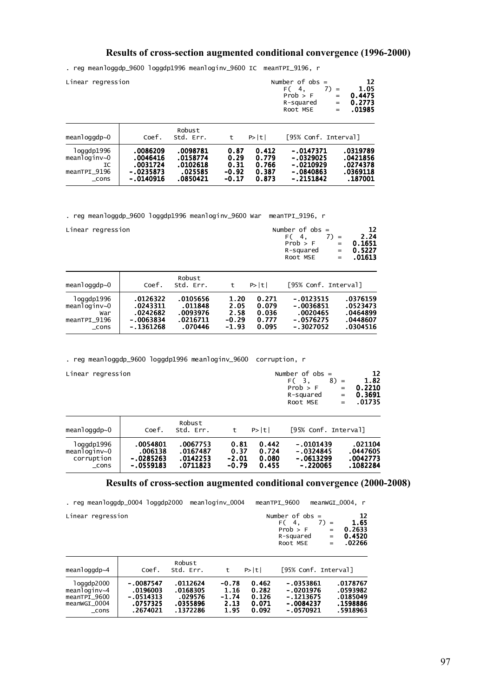### **Results of cross-section augmented conditional convergence (1996-2000)**

. reg meanloggdp\_9600 loggdp1996 meanloginv\_9600 IC meanTPI\_9196, r

| Linear regression | Number of $obs =$<br>F <sub>(4</sub> .<br>$7) =$<br>Prob > F<br>$=$<br>R-squared<br>$=$<br>Root MSE<br>$=$ | 12<br>1.05<br>0.4475<br>0.2773<br>.01985 |
|-------------------|------------------------------------------------------------------------------------------------------------|------------------------------------------|
| Robust            |                                                                                                            |                                          |

| meanloggdp $\sim 0$ | Coef.       | 11 UU UJ L<br>Std. Err. |         | P>  t | [95% Conf. Interval] |          |
|---------------------|-------------|-------------------------|---------|-------|----------------------|----------|
| 1oqqdp1996          | .0086209    | .0098781                | 0.87    | 0.412 | $-.0147371$          | .0319789 |
| meanloginv~0        | .0046416    | .0158774                | 0.29    | 0.779 | $-.0329025$          | .0421856 |
| IC                  | .0031724    | .0102618                | 0.31    | 0.766 | $-.0210929$          | .0274378 |
| meanTPI 9196        | $-.0235873$ | .025585                 | $-0.92$ | 0.387 | $-0840863$           | .0369118 |
| cons                | $-.0140916$ | .0850421                | $-0.17$ | 0.873 | - 2151842            | . 187001 |

. reg meanloggdp\_9600 loggdp1996 meanloginv\_9600 War meanTPI\_9196, r

| Linear regression                                                |                                                              |                                                        |                                            |                                           | Number of $obs =$<br>F(4.<br>Prob > F<br>R-squared<br>Root MSE     | 7)<br>$=$<br>$=$<br>$=$<br>$=$ | 12<br>2.24<br>0.1651<br>0.5227<br>.01613                 |
|------------------------------------------------------------------|--------------------------------------------------------------|--------------------------------------------------------|--------------------------------------------|-------------------------------------------|--------------------------------------------------------------------|--------------------------------|----------------------------------------------------------|
| meanloggdp $\sim 0$                                              | Coef.                                                        | Robust<br>Std. Err.                                    | t                                          | P>  t                                     | [95% Conf. Interval]                                               |                                |                                                          |
| 1oggdp1996<br>meanloginv $\sim 0$<br>War<br>meanTPI 9196<br>cons | .0126322<br>.0243311<br>.0242682<br>$-.0063834$<br>-.1361268 | .0105656<br>.011848<br>.0093976<br>.0216711<br>.070446 | 1.20<br>2.05<br>2.58<br>$-0.29$<br>$-1.93$ | 0.271<br>0.079<br>0.036<br>0.777<br>0.095 | $-.0123515$<br>$-.0036851$<br>.0020465<br>$-.0576275$<br>-.3027052 |                                | .0376159<br>.0523473<br>.0464899<br>.0448607<br>.0304516 |

. reg meanloggdp\_9600 loggdp1996 meanloginv\_9600 corruption, r

|  | Linear regression |  |
|--|-------------------|--|
|--|-------------------|--|

| Linear regression | Number of $obs =$ | 12          |
|-------------------|-------------------|-------------|
|                   | $F(3, 8) =$       | 1.82        |
|                   | Prob > F          | $= 0.2210$  |
|                   | R-squared         | $= 0.3691$  |
|                   | Root MSE          | $= 0.01735$ |
|                   |                   |             |

| meanloggdp $\sim$ 0 | Coef.       | Robust<br>Std. Err. |         | P >  t | [95% Conf. Interval] |          |
|---------------------|-------------|---------------------|---------|--------|----------------------|----------|
| 1oggdp1996          | .0054801    | .0067753            | 0.81    | 0.442  | $-0101439$           | .021104  |
| meanloginv~0        | .006138     | .0167487            | 0.37    | 0.724  | $-0324845$           | .0447605 |
| corruption          | $-.0285263$ | .0142253            | $-2.01$ | 0.080  | $-0613299$           | .0042773 |
| cons                | $-0559183$  | .0711823            | $-0.79$ | 0.455  | $-.220065$           | .1082284 |

#### **Results of cross-section augmented conditional convergence (2000-2008)**

| . reg meanloggdp_0004 loggdp2000                                   |                                                                |                                                         | meanloginv_0004                            |                                           | meanTPI 9600                                                          |                             | meanwGI 0004. r                                          |
|--------------------------------------------------------------------|----------------------------------------------------------------|---------------------------------------------------------|--------------------------------------------|-------------------------------------------|-----------------------------------------------------------------------|-----------------------------|----------------------------------------------------------|
| Linear regression                                                  |                                                                |                                                         |                                            |                                           | Number of $obs =$<br>F(4,<br>Prob > F<br>R-squared<br>Root MSE        | $7) =$<br>$=$<br>$=$<br>$=$ | 12<br>1.65<br>0.2633<br>0.4520<br>.02266                 |
| meanloggdp $\sim$ 4                                                | Coef.                                                          | Robust<br>Std. Err.                                     | t                                          | $P>$  t                                   | [95% Conf. Interval]                                                  |                             |                                                          |
| loggdp2000<br>meanloginv~4<br>meanTPI 9600<br>meanwGI 0004<br>cons | $-.0087547$<br>.0196003<br>$-.0514313$<br>.0757325<br>.2674021 | .0112624<br>.0168305<br>.029576<br>.0355896<br>.1372286 | $-0.78$<br>1.16<br>$-1.74$<br>2.13<br>1.95 | 0.462<br>0.282<br>0.126<br>0.071<br>0.092 | $-0353861$<br>$-.0201976$<br>$-1213675$<br>$-.0084237$<br>$-.0570921$ |                             | .0178767<br>.0593982<br>.0185049<br>.1598886<br>.5918963 |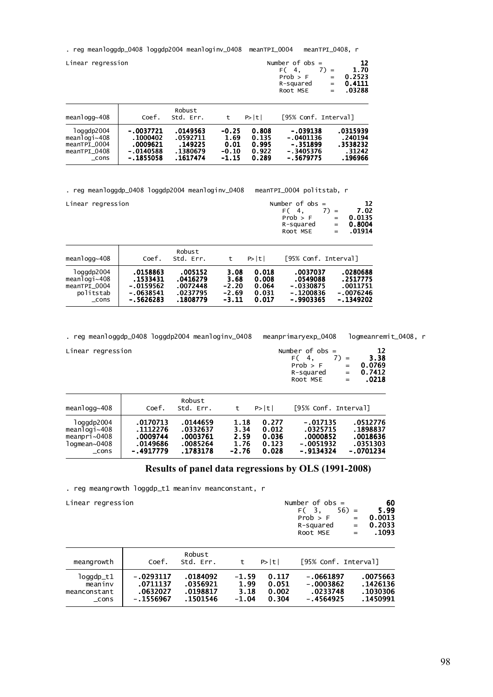. reg meanloggdp\_0408 loggdp2004 meanloginv\_0408 meanTPI\_0004 meanTPI\_0408, r

| Linear regression                                                         |                                                                 |                                                         |                                               |                                           | Number of $obs =$<br>F(4.<br>Prob > F<br>R-squared<br>Root MSE    | 12<br>1.70<br>$7) =$<br>0.2523<br>$=$<br>0.4111<br>$=$<br>.03288<br>$=$ |
|---------------------------------------------------------------------------|-----------------------------------------------------------------|---------------------------------------------------------|-----------------------------------------------|-------------------------------------------|-------------------------------------------------------------------|-------------------------------------------------------------------------|
| meanlogg $\sim$ 408                                                       | Coef.                                                           | Robust<br>Std. Err.                                     | t                                             | P> t                                      | [95% Conf. Interval]                                              |                                                                         |
| 1oggdp2004<br>meanlogi $\sim$ 408<br>meanTPI 0004<br>meanTPI 0408<br>cons | $-.0037721$<br>.1000402<br>.0009621<br>$-.0140588$<br>-.1855058 | .0149563<br>.0592711<br>.149225<br>.1380679<br>.1617474 | $-0.25$<br>1.69<br>0.01<br>$-0.10$<br>$-1.15$ | 0.808<br>0.135<br>0.995<br>0.922<br>0.289 | $-.039138$<br>$-.0401136$<br>$-.351899$<br>-.3405376<br>- 5679775 | .0315939<br>.240194<br>.3538232<br>.31242<br>.196966                    |

. reg meanloggdp\_0408 loggdp2004 meanloginv\_0408 meanTPI\_0004 politstab, r

| Linear regression | 12<br>Number of $obs =$                                                                    |
|-------------------|--------------------------------------------------------------------------------------------|
|                   | 7.02<br>$7) =$<br>F(4)<br>0.0135<br>Prob > F<br>$=$<br>R-squared<br>0.8004<br>$=$ $\qquad$ |
|                   | $= 0.01914$<br>Root MSE                                                                    |
| _ _ _             |                                                                                            |

| $mean$ logg $\sim$ 408 | Coef.       | Robust<br>Std. Err. |         | P>  t | [95% Conf. Interval] |             |
|------------------------|-------------|---------------------|---------|-------|----------------------|-------------|
| log qdp2004            | .0158863    | .005152             | 3.08    | 0.018 | .0037037             | .0280688    |
| meanlogi~408           | .1533431    | .0416279            | 3.68    | 0.008 | .0549088             | .2517775    |
| meanTPI_0004           | $-.0159562$ | .0072448            | $-2.20$ | 0.064 | $-.0330875$          | .0011751    |
| politstab              | $-.0638541$ | .0237795            | $-2.69$ | 0.031 | $-.1200836$          | - 0076246   |
| cons                   | $-.5626283$ | .1808779            | $-3.11$ | 0.017 | $-.9903365$          | $-.1349202$ |

. reg meanloggdp\_0408 loggdp2004 meanloginv\_0408 meanprimaryexp\_0408 logmeanremit\_0408, r

| Linear regression | Number of $obs =$                     | 12         |
|-------------------|---------------------------------------|------------|
|                   | $F(4, 7) =$                           | 3.38       |
|                   | Prob > F                              | $= 0.0769$ |
|                   | R-sauared                             | $= 0.7412$ |
|                   | Root MSE<br>$\mathbf{r} = \mathbf{r}$ | .0218      |

| meanlogg~408           | Coef.       | Robust<br>Std. Err. |         | P >  t | [95% Conf. Interval] |             |
|------------------------|-------------|---------------------|---------|--------|----------------------|-------------|
| log qdp2004            | .0170713    | .0144659            | 1.18    | 0.277  | $-.017135$           | .0512776    |
| $mean$ loqi $\sim$ 408 | .1112276    | .0332637            | 3.34    | 0.012  | .0325715             | .1898837    |
| meanpri~0408           | .0009744    | .0003761            | 2.59    | 0.036  | .0000852             | .0018636    |
| logmean~0408           | .0149686    | .0085264            | 1.76    | 0.123  | $-.0051932$          | .0351303    |
| cons                   | $-.4917779$ | .1783178            | $-2.76$ | 0.028  | $-.9134324$          | $-.0701234$ |

**Results of panel data regressions by OLS (1991-2008)** 

. reg meangrowth loggdp\_t1 meaninv meanconstant, r

| Linear regression                            |                                                  |                                              |                                    |                                  | Number of $obs =$<br>F(3,<br>Prob > F<br>R-squared<br>Root MSE | $56) =$<br>$=$<br>$=$<br>$=$ | 60<br>5.99<br>0.0013<br>0.2033<br>. 1093        |
|----------------------------------------------|--------------------------------------------------|----------------------------------------------|------------------------------------|----------------------------------|----------------------------------------------------------------|------------------------------|-------------------------------------------------|
| meangrowth                                   | Coef.                                            | Robust<br>Std. Err.                          | t                                  | P> t                             | [95% Conf. Interval]                                           |                              |                                                 |
| loggdp_t1<br>meaniny<br>meanconstant<br>cons | $-.0293117$<br>.0711137<br>.0632027<br>-.1556967 | .0184092<br>.0356921<br>.0198817<br>.1501546 | $-1.59$<br>1.99<br>3.18<br>$-1.04$ | 0.117<br>0.051<br>0.002<br>0.304 | $-.0661897$<br>$-0003862$<br>.0233748<br>$-.4564925$           |                              | .0075663<br>. 1426136<br>. 1030306<br>. 1450991 |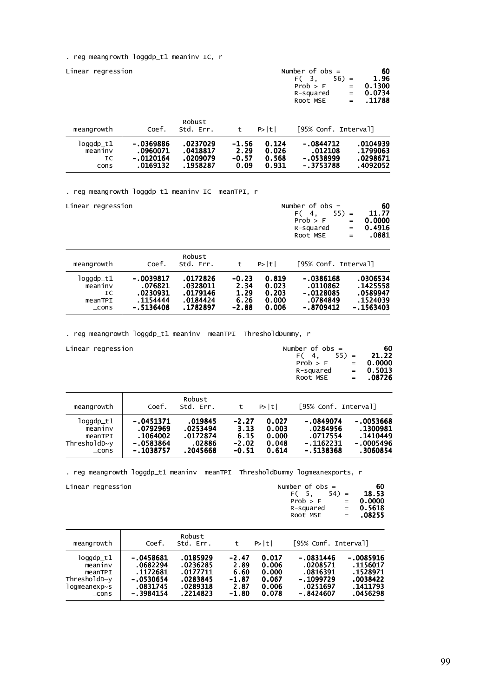. reg meangrowth loggdp\_t1 meaninv IC, r

| Linear regression                      |                                                  |                                              |                                    |                                  | Number of $obs =$<br>F <sub>(3</sub> .<br>Prob > F<br>R-squared<br>Root MSE | $56$ ) =<br>$=$<br>$=$<br>$=$ | 60<br>1.96<br>0.1300<br>0.0734<br>.11788      |
|----------------------------------------|--------------------------------------------------|----------------------------------------------|------------------------------------|----------------------------------|-----------------------------------------------------------------------------|-------------------------------|-----------------------------------------------|
| meangrowth                             | Coef.                                            | Robust<br>Std. Err.                          | t                                  | P>  t                            | [95% Conf. Interval]                                                        |                               |                                               |
| loggdp_t1<br>meaniny<br>IC<br>$\_cons$ | $-.0369886$<br>.0960071<br>-.0120164<br>.0169132 | .0237029<br>.0418817<br>.0209079<br>.1958287 | $-1.56$<br>2.29<br>$-0.57$<br>0.09 | 0.124<br>0.026<br>0.568<br>0.931 | $-.0844712$<br>.012108<br>$-.0538999$<br>$-.3753788$                        |                               | .0104939<br>. 1799063<br>.0298671<br>.4092052 |

. reg meangrowth loggdp\_t1 meaninv IC meanTPI, r

| Linear regression                                 |                                                           |                                                          |                                            |                                           | Number of $obs =$<br>F(4)<br>Prob > F<br>R-squared<br>Root MSE    | 60<br>11.77<br>$55$ ) =<br>0.0000<br>$=$<br>0.4916<br>$=$<br>.0881<br>$=$ |
|---------------------------------------------------|-----------------------------------------------------------|----------------------------------------------------------|--------------------------------------------|-------------------------------------------|-------------------------------------------------------------------|---------------------------------------------------------------------------|
| meangrowth                                        | Coef.                                                     | Robust<br>Std. Err.                                      | t                                          | P> t                                      | [95% Conf. Interval]                                              |                                                                           |
| loggdp_t1<br>meaninv<br>IC<br>meanTPI<br>$\_cons$ | -.0039817<br>.076821<br>.0230931<br>.1154444<br>-.5136408 | .0172826<br>.0328011<br>.0179146<br>.0184424<br>.1782897 | $-0.23$<br>2.34<br>1.29<br>6.26<br>$-2.88$ | 0.819<br>0.023<br>0.203<br>0.000<br>0.006 | $-.0386168$<br>.0110862<br>$-.0128085$<br>.0784849<br>$-.8709412$ | .0306534<br>. 1425558<br>.0589947<br>.1524039<br>-.1563403                |

. reg meangrowth loggdp\_t1 meaninv meanTPI ThresholdDummy, r

| Linear regression |  |
|-------------------|--|
|                   |  |
|                   |  |
|                   |  |

| Linear regression | Number of obs =     | -60         |
|-------------------|---------------------|-------------|
|                   | $F(4, 55) = 21.22$  |             |
|                   | $Prob > F$ = 0.0000 |             |
|                   | R-squared           | $= 0.5013$  |
|                   | Root MSE            | $= 0.08726$ |

| meangrowth     | Coef.       | Robust<br>Std. Err. |         | P>  t | [95% Conf. Interval] |           |
|----------------|-------------|---------------------|---------|-------|----------------------|-----------|
| loggdp_t1      | $-.0451371$ | .019845             | $-2.27$ | 0.027 | $-.0849074$          | -.0053668 |
| meaniny        | .0792969    | .0253494            | 3.13    | 0.003 | .0284956             | .1300981  |
| meanTPI        | .1064002    | .0172874            | 6.15    | 0.000 | .0717554             | . 1410449 |
| $Thresholdb-v$ | $-.0583864$ | .02886              | $-2.02$ | 0.048 | -.1162231            | -.0005496 |
| cons           | $-.1038757$ | .2045668            | $-0.51$ | 0.614 | $-.5138368$          | .3060854  |

. reg meangrowth loggdp\_t1 meaninv meanTPI ThresholdDummy logmeanexports, r

| Linear regression |  |
|-------------------|--|
|                   |  |
|                   |  |
|                   |  |

| Linear regression | Number of $obs =$ | 60          |
|-------------------|-------------------|-------------|
|                   | $F(5, 54) =$      | 18.53       |
|                   | Prob > F          | $= 0.0000$  |
|                   | R-sauared         | $= 0.5618$  |
|                   | Root MSE          | $= 0.08255$ |
|                   |                   |             |

| meangrowth          | Coef.        | Robust<br>Std. Err. | t       | P>  t | [95% Conf. Interval] |           |
|---------------------|--------------|---------------------|---------|-------|----------------------|-----------|
| loggdp_t1           | $-.0458681$  | .0185929            | $-2.47$ | 0.017 | $-.0831446$          | -.0085916 |
| meaninv             | .0682294     | .0236285            | 2.89    | 0.006 | .0208571             | .1156017  |
| meanTPI             | .1172681     | .0177711            | 6.60    | 0.000 | .0816391             | .1528971  |
| $Thresholdb \sim y$ | $-.0530654$  | .0283845            | $-1.87$ | 0.067 | $-.1099729$          | .0038422  |
| logmeanexp~s        | .0831745     | .0289318            | 2.87    | 0.006 | .0251697             | . 1411793 |
| cons                | $-0.3984154$ | .2214823            | $-1.80$ | 0.078 | $-.8424607$          | .0456298  |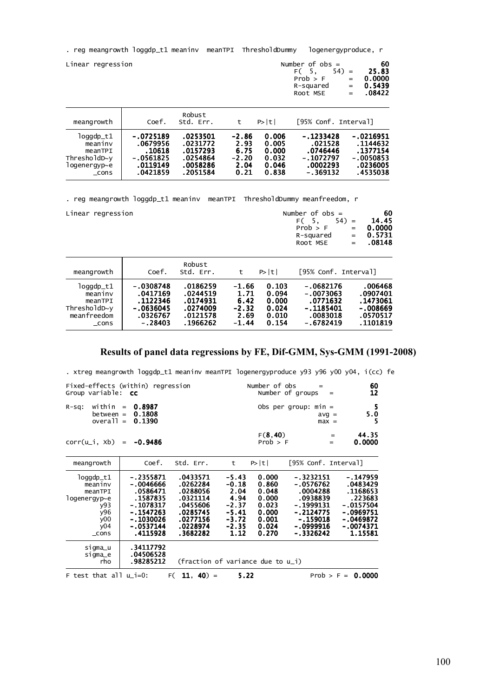. reg meangrowth loggdp\_t1 meaninv meanTPI ThresholdDummy logenergyproduce, r

| Linear regression                                                                  |                                                                      |                                                                      |                                                    |                                                    | Number of $obs =$<br>$FC5$ .<br>$54$ =<br>Prob > F<br>R-squared<br>Root MSE | 60<br>25.83<br>0.0000<br>$=$<br>0.5439<br>$=$<br>.08422<br>$=$             |
|------------------------------------------------------------------------------------|----------------------------------------------------------------------|----------------------------------------------------------------------|----------------------------------------------------|----------------------------------------------------|-----------------------------------------------------------------------------|----------------------------------------------------------------------------|
| meangrowth                                                                         | Coef.                                                                | Robust<br>Std. Err.                                                  | t                                                  | P>  t                                              | [95% Conf. Interval]                                                        |                                                                            |
| loggdp_t1<br>meaniny<br>meanTPI<br>$Thresholdb \sim y$<br>logenergyp∼e<br>$\_cons$ | -.0725189<br>.0679956<br>.10618<br>-.0561825<br>.0119149<br>.0421859 | .0253501<br>.0231772<br>.0157293<br>.0254864<br>.0058286<br>.2051584 | $-2.86$<br>2.93<br>6.75<br>$-2.20$<br>2.04<br>0.21 | 0.006<br>0.005<br>0.000<br>0.032<br>0.046<br>0.838 | $-.1233428$<br>.021528<br>.0746446<br>$-.1072797$<br>.0002293<br>-.369132   | $-.0216951$<br>.1144632<br>.1377154<br>$-.0050853$<br>.0236005<br>.4535038 |

. reg meangrowth loggdp\_t1 meaninv meanTPI ThresholdDummy meanfreedom, r

| Linear regression | Number of $obs =$<br>$54$ =<br>F (5.<br>Prob > F<br>$=$ $-$<br>R-squared<br>Root MSE | 60<br>14.45<br>0.0000<br>$= 0.5731$<br>$= 0.08148$ |
|-------------------|--------------------------------------------------------------------------------------|----------------------------------------------------|
| Robust            |                                                                                      |                                                    |

| $log qdp_t1$<br>$-.0308748$<br>.0186259<br>$-.0682176$<br>0.103<br>$-1.66$<br>.0244519<br>$-.0073063$<br>.0417169<br>0.094<br>1.71<br>meaniny<br>.0174931<br>.1122346<br>6.42<br>.0771632<br>0.000<br>meanTPI<br>ThresholdD~y<br>$-.1185401$<br>$-.0636045$<br>$-2.32$<br>.0274009<br>0.024<br>meanfreedom<br>.0121578<br>.0083018<br>2.69<br>.0326767<br>0.010<br>$-.6782419$<br>.1966262<br>0.154<br>$-.28403$<br>$-1.44$<br>cons | meangrowth | Coef. | Std. Err. | P>  t | [95% Conf. Interval] |                                                                      |
|-------------------------------------------------------------------------------------------------------------------------------------------------------------------------------------------------------------------------------------------------------------------------------------------------------------------------------------------------------------------------------------------------------------------------------------|------------|-------|-----------|-------|----------------------|----------------------------------------------------------------------|
|                                                                                                                                                                                                                                                                                                                                                                                                                                     |            |       |           |       |                      | .006468<br>.0907401<br>. 1473061<br>-.008669<br>.0570517<br>.1101819 |

### **Results of panel data regressions by FE, Dif-GMM, Sys-GMM (1991-2008)**

. xtreg meangrowth loggdp\_t1 meaninv meanTPI logenergyproduce y93 y96 y00 y04, i(cc) fe

| Fixed-effects (within) regression<br>Group variable: <b>cc</b>                                   |                                                                                                                                   | Number of obs                                                                                            | $=$<br>Number of groups<br>$=$                                                         | 60<br>12                                                                      |                                                                                                                      |                                                                                                                    |
|--------------------------------------------------------------------------------------------------|-----------------------------------------------------------------------------------------------------------------------------------|----------------------------------------------------------------------------------------------------------|----------------------------------------------------------------------------------------|-------------------------------------------------------------------------------|----------------------------------------------------------------------------------------------------------------------|--------------------------------------------------------------------------------------------------------------------|
| within $=$<br>$R-Sq$ :<br>$between =$<br>$overall =$                                             | 0.8987<br>0.1808<br>0.1390                                                                                                        |                                                                                                          |                                                                                        |                                                                               | Obs per group: $min =$<br>$avq =$<br>$max =$                                                                         | 5<br>5.0<br>5                                                                                                      |
| corr(u_i, Xb)                                                                                    | $-0.9486$<br>$=$                                                                                                                  |                                                                                                          |                                                                                        | F(8, 40)<br>Prob > F                                                          | $=$<br>$=$                                                                                                           | 44.35<br>0.0000                                                                                                    |
| meangrowth                                                                                       | Coef.                                                                                                                             | Std. Err.                                                                                                | t                                                                                      | P> t                                                                          | [95% Conf. Interval]                                                                                                 |                                                                                                                    |
| $loggdp_t1$<br>meaniny<br>meanTPI<br>logenergyp∼e<br>y93<br>y96<br>y00<br>y04<br>cons<br>sigma_u | $-.2355871$<br>- 0046666<br>.0586471<br>.1587835<br>- 1078317<br>-.1547263<br>$-.1030026$<br>$-.0537144$<br>.4115928<br>.34117792 | .0433571<br>.0262284<br>.0288056<br>.0321114<br>.0455606<br>.0285745<br>.0277156<br>.0228974<br>.3682282 | $-5.43$<br>$-0.18$<br>2.04<br>4.94<br>$-2.37$<br>$-5.41$<br>$-3.72$<br>$-2.35$<br>1.12 | 0.000<br>0.860<br>0.048<br>0.000<br>0.023<br>0.000<br>0.001<br>0.024<br>0.270 | $-.3232151$<br>- 0576762<br>.0004288<br>.0938839<br>- 1999131<br>$-.2124775$<br>$-.159018$<br>- 0999916<br>-.3326242 | $-.147959$<br>.0483429<br>.1168653<br>.223683<br>$-.0157504$<br>-.0969751<br>$-.0469872$<br>$-.0074371$<br>1.15581 |
| sigma_e<br>rho                                                                                   | .04506528<br>.98285212                                                                                                            | (fraction of variance due to $u_i$ )                                                                     |                                                                                        |                                                                               |                                                                                                                      |                                                                                                                    |
| F test that all $u_i=0$ :                                                                        |                                                                                                                                   | $F(11, 40) =$                                                                                            | 5.22                                                                                   |                                                                               |                                                                                                                      | Prob > F = $0.0000$                                                                                                |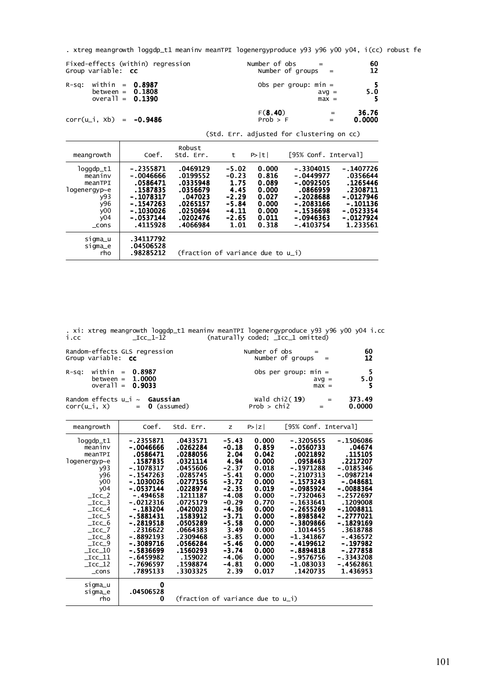|  | . xtreg meangrowth loggdp_t1 meaninv meanTPI logenergyproduce y93 y96 y00 y04, i(cc) robust fe |  |  |  |  |  |  |
|--|------------------------------------------------------------------------------------------------|--|--|--|--|--|--|
|--|------------------------------------------------------------------------------------------------|--|--|--|--|--|--|

|          | Group variable: <b>CC</b>                                     | Fixed-effects (within) regression |        |  | Number of $obs =$<br>Number of groups $=$ |                           | 60<br>12         |
|----------|---------------------------------------------------------------|-----------------------------------|--------|--|-------------------------------------------|---------------------------|------------------|
| $R-SQ$ : | within = $0.8987$<br>between = $0.1808$<br>overall = $0.1390$ |                                   |        |  | Obs per group: $min =$                    | $\text{avg}$ =<br>$max =$ | $5.\overline{0}$ |
|          | $corr(u_i, xb) = -0.9486$                                     |                                   |        |  | F(8, 40)<br>Prob > F                      | $=$                       | 36.76<br>0.0000  |
|          |                                                               |                                   |        |  | (Std. Err. adjusted for clustering on cc) |                           |                  |
|          |                                                               |                                   | Robust |  |                                           |                           |                  |

| meangrowth                                                                                  | Coef.                                                                                                                  | Std. Err.                                                                                               | t                                                                                      | P> t                                                                          | [95% Conf. Interval]                                                                                                      |                                                                                                                   |
|---------------------------------------------------------------------------------------------|------------------------------------------------------------------------------------------------------------------------|---------------------------------------------------------------------------------------------------------|----------------------------------------------------------------------------------------|-------------------------------------------------------------------------------|---------------------------------------------------------------------------------------------------------------------------|-------------------------------------------------------------------------------------------------------------------|
| loggdp_t1<br>meaniny<br>meanTPI<br>logenergyp~e<br>y93<br>y96<br>$\sqrt{00}$<br>y04<br>cons | $-.2355871$<br>-.0046666<br>.0586471<br>.1587835<br>$-.1078317$<br>-.1547263<br>$-.1030026$<br>$-.0537144$<br>.4115928 | .0469129<br>.0199552<br>.0335948<br>.0356679<br>.047023<br>.0265157<br>.0250694<br>.0202476<br>.4066984 | $-5.02$<br>$-0.23$<br>1.75<br>4.45<br>$-2.29$<br>$-5.84$<br>$-4.11$<br>$-2.65$<br>1.01 | 0.000<br>0.816<br>0.089<br>0.000<br>0.027<br>0.000<br>0.000<br>0.011<br>0.318 | $-.3304015$<br>$-.0449977$<br>$-.0092505$<br>.0866959<br>$-2028688$<br>- 2083166<br>$-1536698$<br>$-0946363$<br>-.4103754 | $-.1407726$<br>.0356644<br>. 1265446<br>.2308711<br>-.0127946<br>-.101136<br>-.0523354<br>$-.0127924$<br>1.233561 |
| sigma_u<br>sigma_e<br>rho                                                                   | .34117792<br>.04506528<br>.98285212                                                                                    | (fraction of variance due to $u_i$ )                                                                    |                                                                                        |                                                                               |                                                                                                                           |                                                                                                                   |

i.cc \_Icc\_1-12 (naturally coded; \_Icc\_1 omitted) . xi: xtreg meangrowth loggdp\_t1 meaninv meanTPI logenergyproduce y93 y96 y00 y04 i.cc

| Random-effects GLS regression                                      | Number of obs                                                      | 60               |
|--------------------------------------------------------------------|--------------------------------------------------------------------|------------------|
| Group variable: <b>cc</b>                                          | Number of groups $=$                                               | 12               |
| $R-Sq$ : within = 0.8987                                           | Obs per group: $min =$                                             | - 5              |
| between = $1.0000$                                                 | $avq =$                                                            | 5.0              |
| overall = $0.9033$                                                 | $max =$                                                            | - 5              |
| Random effects $u_i \sim$ Gaussian<br>$corr(u_i, x) = 0$ (assumed) | wald $chi2(19)$<br>$\mathbf{r} = \mathbf{r}$<br>Prob > chi2<br>$=$ | 373.49<br>0.0000 |

| meangrowth                                                                                                                                                                                                                                                                                                          | Coef.                                                                                                                                                                                                                                                                  | Std. Err.                                                                                                                                                                                                                                   | z                                                                                                                                                                                                        | P> z                                                                                                                                                                             | [95% Conf. Interval]                                                                                                                                                                                                                                                       |                                                                                                                                                                                                                                                               |
|---------------------------------------------------------------------------------------------------------------------------------------------------------------------------------------------------------------------------------------------------------------------------------------------------------------------|------------------------------------------------------------------------------------------------------------------------------------------------------------------------------------------------------------------------------------------------------------------------|---------------------------------------------------------------------------------------------------------------------------------------------------------------------------------------------------------------------------------------------|----------------------------------------------------------------------------------------------------------------------------------------------------------------------------------------------------------|----------------------------------------------------------------------------------------------------------------------------------------------------------------------------------|----------------------------------------------------------------------------------------------------------------------------------------------------------------------------------------------------------------------------------------------------------------------------|---------------------------------------------------------------------------------------------------------------------------------------------------------------------------------------------------------------------------------------------------------------|
| $log qdp_t1$<br>meaninv<br>meanTPI<br>$1$ ogenergyp $\sim$ e<br>v93<br>y96<br>y00<br>y04<br>$\_$ ICC $\_$ 2<br>$\_$ ICC $\_$ 3<br>$\_$ ICC $\_$ 4<br>$\_$ ICC $\_$ 5<br>$\_$ ICC $\_$ 6<br>$\_$ ICC $\_$ 7<br>$\_$ ICC $\_8$<br>$\_$ ICC $\_$ 9<br>$\_$ ICC $\_$ 10<br>$\_$ ICC $\_$ 11<br>$\_$ ICC $\_$ 12<br>cons | -.2355871<br>-.0046666<br>.0586471<br>.1587835<br>$-.1078317$<br>$-.1547263$<br>-.1030026<br>-.0537144<br>$-.494658$<br>-.0212316<br>- 183204<br>$-.5881431$<br>-.2819518<br>.2316622<br>$-.8892193$<br>$-.3089716$<br>-.5836699<br>-.6459982<br>-.7696597<br>.7895133 | .0433571<br>.0262284<br>.0288056<br>.0321114<br>.0455606<br>.0285745<br>.0277156<br>.0228974<br>.1211187<br>.0725179<br>.0420023<br>.1583912<br>.0505289<br>.0664383<br>.2309468<br>.0566284<br>.1560293<br>.159022<br>.1598874<br>.3303325 | $-5.43$<br>$-0.18$<br>2.04<br>4.94<br>$-2.37$<br>$-5.41$<br>$-3.72$<br>$-2.35$<br>$-4.08$<br>$-0.29$<br>$-4.36$<br>$-3.71$<br>$-5.58$<br>3.49<br>$-3.85$<br>$-5.46$<br>-3.74<br>-4.06<br>$-4.81$<br>2.39 | 0.000<br>0.859<br>0.042<br>0.000<br>0.018<br>0.000<br>0.000<br>0.019<br>0.000<br>0.770<br>0.000<br>0.000<br>0.000<br>0.000<br>0.000<br>0.000<br>0.000<br>0.000<br>0.000<br>0.017 | -.3205655<br>$-.0560733$<br>.0021892<br>.0958463<br>$-.1971288$<br>-.2107313<br>$-.1573243$<br>-.0985924<br>$-.7320463$<br>-.1633641<br>- 2655269<br>$-.8985842$<br>-.3809866<br>.1014455<br>$-1.341867$<br>-.4199612<br>-.8894818<br>-.9576756<br>$-1.083033$<br>.1420735 | -.1506086<br>.04674<br>.115105<br>.2217207<br>-.0185346<br>-.0987214<br>-.048681<br>$-.0088364$<br>-.2572697<br>.1209008<br>- 1008811<br>-.2777021<br>$-.1829169$<br>.3618788<br>$-.436572$<br>$-.197982$<br>$-.277858$<br>-.3343208<br>-.4562861<br>1.436953 |
| sigma_u<br>sigma_e<br>rho                                                                                                                                                                                                                                                                                           | Ω<br>.04506528<br>0                                                                                                                                                                                                                                                    | (fraction of variance due to u_i)                                                                                                                                                                                                           |                                                                                                                                                                                                          |                                                                                                                                                                                  |                                                                                                                                                                                                                                                                            |                                                                                                                                                                                                                                                               |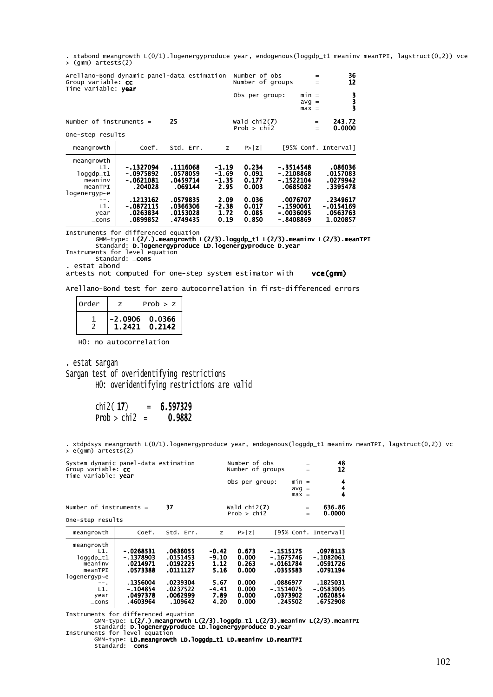> (gmm) artests(2) . xtabond meangrowth L(0/1).logenergyproduce year, endogenous(loggdp\_t1 meaninv meanTPI, lagstruct(0,2)) vce

| Arellano-Bond dynamic panel-data estimation<br>Group variable: cc<br>Time variable: year |                                                 |                                              | Number of obs<br>Number of groups |                                  | $=$<br>$=$                                         | 36<br>12                      |                                               |
|------------------------------------------------------------------------------------------|-------------------------------------------------|----------------------------------------------|-----------------------------------|----------------------------------|----------------------------------------------------|-------------------------------|-----------------------------------------------|
|                                                                                          |                                                 |                                              |                                   | Obs per group:                   |                                                    | $min =$<br>$avg =$<br>$max =$ | 3<br>3                                        |
| Number of instruments $=$<br>One-step results                                            |                                                 | 25                                           |                                   | wald $chi2(7)$<br>Prob > chi2    |                                                    | $=$<br>$=$                    | 243.72<br>0.0000                              |
| meangrowth                                                                               | Coef.                                           | Std. Err.                                    | z                                 | P >  Z                           |                                                    |                               | [95% Conf. Interval]                          |
| meangrowth<br>L1.<br>$logqdp_t1$<br>meaniny<br>meanTPI<br>logenergyp~e                   | -.1327094<br>$-0975892$<br>-.0621081<br>.204028 | .1116068<br>.0578059<br>.0459714<br>.069144  | $-1.19$<br>-1.69<br>-1.35<br>2.95 | 0.234<br>0.091<br>0.177<br>0.003 | -.3514548<br>$-.2108868$<br>-.1522104<br>.0685082  |                               | .086036<br>.0157083<br>.0279942<br>.3395478   |
| $--.$<br>L1.<br>year<br>$\_cons$                                                         | .1213162<br>$-.0872115$<br>.0263834<br>.0899852 | .0579835<br>.0366306<br>.0153028<br>.4749435 | 2.09<br>$-2.38$<br>1.72<br>0.19   | 0.036<br>0.017<br>0.085<br>0.850 | .0076707<br>-.1590061<br>- .0036095<br>- . 8408869 |                               | .2349617<br>-.0154169<br>.0563763<br>1.020857 |

Instruments for differenced equation

GMM-type: **L(2/.).meangrowth L(2/3).loggdp\_t1 L(2/3).meaninv L(2/3).meanTPI**<br>Standard: **D.logenergyproduce LD.logenergyproduce D.year**<br>Instruments for level equation<br>Standard: \_**cons** 

. estat abond

artests not computed for one-step system estimator with vce(gmm)

Arellano-Bond test for zero autocorrelation in first-differenced errors

| order |        | Prob > z         |        |
|-------|--------|------------------|--------|
|       | 1.2421 | $-2.0906$ 0.0366 | 0.2142 |

H0: no autocorrelation

 H0: overidentifying restrictions are valid Sargan test of overidentifying restrictions . estat sargan

 $chi2(17) = 6.597329$ 

Prob >  $chi2 = 0.9882$ 

. xtdpdsys meangrowth L(O/1).logenergyproduce year, endogenous(loggdp\_t1 meaninv meanTPI, lagstruct(0,2)) vc<br>> e(gmm) artests(2)

| System dynamic panel-data estimation<br>Group variable: cc<br>Time variable: year                          |                                                                                                      |                                                                                             | Number of obs<br>$=$<br>Number of groups<br>$=$                   |                                                                      |                                                                                                        |                               |                                                                                                 |
|------------------------------------------------------------------------------------------------------------|------------------------------------------------------------------------------------------------------|---------------------------------------------------------------------------------------------|-------------------------------------------------------------------|----------------------------------------------------------------------|--------------------------------------------------------------------------------------------------------|-------------------------------|-------------------------------------------------------------------------------------------------|
|                                                                                                            |                                                                                                      |                                                                                             |                                                                   | Obs per group:                                                       |                                                                                                        | $min =$<br>$avg =$<br>$max =$ | 4<br>4<br>4                                                                                     |
| Number of instruments $=$<br>One-step results                                                              |                                                                                                      | 37                                                                                          |                                                                   | Wald $chi2(7)$<br>Prob > chi2                                        |                                                                                                        | $=$<br>$=$                    | 636.86<br>0.0000                                                                                |
| meangrowth                                                                                                 | Coef.                                                                                                | Std. Err.                                                                                   | z                                                                 | P >  Z                                                               |                                                                                                        |                               | [95% Conf. Interval]                                                                            |
| meangrowth<br>L1.<br>$log qdp_t1$<br>meaniny<br>meanTPI<br>logenergyp~e<br>-- .<br>L1.<br>year<br>$\_cons$ | $-.0268531$<br>$-.1378903$<br>.0214971<br>.0573388<br>.1356004<br>$-.104854$<br>.0497378<br>.4603964 | .0636055<br>.0151453<br>.0192225<br>.0111127<br>.0239304<br>.0237522<br>.0062999<br>.109642 | -0.42<br>$-9.10$<br>1.12<br>5.16<br>5.67<br>-4.41<br>7.89<br>4.20 | 0.673<br>0.000<br>0.263<br>0.000<br>0.000<br>0.000<br>0.000<br>0.000 | $-.1515175$<br>$-.1675746$<br>$-0161784$<br>.0355583<br>.0886977<br>$-.1514075$<br>.0373902<br>.245502 |                               | .0978113<br>- .1082061<br>.0591726<br>.0791194<br>.1825031<br>-.0583005<br>.0620854<br>.6752908 |

Instruments for differenced equation

GMM-type: L(2/.).meangrowth L(2/3).loggdp\_t1 L(2/3).meaninv L(2/3).meanTPI<br>Standard: D.logenergyproduce LD.logenergyproduce D.year<br>Instruments for level equation<br>GMM-type: LD.meangrowth LD.loggdp\_t1 LD.meaninv LD.meanTPI<br>S